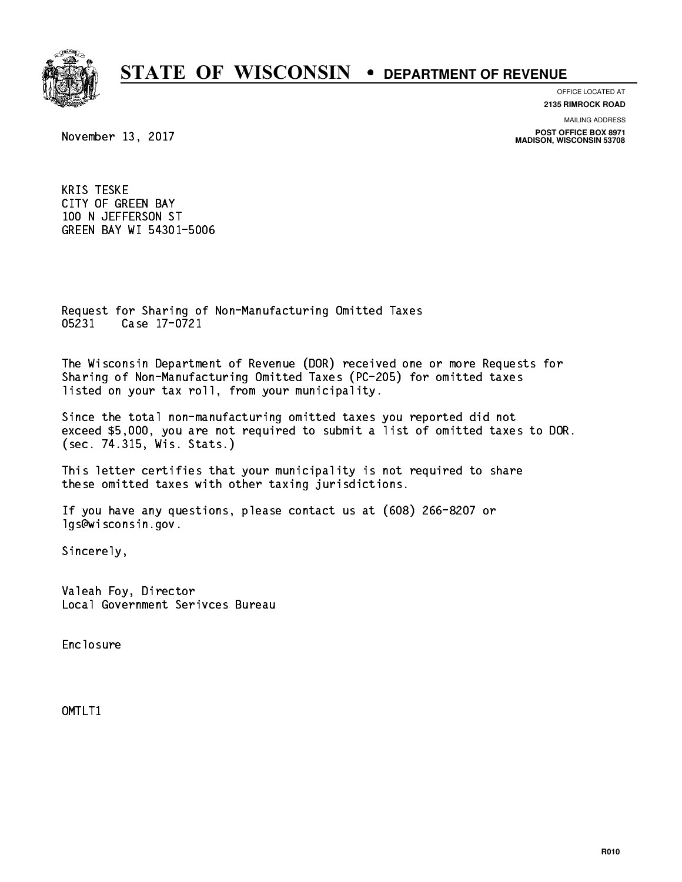

**OFFICE LOCATED AT 2135 RIMROCK ROAD**

**MAILING ADDRESS**

**POST OFFICE BOX 8971 MADISON, WISCONSIN 53708**

November 13, 2017

 KRIS TESKE CITY OF GREEN BAY 100 N JEFFERSON ST GREEN BAY WI 54301-5006

 Request for Sharing of Non-Manufacturing Omitted Taxes 05231 Case 17-0721 05231 Case 17-0721

 The Wisconsin Department of Revenue (DOR) received one or more Requests for Sharing of Non-Manufacturing Omitted Taxes (PC-205) for omitted taxes listed on your tax roll, from your municipality.

 Since the total non-manufacturing omitted taxes you reported did not exceed \$5,000, you are not required to submit a list of omitted taxes to DOR. (sec. 74.315, Wis. Stats.)

 This letter certifies that your municipality is not required to share these omitted taxes with other taxing jurisdictions.

 If you have any questions, please contact us at (608) 266-8207 or lgs@wisconsin.gov.

Sincerely,

 Valeah Foy, Director Local Government Serivces Bureau

Enclosure Enclosure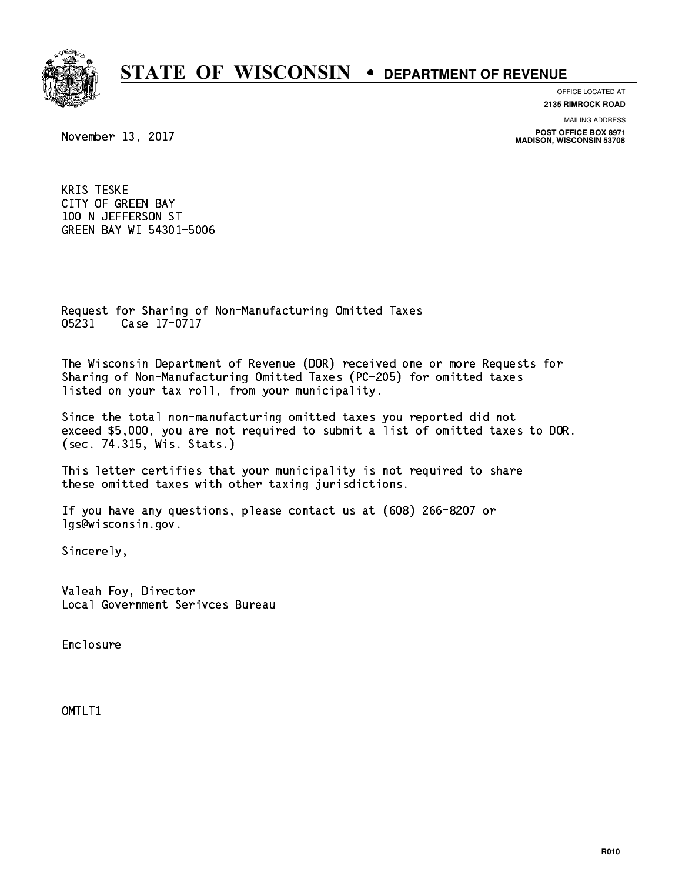

**OFFICE LOCATED AT 2135 RIMROCK ROAD**

**MAILING ADDRESS**

**POST OFFICE BOX 8971 MADISON, WISCONSIN 53708**

November 13, 2017

 KRIS TESKE CITY OF GREEN BAY 100 N JEFFERSON ST GREEN BAY WI 54301-5006

 Request for Sharing of Non-Manufacturing Omitted Taxes 05231 Case 17-0717 05231 Case 17-071

 The Wisconsin Department of Revenue (DOR) received one or more Requests for Sharing of Non-Manufacturing Omitted Taxes (PC-205) for omitted taxes listed on your tax roll, from your municipality.

 Since the total non-manufacturing omitted taxes you reported did not exceed \$5,000, you are not required to submit a list of omitted taxes to DOR. (sec. 74.315, Wis. Stats.)

 This letter certifies that your municipality is not required to share these omitted taxes with other taxing jurisdictions.

 If you have any questions, please contact us at (608) 266-8207 or lgs@wisconsin.gov.

Sincerely,

 Valeah Foy, Director Local Government Serivces Bureau

Enclosure Enclosure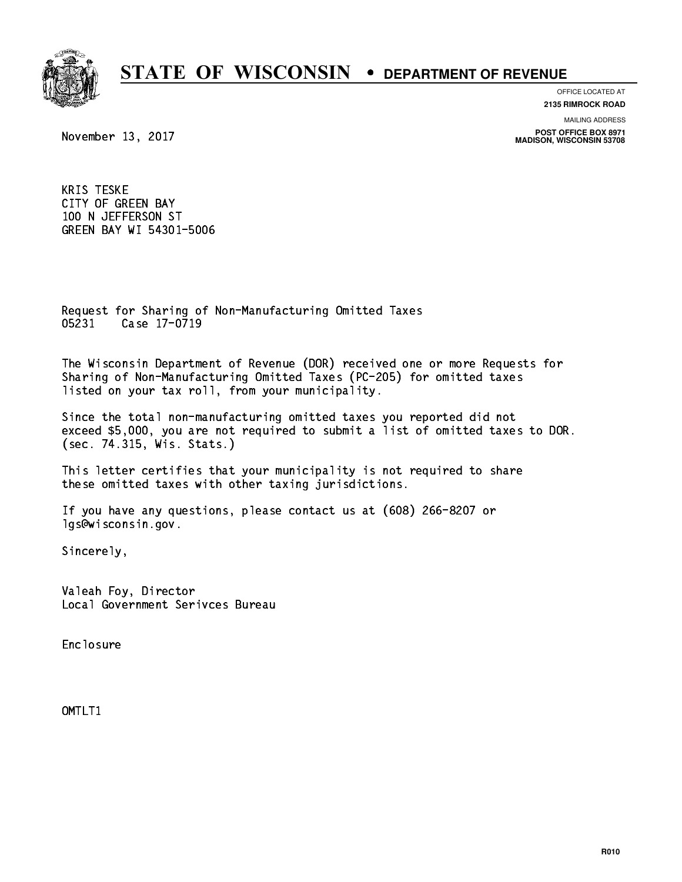

**OFFICE LOCATED AT 2135 RIMROCK ROAD**

**MAILING ADDRESS**

**POST OFFICE BOX 8971 MADISON, WISCONSIN 53708**

November 13, 2017

 KRIS TESKE CITY OF GREEN BAY 100 N JEFFERSON ST GREEN BAY WI 54301-5006

 Request for Sharing of Non-Manufacturing Omitted Taxes 05231 Case 17-0719 05231 Case 17-071

 The Wisconsin Department of Revenue (DOR) received one or more Requests for Sharing of Non-Manufacturing Omitted Taxes (PC-205) for omitted taxes listed on your tax roll, from your municipality.

 Since the total non-manufacturing omitted taxes you reported did not exceed \$5,000, you are not required to submit a list of omitted taxes to DOR. (sec. 74.315, Wis. Stats.)

 This letter certifies that your municipality is not required to share these omitted taxes with other taxing jurisdictions.

 If you have any questions, please contact us at (608) 266-8207 or lgs@wisconsin.gov.

Sincerely,

 Valeah Foy, Director Local Government Serivces Bureau

Enclosure Enclosure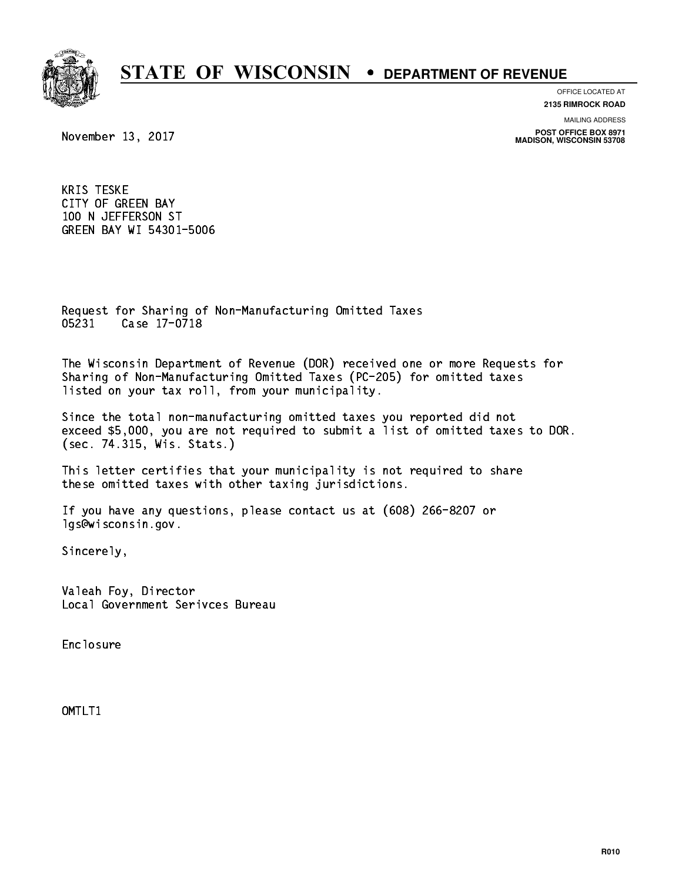

**OFFICE LOCATED AT 2135 RIMROCK ROAD**

**MAILING ADDRESS**

**POST OFFICE BOX 8971 MADISON, WISCONSIN 53708**

November 13, 2017

 KRIS TESKE CITY OF GREEN BAY 100 N JEFFERSON ST GREEN BAY WI 54301-5006

 Request for Sharing of Non-Manufacturing Omitted Taxes 05231 Case 17-0718 0523 Case 17-07-2012

 The Wisconsin Department of Revenue (DOR) received one or more Requests for Sharing of Non-Manufacturing Omitted Taxes (PC-205) for omitted taxes listed on your tax roll, from your municipality.

 Since the total non-manufacturing omitted taxes you reported did not exceed \$5,000, you are not required to submit a list of omitted taxes to DOR. (sec. 74.315, Wis. Stats.)

 This letter certifies that your municipality is not required to share these omitted taxes with other taxing jurisdictions.

 If you have any questions, please contact us at (608) 266-8207 or lgs@wisconsin.gov.

Sincerely,

 Valeah Foy, Director Local Government Serivces Bureau

Enclosure Enclosure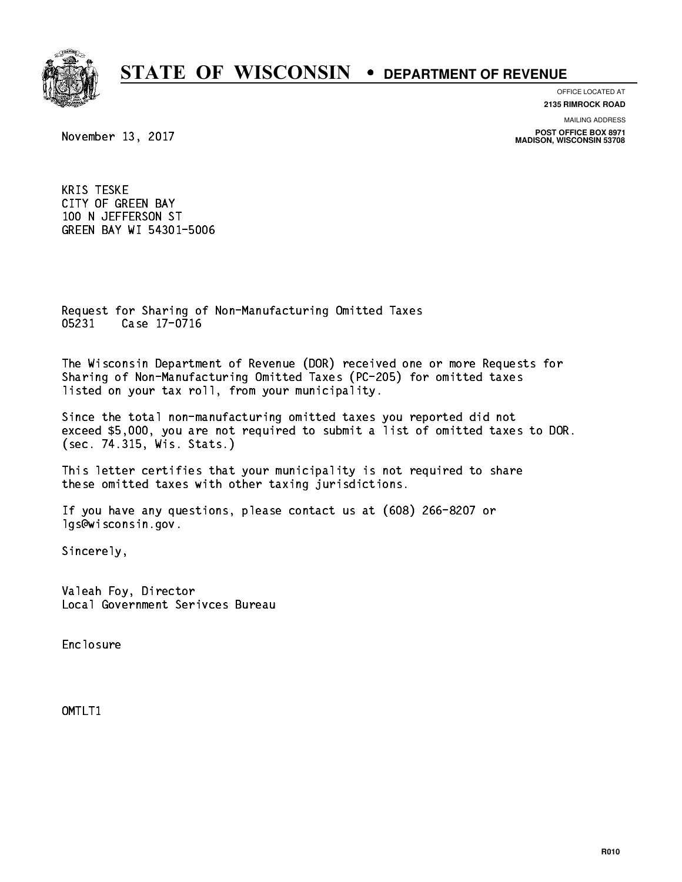

**OFFICE LOCATED AT 2135 RIMROCK ROAD**

**MAILING ADDRESS**

**POST OFFICE BOX 8971 MADISON, WISCONSIN 53708**

November 13, 2017

 KRIS TESKE CITY OF GREEN BAY 100 N JEFFERSON ST GREEN BAY WI 54301-5006

 Request for Sharing of Non-Manufacturing Omitted Taxes 05231 Case 17-0716 0523 Case 17-07-201

 The Wisconsin Department of Revenue (DOR) received one or more Requests for Sharing of Non-Manufacturing Omitted Taxes (PC-205) for omitted taxes listed on your tax roll, from your municipality.

 Since the total non-manufacturing omitted taxes you reported did not exceed \$5,000, you are not required to submit a list of omitted taxes to DOR. (sec. 74.315, Wis. Stats.)

 This letter certifies that your municipality is not required to share these omitted taxes with other taxing jurisdictions.

 If you have any questions, please contact us at (608) 266-8207 or lgs@wisconsin.gov.

Sincerely,

 Valeah Foy, Director Local Government Serivces Bureau

Enclosure Enclosure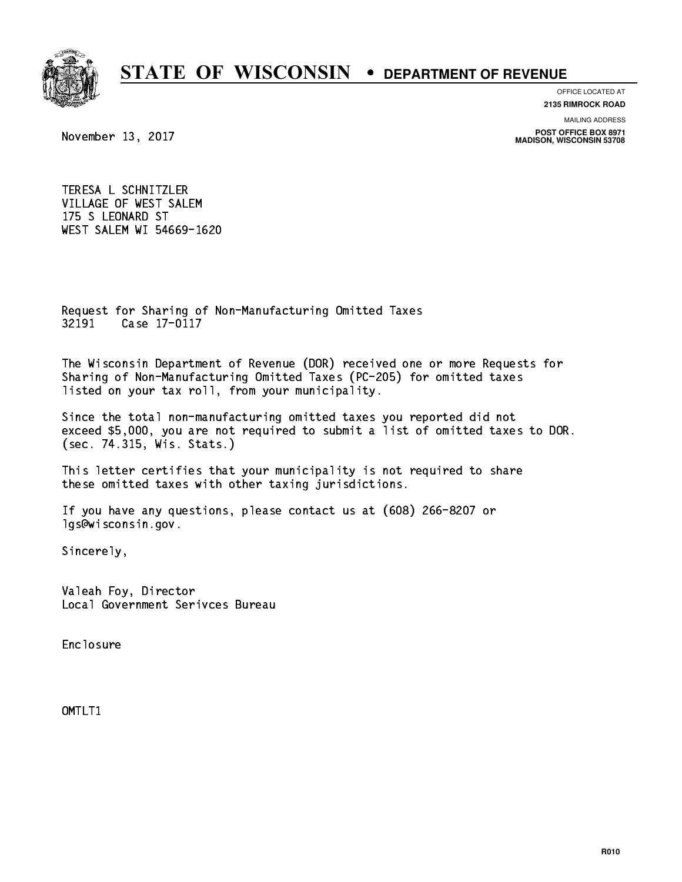

**OFFICE LOCATED AT**

**2135 RIMROCK ROAD**

**MAILING ADDRESS**

**POST OFFICE BOX 8971 MADISON, WISCONSIN 53708**

November 13, 2017

 TERESA L SCHNITZLER VILLAGE OF WEST SALEM 175 S LEONARD ST WEST SALEM WI 54669-1620

 Request for Sharing of Non-Manufacturing Omitted Taxes 32191 Case 17-0117 3222 Case 17-01

 The Wisconsin Department of Revenue (DOR) received one or more Requests for Sharing of Non-Manufacturing Omitted Taxes (PC-205) for omitted taxes listed on your tax roll, from your municipality.

 Since the total non-manufacturing omitted taxes you reported did not exceed \$5,000, you are not required to submit a list of omitted taxes to DOR. (sec. 74.315, Wis. Stats.)

 This letter certifies that your municipality is not required to share these omitted taxes with other taxing jurisdictions.

 If you have any questions, please contact us at (608) 266-8207 or lgs@wisconsin.gov.

Sincerely,

 Valeah Foy, Director Local Government Serivces Bureau

Enclosure Enclosure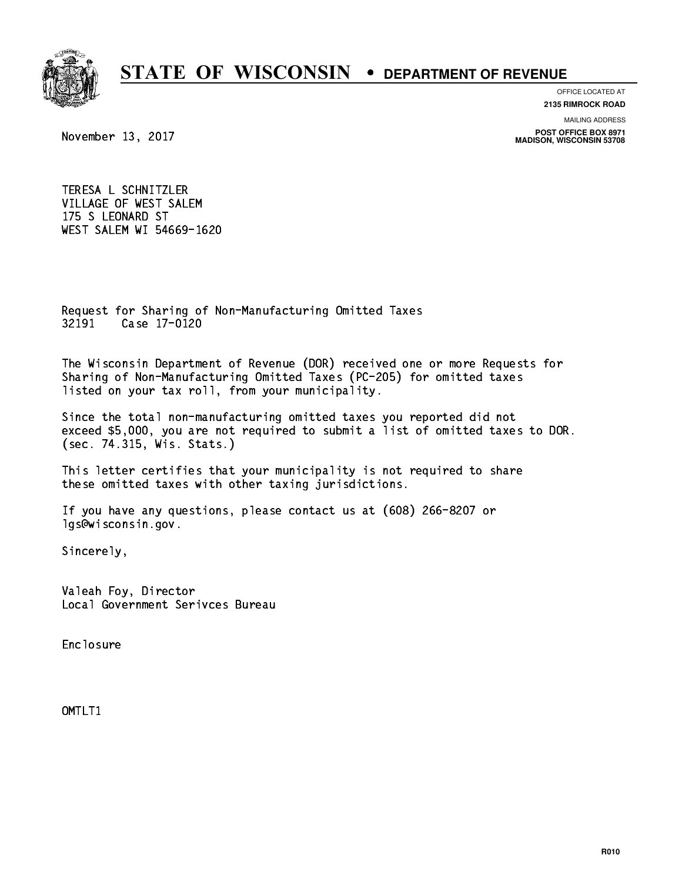

**OFFICE LOCATED AT**

**2135 RIMROCK ROAD**

**MAILING ADDRESS**

**POST OFFICE BOX 8971 MADISON, WISCONSIN 53708**

November 13, 2017

 TERESA L SCHNITZLER VILLAGE OF WEST SALEM 175 S LEONARD ST WEST SALEM WI 54669-1620

 Request for Sharing of Non-Manufacturing Omitted Taxes 32191 Case 17-0120 3223 Case 17-0120

 The Wisconsin Department of Revenue (DOR) received one or more Requests for Sharing of Non-Manufacturing Omitted Taxes (PC-205) for omitted taxes listed on your tax roll, from your municipality.

 Since the total non-manufacturing omitted taxes you reported did not exceed \$5,000, you are not required to submit a list of omitted taxes to DOR. (sec. 74.315, Wis. Stats.)

 This letter certifies that your municipality is not required to share these omitted taxes with other taxing jurisdictions.

 If you have any questions, please contact us at (608) 266-8207 or lgs@wisconsin.gov.

Sincerely,

 Valeah Foy, Director Local Government Serivces Bureau

Enclosure Enclosure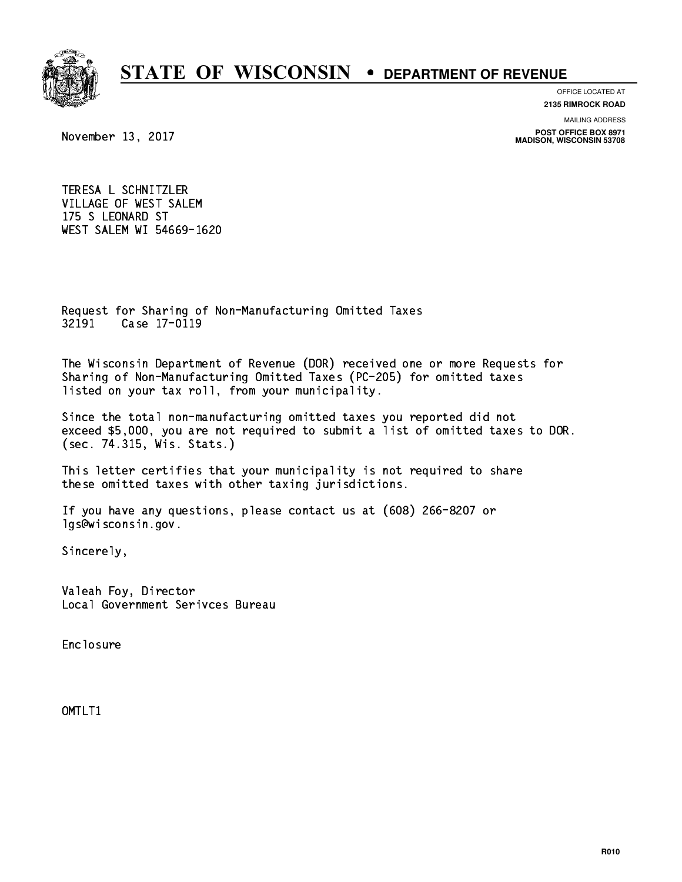

**OFFICE LOCATED AT**

**2135 RIMROCK ROAD**

**MAILING ADDRESS**

**POST OFFICE BOX 8971 MADISON, WISCONSIN 53708**

November 13, 2017

 TERESA L SCHNITZLER VILLAGE OF WEST SALEM 175 S LEONARD ST WEST SALEM WI 54669-1620

 Request for Sharing of Non-Manufacturing Omitted Taxes 32191 Case 17-0119

 The Wisconsin Department of Revenue (DOR) received one or more Requests for Sharing of Non-Manufacturing Omitted Taxes (PC-205) for omitted taxes listed on your tax roll, from your municipality.

 Since the total non-manufacturing omitted taxes you reported did not exceed \$5,000, you are not required to submit a list of omitted taxes to DOR. (sec. 74.315, Wis. Stats.)

 This letter certifies that your municipality is not required to share these omitted taxes with other taxing jurisdictions.

 If you have any questions, please contact us at (608) 266-8207 or lgs@wisconsin.gov.

Sincerely,

 Valeah Foy, Director Local Government Serivces Bureau

Enclosure Enclosure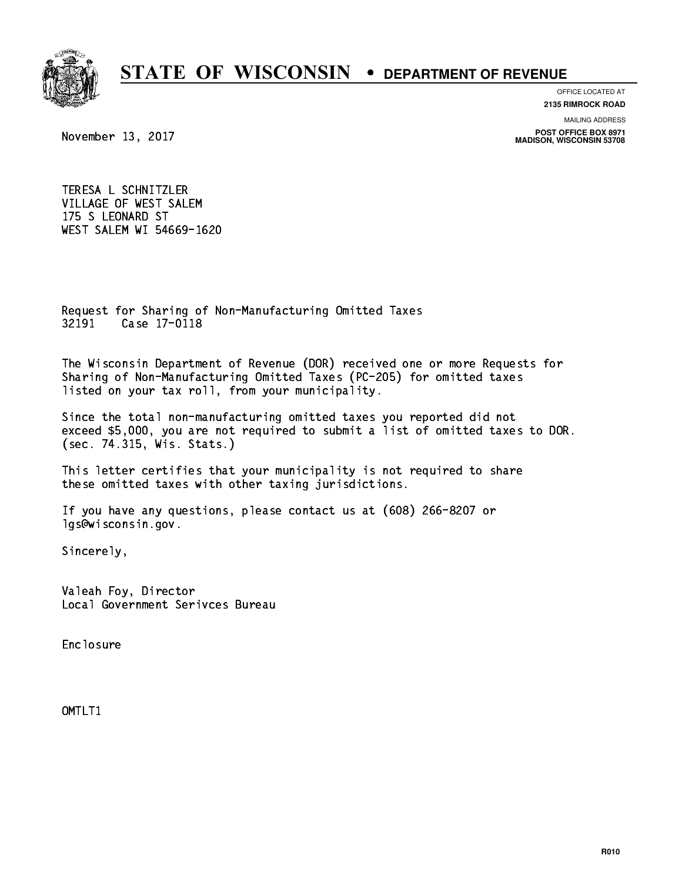

**OFFICE LOCATED AT**

**2135 RIMROCK ROAD**

**MAILING ADDRESS**

**POST OFFICE BOX 8971 MADISON, WISCONSIN 53708**

November 13, 2017

 TERESA L SCHNITZLER VILLAGE OF WEST SALEM 175 S LEONARD ST WEST SALEM WI 54669-1620

 Request for Sharing of Non-Manufacturing Omitted Taxes 32191 Case 17-0118 3222 Case 17-01

 The Wisconsin Department of Revenue (DOR) received one or more Requests for Sharing of Non-Manufacturing Omitted Taxes (PC-205) for omitted taxes listed on your tax roll, from your municipality.

 Since the total non-manufacturing omitted taxes you reported did not exceed \$5,000, you are not required to submit a list of omitted taxes to DOR. (sec. 74.315, Wis. Stats.)

 This letter certifies that your municipality is not required to share these omitted taxes with other taxing jurisdictions.

 If you have any questions, please contact us at (608) 266-8207 or lgs@wisconsin.gov.

Sincerely,

 Valeah Foy, Director Local Government Serivces Bureau

Enclosure Enclosure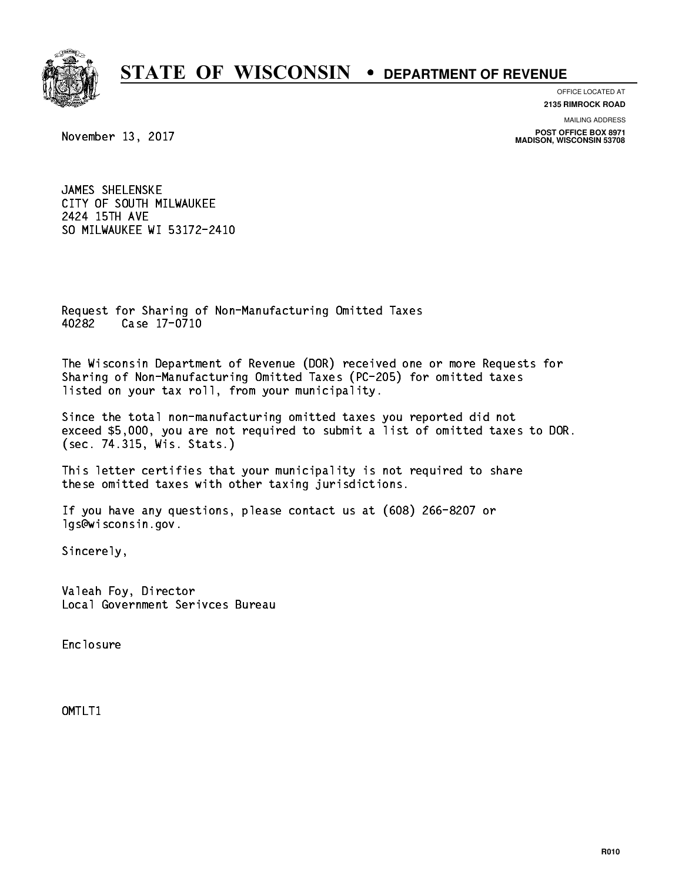

**OFFICE LOCATED AT**

**2135 RIMROCK ROAD**

**MAILING ADDRESS**

**POST OFFICE BOX 8971 MADISON, WISCONSIN 53708**

November 13, 2017

 JAMES SHELENSKE CITY OF SOUTH MILWAUKEE 2424 15TH AVE SO MILWAUKEE WI 53172-2410

 Request for Sharing of Non-Manufacturing Omitted Taxes Case 17-0710 40282

 The Wisconsin Department of Revenue (DOR) received one or more Requests for Sharing of Non-Manufacturing Omitted Taxes (PC-205) for omitted taxes listed on your tax roll, from your municipality.

 Since the total non-manufacturing omitted taxes you reported did not exceed \$5,000, you are not required to submit a list of omitted taxes to DOR. (sec. 74.315, Wis. Stats.)

 This letter certifies that your municipality is not required to share these omitted taxes with other taxing jurisdictions.

 If you have any questions, please contact us at (608) 266-8207 or lgs@wisconsin.gov.

Sincerely,

 Valeah Foy, Director Local Government Serivces Bureau

Enclosure Enclosure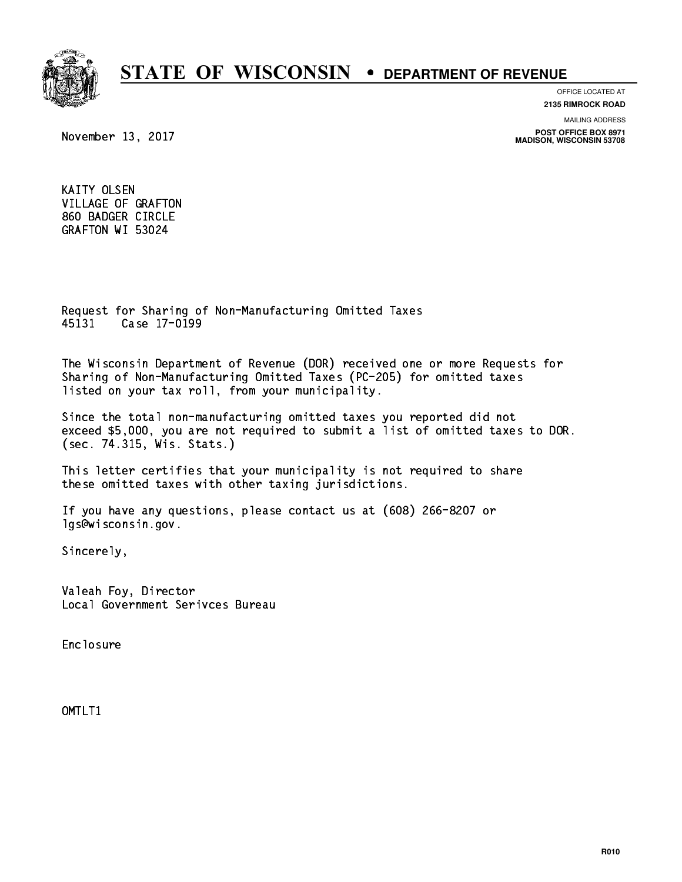

**OFFICE LOCATED AT 2135 RIMROCK ROAD**

**MAILING ADDRESS**

**POST OFFICE BOX 8971 MADISON, WISCONSIN 53708**

November 13, 2017

 KAITY OLSEN VILLAGE OF GRAFTON 860 BADGER CIRCLE GRAFTON WI 53024

 Request for Sharing of Non-Manufacturing Omitted Taxes 45131 Case 17-0199 45131 Case 17-0199

 The Wisconsin Department of Revenue (DOR) received one or more Requests for Sharing of Non-Manufacturing Omitted Taxes (PC-205) for omitted taxes listed on your tax roll, from your municipality.

 Since the total non-manufacturing omitted taxes you reported did not exceed \$5,000, you are not required to submit a list of omitted taxes to DOR. (sec. 74.315, Wis. Stats.)

 This letter certifies that your municipality is not required to share these omitted taxes with other taxing jurisdictions.

 If you have any questions, please contact us at (608) 266-8207 or lgs@wisconsin.gov.

Sincerely,

 Valeah Foy, Director Local Government Serivces Bureau

Enclosure Enclosure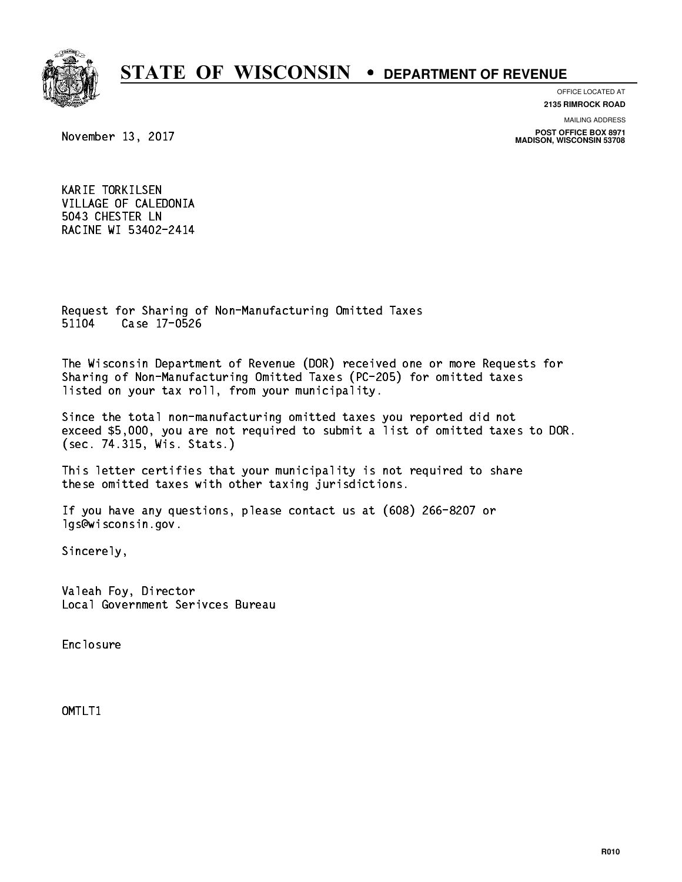

**OFFICE LOCATED AT**

**2135 RIMROCK ROAD**

**MAILING ADDRESS**

**POST OFFICE BOX 8971 MADISON, WISCONSIN 53708**

November 13, 2017

 KARIE TORKILSEN VILLAGE OF CALEDONIA 5043 CHESTER LN RACINE WI 53402-2414

 Request for Sharing of Non-Manufacturing Omitted Taxes 51104 Case 17-0526 511**04 Case 17-0626** 

 The Wisconsin Department of Revenue (DOR) received one or more Requests for Sharing of Non-Manufacturing Omitted Taxes (PC-205) for omitted taxes listed on your tax roll, from your municipality.

 Since the total non-manufacturing omitted taxes you reported did not exceed \$5,000, you are not required to submit a list of omitted taxes to DOR. (sec. 74.315, Wis. Stats.)

 This letter certifies that your municipality is not required to share these omitted taxes with other taxing jurisdictions.

 If you have any questions, please contact us at (608) 266-8207 or lgs@wisconsin.gov.

Sincerely,

 Valeah Foy, Director Local Government Serivces Bureau

Enclosure Enclosure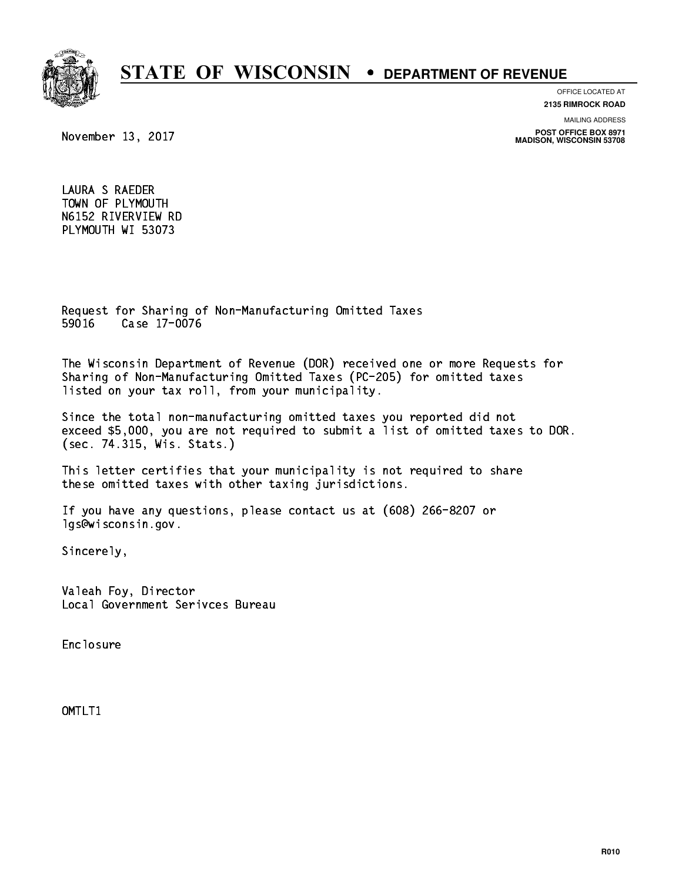

#### **OFFICE LOCATED AT**

**2135 RIMROCK ROAD**

**MAILING ADDRESS**

**POST OFFICE BOX 8971 MADISON, WISCONSIN 53708**

November 13, 2017

 LAURA S RAEDER TOWN OF PLYMOUTH N6152 RIVERVIEW RD PLYMOUTH WI 53073

 Request for Sharing of Non-Manufacturing Omitted Taxes 59016 Case 17-0076 59016 Case 17-0076

 The Wisconsin Department of Revenue (DOR) received one or more Requests for Sharing of Non-Manufacturing Omitted Taxes (PC-205) for omitted taxes listed on your tax roll, from your municipality.

 Since the total non-manufacturing omitted taxes you reported did not exceed \$5,000, you are not required to submit a list of omitted taxes to DOR. (sec. 74.315, Wis. Stats.)

 This letter certifies that your municipality is not required to share these omitted taxes with other taxing jurisdictions.

 If you have any questions, please contact us at (608) 266-8207 or lgs@wisconsin.gov.

Sincerely,

 Valeah Foy, Director Local Government Serivces Bureau

Enclosure Enclosure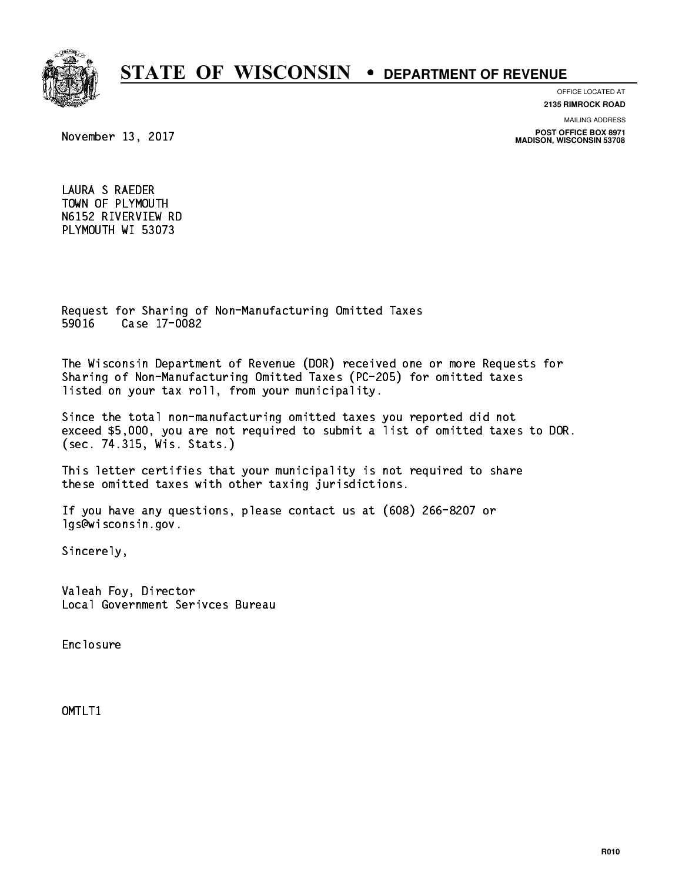

### **OFFICE LOCATED AT**

**2135 RIMROCK ROAD**

**MAILING ADDRESS**

**POST OFFICE BOX 8971 MADISON, WISCONSIN 53708**

November 13, 2017

 LAURA S RAEDER TOWN OF PLYMOUTH N6152 RIVERVIEW RD PLYMOUTH WI 53073

 Request for Sharing of Non-Manufacturing Omitted Taxes 59016 Case 17-0082 59016 Case 17-0082

 The Wisconsin Department of Revenue (DOR) received one or more Requests for Sharing of Non-Manufacturing Omitted Taxes (PC-205) for omitted taxes listed on your tax roll, from your municipality.

 Since the total non-manufacturing omitted taxes you reported did not exceed \$5,000, you are not required to submit a list of omitted taxes to DOR. (sec. 74.315, Wis. Stats.)

 This letter certifies that your municipality is not required to share these omitted taxes with other taxing jurisdictions.

 If you have any questions, please contact us at (608) 266-8207 or lgs@wisconsin.gov.

Sincerely,

 Valeah Foy, Director Local Government Serivces Bureau

Enclosure Enclosure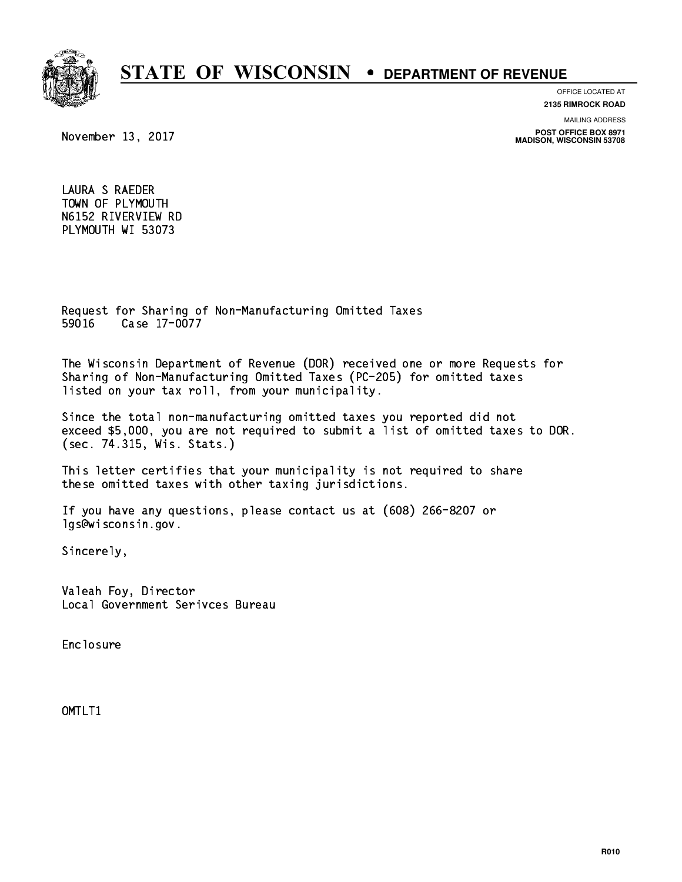

### **OFFICE LOCATED AT**

**2135 RIMROCK ROAD**

**MAILING ADDRESS**

**POST OFFICE BOX 8971 MADISON, WISCONSIN 53708**

November 13, 2017

 LAURA S RAEDER TOWN OF PLYMOUTH N6152 RIVERVIEW RD PLYMOUTH WI 53073

 Request for Sharing of Non-Manufacturing Omitted Taxes 59016 Case 17-0077 59016 Case 17-007-007-007

 The Wisconsin Department of Revenue (DOR) received one or more Requests for Sharing of Non-Manufacturing Omitted Taxes (PC-205) for omitted taxes listed on your tax roll, from your municipality.

 Since the total non-manufacturing omitted taxes you reported did not exceed \$5,000, you are not required to submit a list of omitted taxes to DOR. (sec. 74.315, Wis. Stats.)

 This letter certifies that your municipality is not required to share these omitted taxes with other taxing jurisdictions.

 If you have any questions, please contact us at (608) 266-8207 or lgs@wisconsin.gov.

Sincerely,

 Valeah Foy, Director Local Government Serivces Bureau

Enclosure Enclosure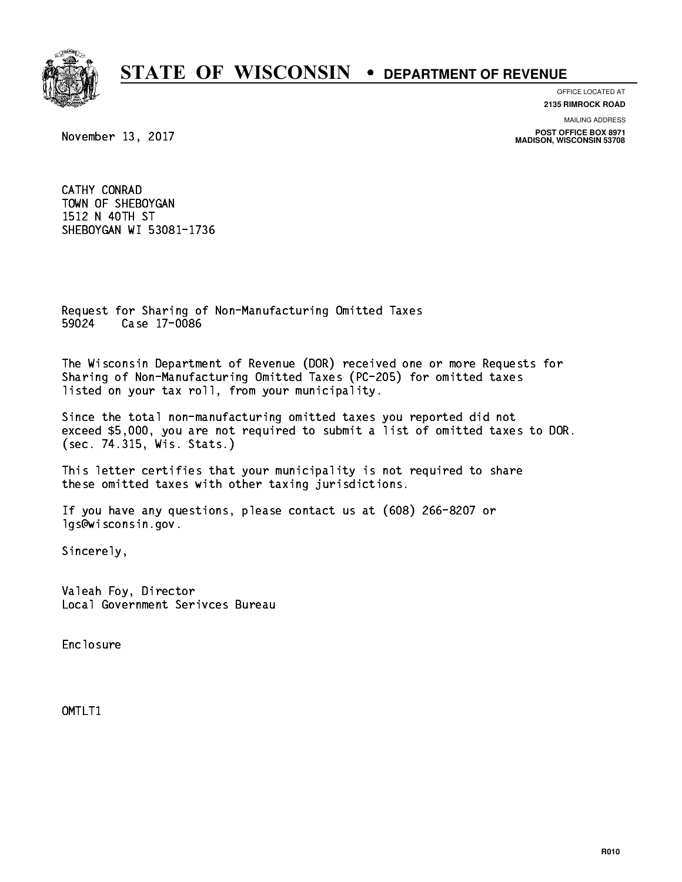

**OFFICE LOCATED AT 2135 RIMROCK ROAD**

**MAILING ADDRESS**

**POST OFFICE BOX 8971 MADISON, WISCONSIN 53708**

November 13, 2017

 CATHY CONRAD TOWN OF SHEBOYGAN 1512 N 40TH ST SHEBOYGAN WI 53081-1736

 Request for Sharing of Non-Manufacturing Omitted Taxes 59024 Case 17-0086 59024 Case 17-0086

 The Wisconsin Department of Revenue (DOR) received one or more Requests for Sharing of Non-Manufacturing Omitted Taxes (PC-205) for omitted taxes listed on your tax roll, from your municipality.

 Since the total non-manufacturing omitted taxes you reported did not exceed \$5,000, you are not required to submit a list of omitted taxes to DOR. (sec. 74.315, Wis. Stats.)

 This letter certifies that your municipality is not required to share these omitted taxes with other taxing jurisdictions.

 If you have any questions, please contact us at (608) 266-8207 or lgs@wisconsin.gov.

Sincerely,

 Valeah Foy, Director Local Government Serivces Bureau

Enclosure Enclosure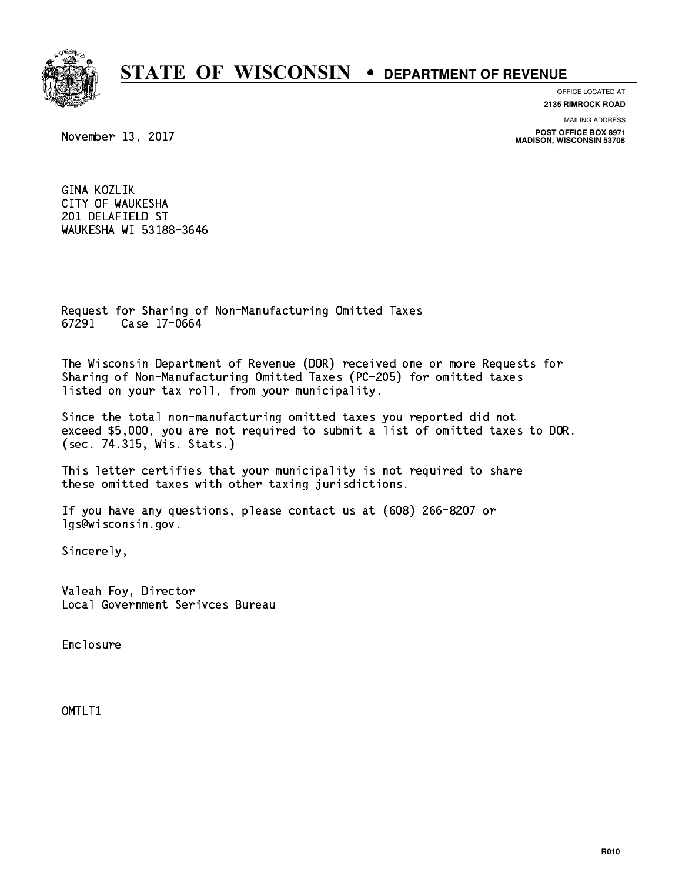

**OFFICE LOCATED AT**

**2135 RIMROCK ROAD**

**MAILING ADDRESS**

**POST OFFICE BOX 8971 MADISON, WISCONSIN 53708**

November 13, 2017

 GINA KOZLIK CITY OF WAUKESHA 201 DELAFIELD ST WAUKESHA WI 53188-3646

 Request for Sharing of Non-Manufacturing Omitted Taxes 67291 Case 17-0664 67291 Case 17-0664

 The Wisconsin Department of Revenue (DOR) received one or more Requests for Sharing of Non-Manufacturing Omitted Taxes (PC-205) for omitted taxes listed on your tax roll, from your municipality.

 Since the total non-manufacturing omitted taxes you reported did not exceed \$5,000, you are not required to submit a list of omitted taxes to DOR. (sec. 74.315, Wis. Stats.)

 This letter certifies that your municipality is not required to share these omitted taxes with other taxing jurisdictions.

 If you have any questions, please contact us at (608) 266-8207 or lgs@wisconsin.gov.

Sincerely,

 Valeah Foy, Director Local Government Serivces Bureau

Enclosure Enclosure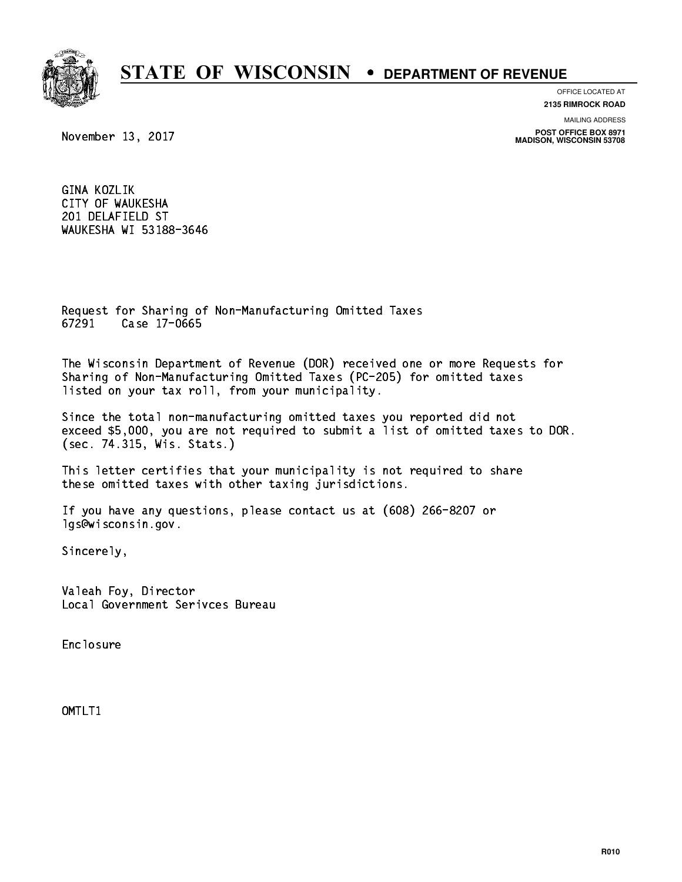

**OFFICE LOCATED AT**

**2135 RIMROCK ROAD**

**MAILING ADDRESS**

**POST OFFICE BOX 8971 MADISON, WISCONSIN 53708**

November 13, 2017

 GINA KOZLIK CITY OF WAUKESHA 201 DELAFIELD ST WAUKESHA WI 53188-3646

 Request for Sharing of Non-Manufacturing Omitted Taxes 67291 Case 17-0665 67291 Case 17-0665

 The Wisconsin Department of Revenue (DOR) received one or more Requests for Sharing of Non-Manufacturing Omitted Taxes (PC-205) for omitted taxes listed on your tax roll, from your municipality.

 Since the total non-manufacturing omitted taxes you reported did not exceed \$5,000, you are not required to submit a list of omitted taxes to DOR. (sec. 74.315, Wis. Stats.)

 This letter certifies that your municipality is not required to share these omitted taxes with other taxing jurisdictions.

 If you have any questions, please contact us at (608) 266-8207 or lgs@wisconsin.gov.

Sincerely,

 Valeah Foy, Director Local Government Serivces Bureau

Enclosure Enclosure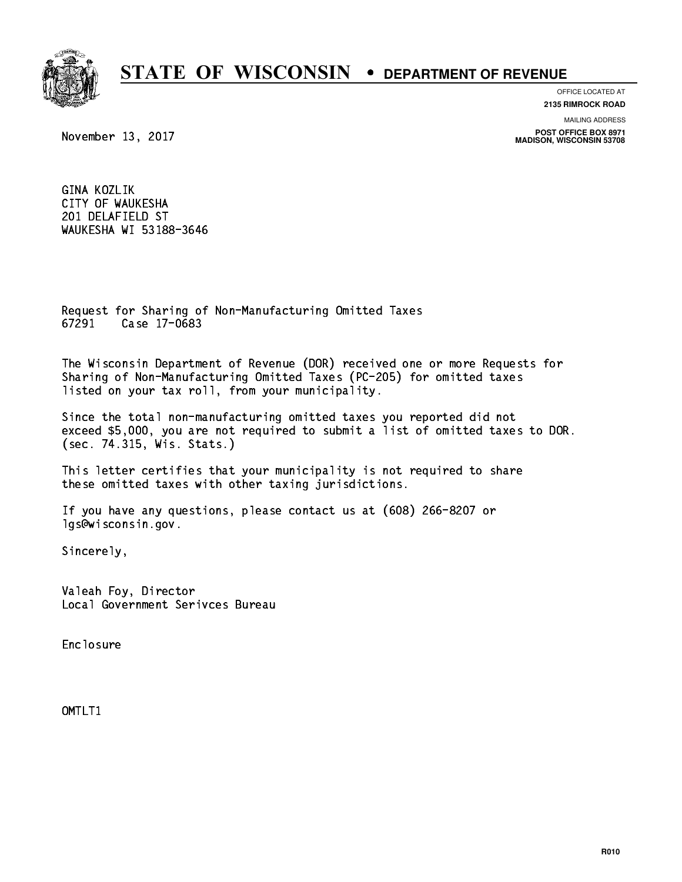

**OFFICE LOCATED AT**

**2135 RIMROCK ROAD**

**MAILING ADDRESS**

**POST OFFICE BOX 8971 MADISON, WISCONSIN 53708**

November 13, 2017

 GINA KOZLIK CITY OF WAUKESHA 201 DELAFIELD ST WAUKESHA WI 53188-3646

 Request for Sharing of Non-Manufacturing Omitted Taxes 67291 Case 17-0683 67291 Case 17-0683

 The Wisconsin Department of Revenue (DOR) received one or more Requests for Sharing of Non-Manufacturing Omitted Taxes (PC-205) for omitted taxes listed on your tax roll, from your municipality.

 Since the total non-manufacturing omitted taxes you reported did not exceed \$5,000, you are not required to submit a list of omitted taxes to DOR. (sec. 74.315, Wis. Stats.)

 This letter certifies that your municipality is not required to share these omitted taxes with other taxing jurisdictions.

 If you have any questions, please contact us at (608) 266-8207 or lgs@wisconsin.gov.

Sincerely,

 Valeah Foy, Director Local Government Serivces Bureau

Enclosure Enclosure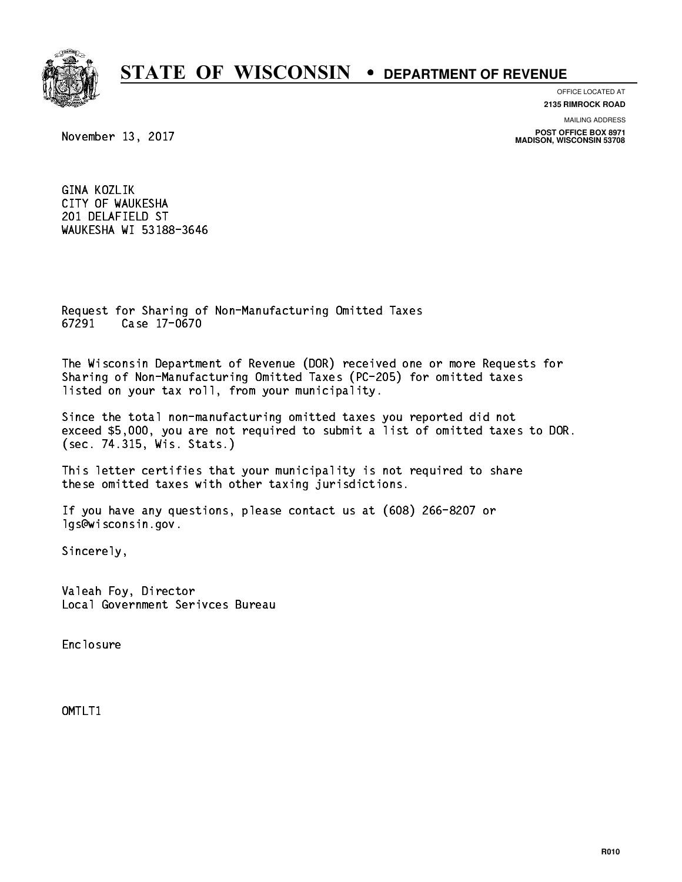

**OFFICE LOCATED AT**

**2135 RIMROCK ROAD**

**MAILING ADDRESS**

**POST OFFICE BOX 8971 MADISON, WISCONSIN 53708**

November 13, 2017

 GINA KOZLIK CITY OF WAUKESHA 201 DELAFIELD ST WAUKESHA WI 53188-3646

 Request for Sharing of Non-Manufacturing Omitted Taxes 67291 Case 17-0670 67291 Case 17-0670

 The Wisconsin Department of Revenue (DOR) received one or more Requests for Sharing of Non-Manufacturing Omitted Taxes (PC-205) for omitted taxes listed on your tax roll, from your municipality.

 Since the total non-manufacturing omitted taxes you reported did not exceed \$5,000, you are not required to submit a list of omitted taxes to DOR. (sec. 74.315, Wis. Stats.)

 This letter certifies that your municipality is not required to share these omitted taxes with other taxing jurisdictions.

 If you have any questions, please contact us at (608) 266-8207 or lgs@wisconsin.gov.

Sincerely,

 Valeah Foy, Director Local Government Serivces Bureau

Enclosure Enclosure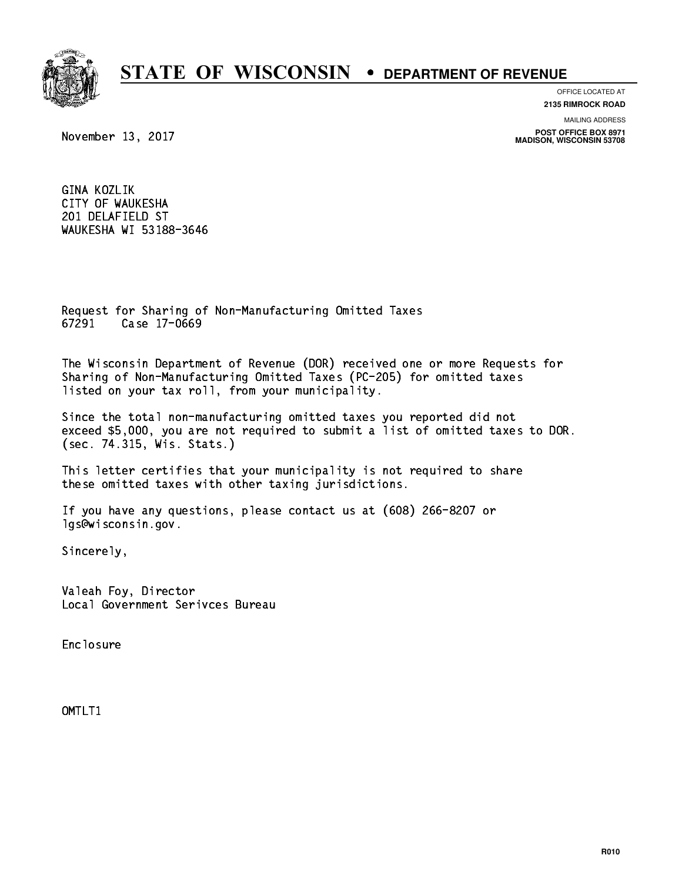

**OFFICE LOCATED AT**

**2135 RIMROCK ROAD**

**MAILING ADDRESS**

**POST OFFICE BOX 8971 MADISON, WISCONSIN 53708**

November 13, 2017

 GINA KOZLIK CITY OF WAUKESHA 201 DELAFIELD ST WAUKESHA WI 53188-3646

 Request for Sharing of Non-Manufacturing Omitted Taxes 67291 Case 17-0669 67291 Case 17-0669

 The Wisconsin Department of Revenue (DOR) received one or more Requests for Sharing of Non-Manufacturing Omitted Taxes (PC-205) for omitted taxes listed on your tax roll, from your municipality.

 Since the total non-manufacturing omitted taxes you reported did not exceed \$5,000, you are not required to submit a list of omitted taxes to DOR. (sec. 74.315, Wis. Stats.)

 This letter certifies that your municipality is not required to share these omitted taxes with other taxing jurisdictions.

 If you have any questions, please contact us at (608) 266-8207 or lgs@wisconsin.gov.

Sincerely,

 Valeah Foy, Director Local Government Serivces Bureau

Enclosure Enclosure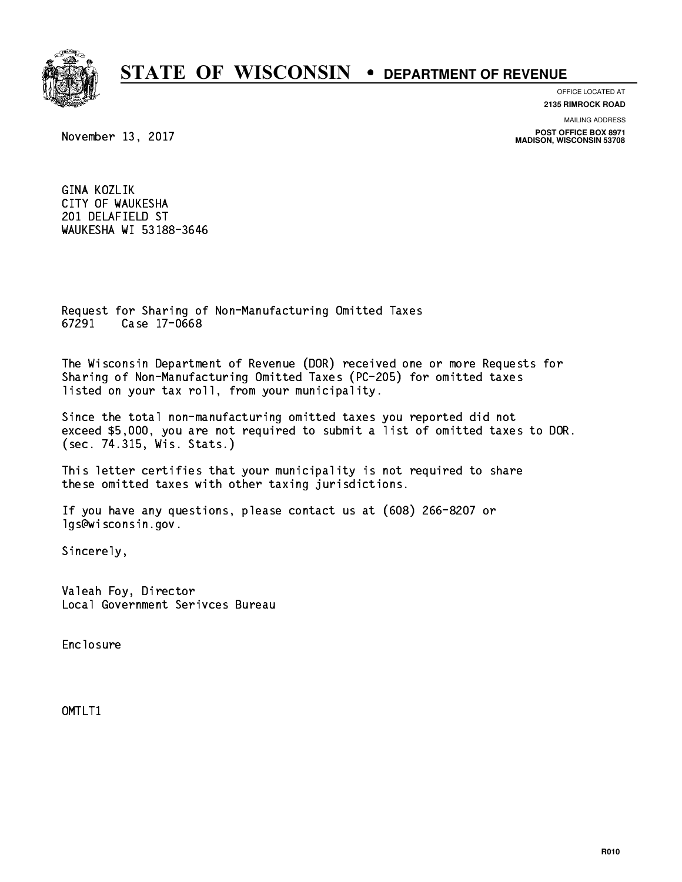

**OFFICE LOCATED AT**

**2135 RIMROCK ROAD**

**MAILING ADDRESS**

**POST OFFICE BOX 8971 MADISON, WISCONSIN 53708**

November 13, 2017

 GINA KOZLIK CITY OF WAUKESHA 201 DELAFIELD ST WAUKESHA WI 53188-3646

 Request for Sharing of Non-Manufacturing Omitted Taxes 67291 Case 17-0668 67291 Case 17-0668

 The Wisconsin Department of Revenue (DOR) received one or more Requests for Sharing of Non-Manufacturing Omitted Taxes (PC-205) for omitted taxes listed on your tax roll, from your municipality.

 Since the total non-manufacturing omitted taxes you reported did not exceed \$5,000, you are not required to submit a list of omitted taxes to DOR. (sec. 74.315, Wis. Stats.)

 This letter certifies that your municipality is not required to share these omitted taxes with other taxing jurisdictions.

 If you have any questions, please contact us at (608) 266-8207 or lgs@wisconsin.gov.

Sincerely,

 Valeah Foy, Director Local Government Serivces Bureau

Enclosure Enclosure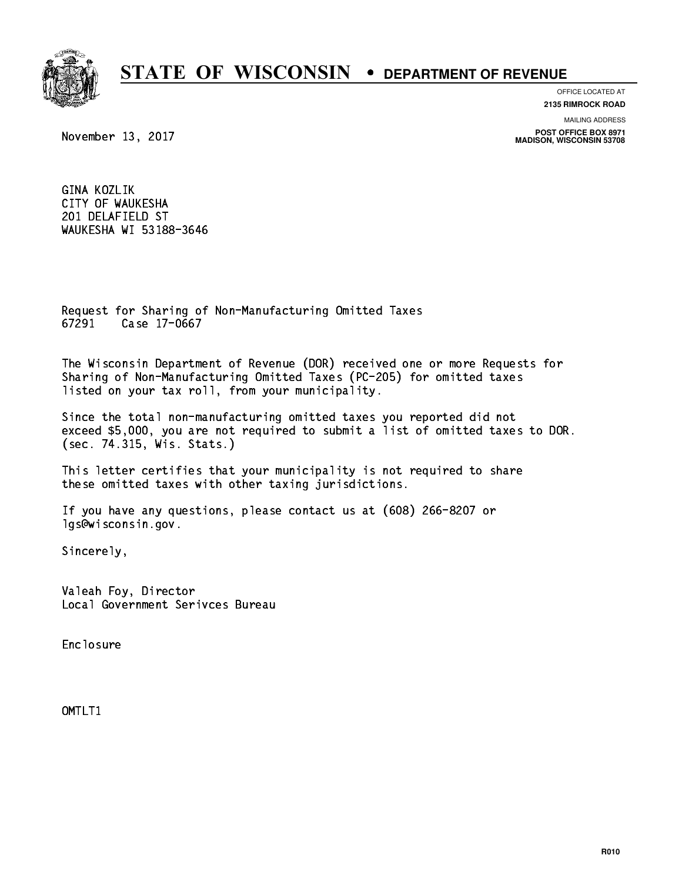

**OFFICE LOCATED AT**

**2135 RIMROCK ROAD**

**MAILING ADDRESS**

**POST OFFICE BOX 8971 MADISON, WISCONSIN 53708**

November 13, 2017

 GINA KOZLIK CITY OF WAUKESHA 201 DELAFIELD ST WAUKESHA WI 53188-3646

 Request for Sharing of Non-Manufacturing Omitted Taxes 67291 Case 17-0667 67291 Case 17-0667

 The Wisconsin Department of Revenue (DOR) received one or more Requests for Sharing of Non-Manufacturing Omitted Taxes (PC-205) for omitted taxes listed on your tax roll, from your municipality.

 Since the total non-manufacturing omitted taxes you reported did not exceed \$5,000, you are not required to submit a list of omitted taxes to DOR. (sec. 74.315, Wis. Stats.)

 This letter certifies that your municipality is not required to share these omitted taxes with other taxing jurisdictions.

 If you have any questions, please contact us at (608) 266-8207 or lgs@wisconsin.gov.

Sincerely,

 Valeah Foy, Director Local Government Serivces Bureau

Enclosure Enclosure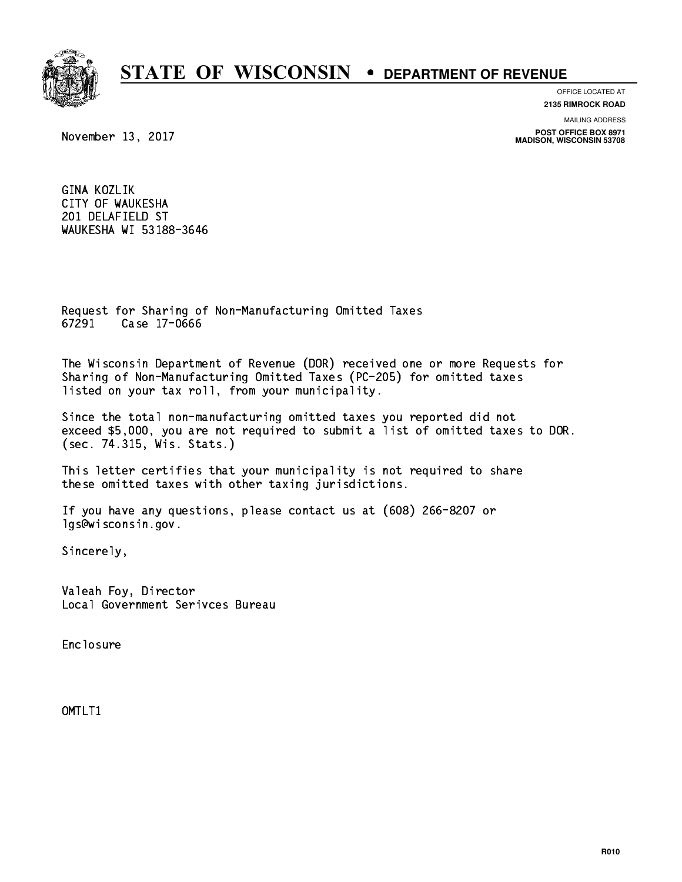

**OFFICE LOCATED AT**

**2135 RIMROCK ROAD**

**MAILING ADDRESS**

**POST OFFICE BOX 8971 MADISON, WISCONSIN 53708**

November 13, 2017

 GINA KOZLIK CITY OF WAUKESHA 201 DELAFIELD ST WAUKESHA WI 53188-3646

 Request for Sharing of Non-Manufacturing Omitted Taxes 67291 Case 17-0666 67291 Case 17-0666

 The Wisconsin Department of Revenue (DOR) received one or more Requests for Sharing of Non-Manufacturing Omitted Taxes (PC-205) for omitted taxes listed on your tax roll, from your municipality.

 Since the total non-manufacturing omitted taxes you reported did not exceed \$5,000, you are not required to submit a list of omitted taxes to DOR. (sec. 74.315, Wis. Stats.)

 This letter certifies that your municipality is not required to share these omitted taxes with other taxing jurisdictions.

 If you have any questions, please contact us at (608) 266-8207 or lgs@wisconsin.gov.

Sincerely,

 Valeah Foy, Director Local Government Serivces Bureau

Enclosure Enclosure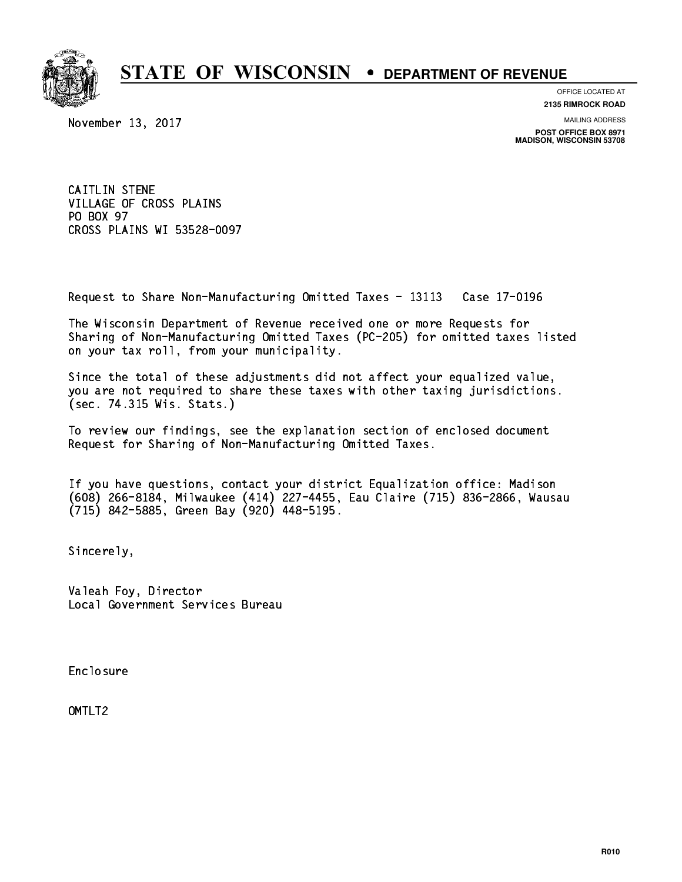

**OFFICE LOCATED AT**

**2135 RIMROCK ROAD**

November 13, 2017

**MAILING ADDRESS**

**POST OFFICE BOX 8971 MADISON, WISCONSIN 53708**

 CAITLIN STENE VILLAGE OF CROSS PLAINS PO BOX 97 PO BOX 97 CROSS PLAINS WI 53528-0097

Request to Share Non-Manufacturing Omitted Taxes - 13113 Case 17-0196

 The Wisconsin Department of Revenue received one or more Requests for Sharing of Non-Manufacturing Omitted Taxes (PC-205) for omitted taxes listed on your tax roll, from your municipality.

 Since the total of these adjustments did not affect your equalized value, you are not required to share these taxes with other taxing jurisdictions. (sec. 74.315 Wis. Stats.)

 To review our findings, see the explanation section of enclosed document Request for Sharing of Non-Manufacturing Omitted Taxes.

 If you have questions, contact your district Equalization office: Madison (608) 266-8184, Milwaukee (414) 227-4455, Eau Claire (715) 836-2866, Wausau (715) 842-5885, Green Bay (920) 448-5195.

Sincerely,

 Valeah Foy, Director Local Government Services Bureau

Enclosure Enclosure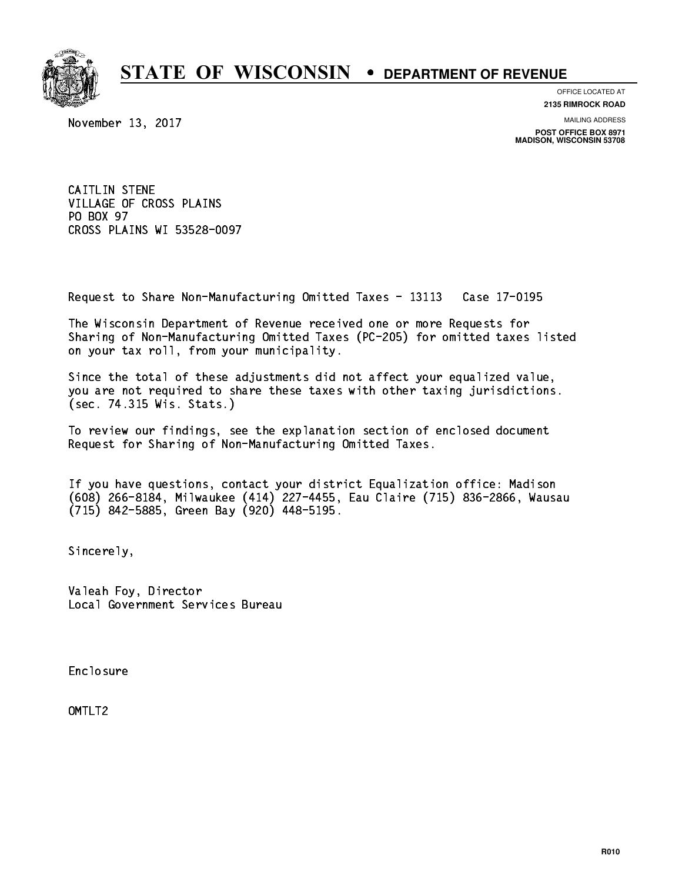

**OFFICE LOCATED AT**

**2135 RIMROCK ROAD**

November 13, 2017

**MAILING ADDRESS**

**POST OFFICE BOX 8971 MADISON, WISCONSIN 53708**

 CAITLIN STENE VILLAGE OF CROSS PLAINS PO BOX 97 PO BOX 97 CROSS PLAINS WI 53528-0097

Request to Share Non-Manufacturing Omitted Taxes - 13113 Case 17-0195

 The Wisconsin Department of Revenue received one or more Requests for Sharing of Non-Manufacturing Omitted Taxes (PC-205) for omitted taxes listed on your tax roll, from your municipality.

 Since the total of these adjustments did not affect your equalized value, you are not required to share these taxes with other taxing jurisdictions. (sec. 74.315 Wis. Stats.)

 To review our findings, see the explanation section of enclosed document Request for Sharing of Non-Manufacturing Omitted Taxes.

 If you have questions, contact your district Equalization office: Madison (608) 266-8184, Milwaukee (414) 227-4455, Eau Claire (715) 836-2866, Wausau (715) 842-5885, Green Bay (920) 448-5195.

Sincerely,

 Valeah Foy, Director Local Government Services Bureau

Enclosure Enclosure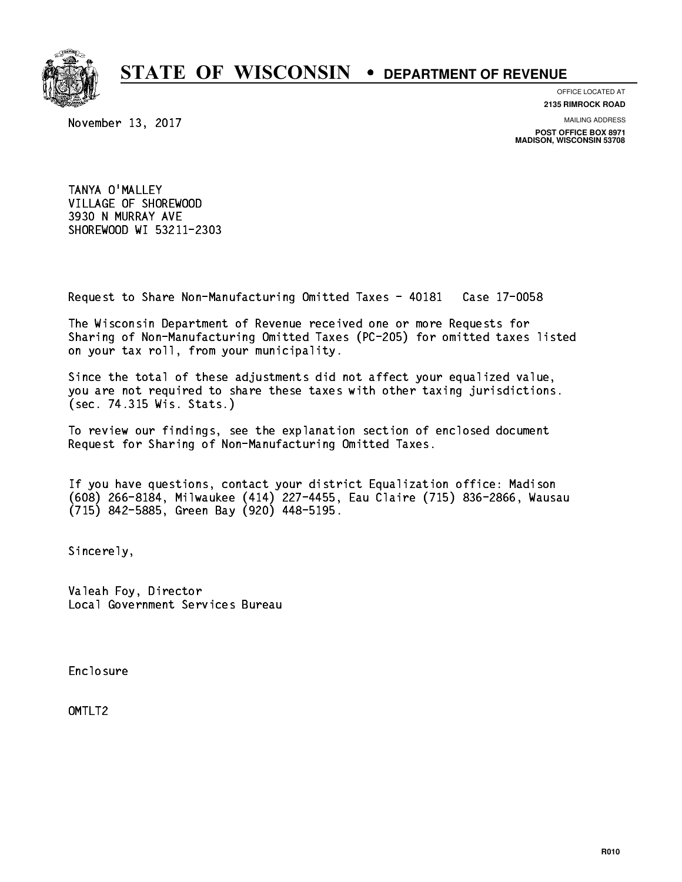

**OFFICE LOCATED AT**

**2135 RIMROCK ROAD**

November 13, 2017

**MAILING ADDRESS**

**POST OFFICE BOX 8971 MADISON, WISCONSIN 53708**

 TANYA O'MALLEY VILLAGE OF SHOREWOOD 3930 N MURRAY AVE SHOREWOOD WI 53211-2303

Request to Share Non-Manufacturing Omitted Taxes - 40181 Case 17-0058

 The Wisconsin Department of Revenue received one or more Requests for Sharing of Non-Manufacturing Omitted Taxes (PC-205) for omitted taxes listed on your tax roll, from your municipality.

 Since the total of these adjustments did not affect your equalized value, you are not required to share these taxes with other taxing jurisdictions. (sec. 74.315 Wis. Stats.)

 To review our findings, see the explanation section of enclosed document Request for Sharing of Non-Manufacturing Omitted Taxes.

 If you have questions, contact your district Equalization office: Madison (608) 266-8184, Milwaukee (414) 227-4455, Eau Claire (715) 836-2866, Wausau (715) 842-5885, Green Bay (920) 448-5195.

Sincerely,

 Valeah Foy, Director Local Government Services Bureau

Enclosure Enclosure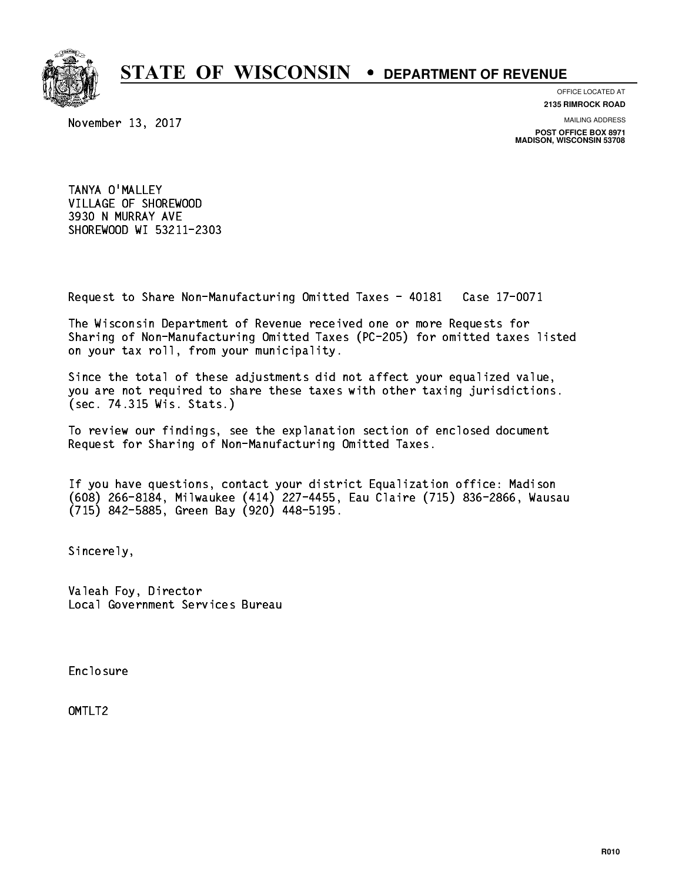

**OFFICE LOCATED AT**

**2135 RIMROCK ROAD**

November 13, 2017

**MAILING ADDRESS**

**POST OFFICE BOX 8971 MADISON, WISCONSIN 53708**

 TANYA O'MALLEY VILLAGE OF SHOREWOOD 3930 N MURRAY AVE SHOREWOOD WI 53211-2303

Request to Share Non-Manufacturing Omitted Taxes - 40181 Case 17-0071

 The Wisconsin Department of Revenue received one or more Requests for Sharing of Non-Manufacturing Omitted Taxes (PC-205) for omitted taxes listed on your tax roll, from your municipality.

 Since the total of these adjustments did not affect your equalized value, you are not required to share these taxes with other taxing jurisdictions. (sec. 74.315 Wis. Stats.)

 To review our findings, see the explanation section of enclosed document Request for Sharing of Non-Manufacturing Omitted Taxes.

 If you have questions, contact your district Equalization office: Madison (608) 266-8184, Milwaukee (414) 227-4455, Eau Claire (715) 836-2866, Wausau (715) 842-5885, Green Bay (920) 448-5195.

Sincerely,

 Valeah Foy, Director Local Government Services Bureau

Enclosure Enclosure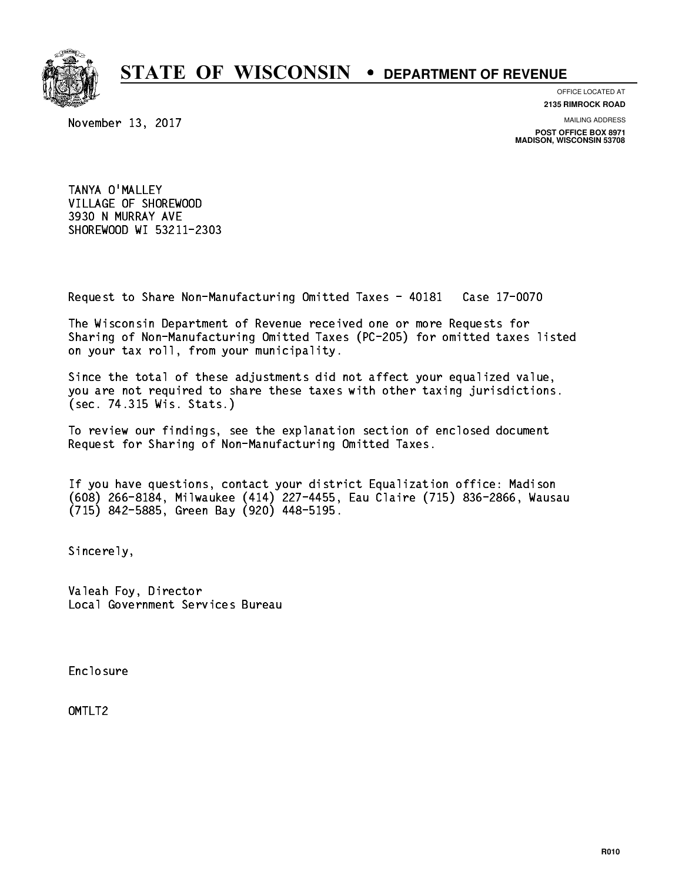

**OFFICE LOCATED AT**

**2135 RIMROCK ROAD**

November 13, 2017

**MAILING ADDRESS**

**POST OFFICE BOX 8971 MADISON, WISCONSIN 53708**

 TANYA O'MALLEY VILLAGE OF SHOREWOOD 3930 N MURRAY AVE SHOREWOOD WI 53211-2303

Request to Share Non-Manufacturing Omitted Taxes - 40181 Case 17-0070

 The Wisconsin Department of Revenue received one or more Requests for Sharing of Non-Manufacturing Omitted Taxes (PC-205) for omitted taxes listed on your tax roll, from your municipality.

 Since the total of these adjustments did not affect your equalized value, you are not required to share these taxes with other taxing jurisdictions. (sec. 74.315 Wis. Stats.)

 To review our findings, see the explanation section of enclosed document Request for Sharing of Non-Manufacturing Omitted Taxes.

 If you have questions, contact your district Equalization office: Madison (608) 266-8184, Milwaukee (414) 227-4455, Eau Claire (715) 836-2866, Wausau (715) 842-5885, Green Bay (920) 448-5195.

Sincerely,

 Valeah Foy, Director Local Government Services Bureau

Enclosure Enclosure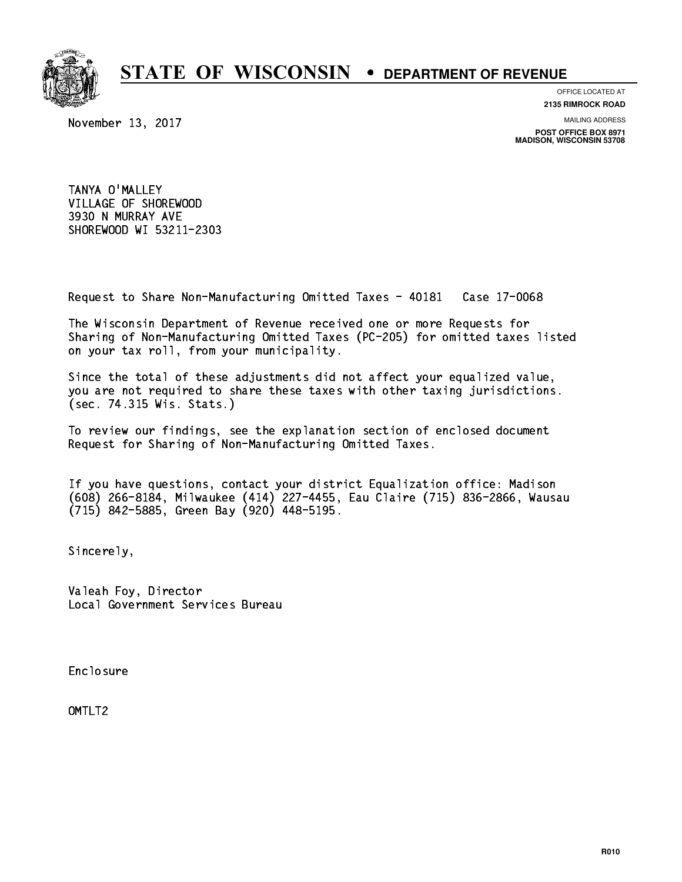

**OFFICE LOCATED AT**

**2135 RIMROCK ROAD**

November 13, 2017

**MAILING ADDRESS**

**POST OFFICE BOX 8971 MADISON, WISCONSIN 53708**

 TANYA O'MALLEY VILLAGE OF SHOREWOOD 3930 N MURRAY AVE SHOREWOOD WI 53211-2303

Request to Share Non-Manufacturing Omitted Taxes - 40181 Case 17-0068

 The Wisconsin Department of Revenue received one or more Requests for Sharing of Non-Manufacturing Omitted Taxes (PC-205) for omitted taxes listed on your tax roll, from your municipality.

 Since the total of these adjustments did not affect your equalized value, you are not required to share these taxes with other taxing jurisdictions. (sec. 74.315 Wis. Stats.)

 To review our findings, see the explanation section of enclosed document Request for Sharing of Non-Manufacturing Omitted Taxes.

 If you have questions, contact your district Equalization office: Madison (608) 266-8184, Milwaukee (414) 227-4455, Eau Claire (715) 836-2866, Wausau (715) 842-5885, Green Bay (920) 448-5195.

Sincerely,

 Valeah Foy, Director Local Government Services Bureau

Enclosure Enclosure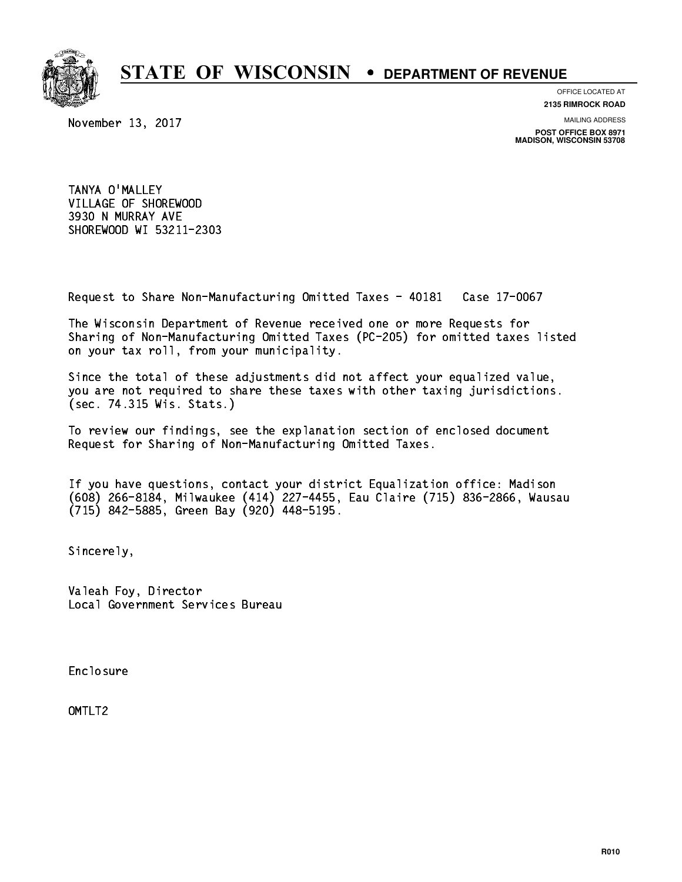

**OFFICE LOCATED AT**

November 13, 2017

**2135 RIMROCK ROAD**

**MAILING ADDRESS**

**POST OFFICE BOX 8971 MADISON, WISCONSIN 53708**

 TANYA O'MALLEY VILLAGE OF SHOREWOOD 3930 N MURRAY AVE SHOREWOOD WI 53211-2303

Request to Share Non-Manufacturing Omitted Taxes - 40181 Case 17-0067

 The Wisconsin Department of Revenue received one or more Requests for Sharing of Non-Manufacturing Omitted Taxes (PC-205) for omitted taxes listed on your tax roll, from your municipality.

 Since the total of these adjustments did not affect your equalized value, you are not required to share these taxes with other taxing jurisdictions. (sec. 74.315 Wis. Stats.)

 To review our findings, see the explanation section of enclosed document Request for Sharing of Non-Manufacturing Omitted Taxes.

 If you have questions, contact your district Equalization office: Madison (608) 266-8184, Milwaukee (414) 227-4455, Eau Claire (715) 836-2866, Wausau (715) 842-5885, Green Bay (920) 448-5195.

Sincerely,

 Valeah Foy, Director Local Government Services Bureau

Enclosure Enclosure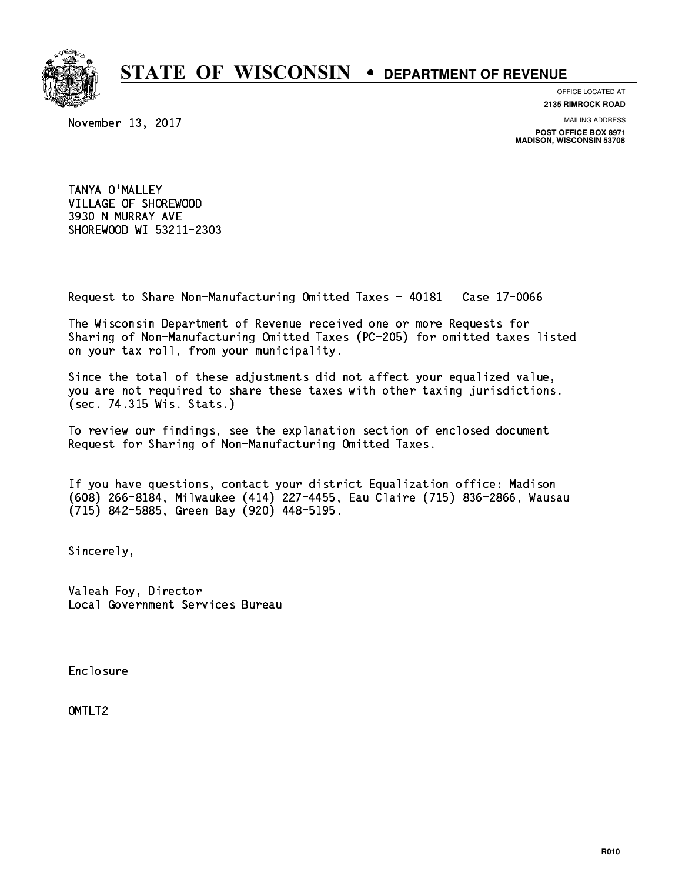

**OFFICE LOCATED AT**

November 13, 2017

**2135 RIMROCK ROAD**

**MAILING ADDRESS**

**POST OFFICE BOX 8971 MADISON, WISCONSIN 53708**

 TANYA O'MALLEY VILLAGE OF SHOREWOOD 3930 N MURRAY AVE SHOREWOOD WI 53211-2303

Request to Share Non-Manufacturing Omitted Taxes - 40181 Case 17-0066

 The Wisconsin Department of Revenue received one or more Requests for Sharing of Non-Manufacturing Omitted Taxes (PC-205) for omitted taxes listed on your tax roll, from your municipality.

 Since the total of these adjustments did not affect your equalized value, you are not required to share these taxes with other taxing jurisdictions. (sec. 74.315 Wis. Stats.)

 To review our findings, see the explanation section of enclosed document Request for Sharing of Non-Manufacturing Omitted Taxes.

 If you have questions, contact your district Equalization office: Madison (608) 266-8184, Milwaukee (414) 227-4455, Eau Claire (715) 836-2866, Wausau (715) 842-5885, Green Bay (920) 448-5195.

Sincerely,

 Valeah Foy, Director Local Government Services Bureau

Enclosure Enclosure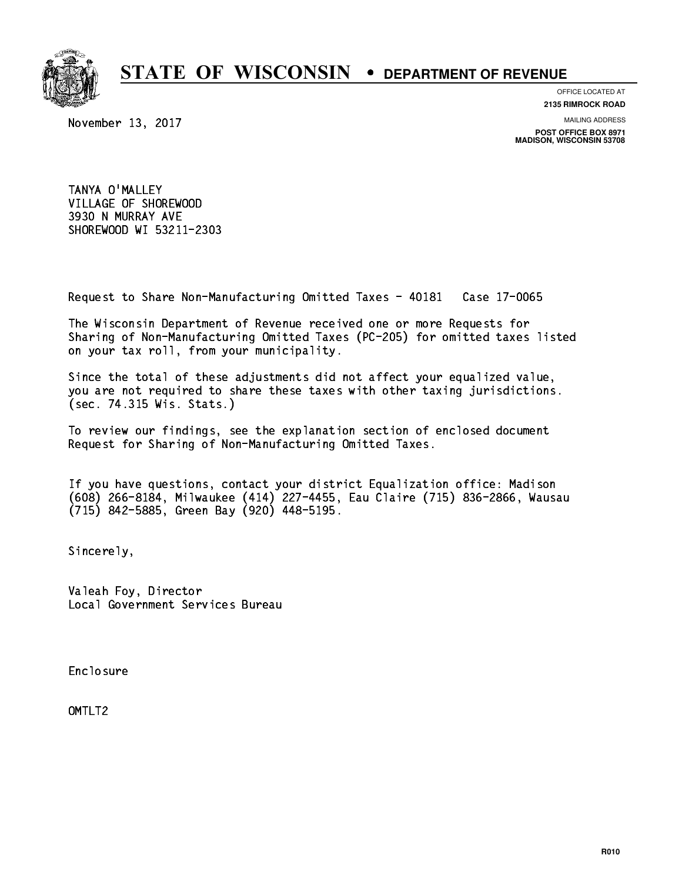

**OFFICE LOCATED AT**

**2135 RIMROCK ROAD**

November 13, 2017

**MAILING ADDRESS**

**POST OFFICE BOX 8971 MADISON, WISCONSIN 53708**

 TANYA O'MALLEY VILLAGE OF SHOREWOOD 3930 N MURRAY AVE SHOREWOOD WI 53211-2303

Request to Share Non-Manufacturing Omitted Taxes - 40181 Case 17-0065

 The Wisconsin Department of Revenue received one or more Requests for Sharing of Non-Manufacturing Omitted Taxes (PC-205) for omitted taxes listed on your tax roll, from your municipality.

 Since the total of these adjustments did not affect your equalized value, you are not required to share these taxes with other taxing jurisdictions. (sec. 74.315 Wis. Stats.)

 To review our findings, see the explanation section of enclosed document Request for Sharing of Non-Manufacturing Omitted Taxes.

 If you have questions, contact your district Equalization office: Madison (608) 266-8184, Milwaukee (414) 227-4455, Eau Claire (715) 836-2866, Wausau (715) 842-5885, Green Bay (920) 448-5195.

Sincerely,

 Valeah Foy, Director Local Government Services Bureau

Enclosure Enclosure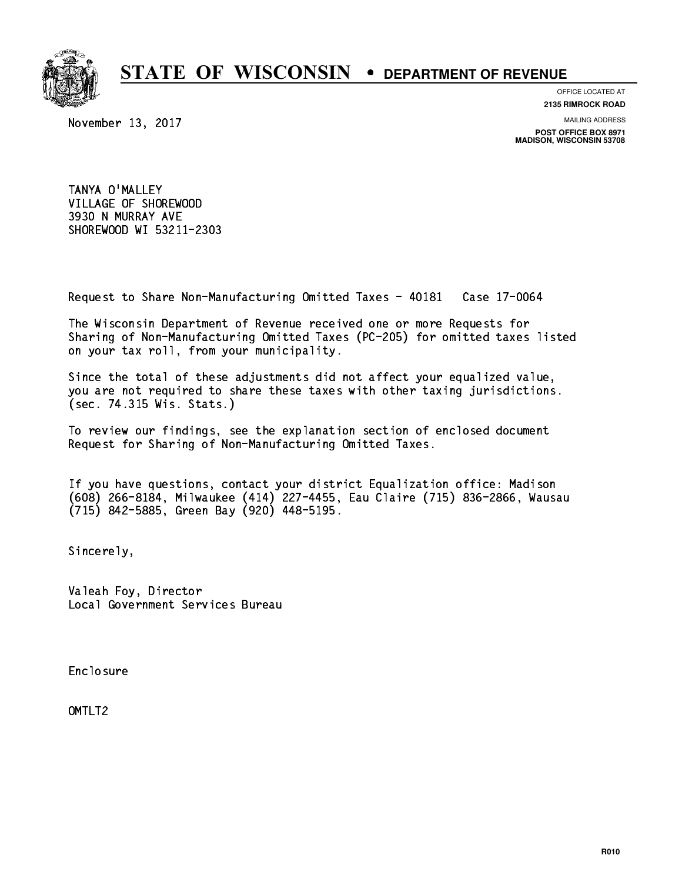

**OFFICE LOCATED AT**

**2135 RIMROCK ROAD**

November 13, 2017

**MAILING ADDRESS**

**POST OFFICE BOX 8971 MADISON, WISCONSIN 53708**

 TANYA O'MALLEY VILLAGE OF SHOREWOOD 3930 N MURRAY AVE SHOREWOOD WI 53211-2303

Request to Share Non-Manufacturing Omitted Taxes - 40181 Case 17-0064

 The Wisconsin Department of Revenue received one or more Requests for Sharing of Non-Manufacturing Omitted Taxes (PC-205) for omitted taxes listed on your tax roll, from your municipality.

 Since the total of these adjustments did not affect your equalized value, you are not required to share these taxes with other taxing jurisdictions. (sec. 74.315 Wis. Stats.)

 To review our findings, see the explanation section of enclosed document Request for Sharing of Non-Manufacturing Omitted Taxes.

 If you have questions, contact your district Equalization office: Madison (608) 266-8184, Milwaukee (414) 227-4455, Eau Claire (715) 836-2866, Wausau (715) 842-5885, Green Bay (920) 448-5195.

Sincerely,

 Valeah Foy, Director Local Government Services Bureau

Enclosure Enclosure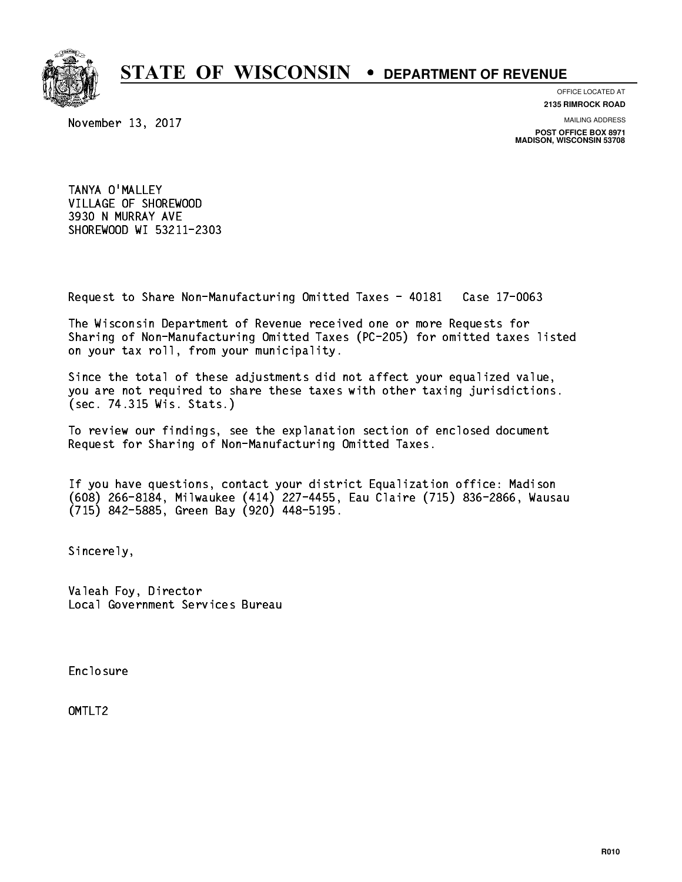

**OFFICE LOCATED AT**

**2135 RIMROCK ROAD**

November 13, 2017

**MAILING ADDRESS**

**POST OFFICE BOX 8971 MADISON, WISCONSIN 53708**

 TANYA O'MALLEY VILLAGE OF SHOREWOOD 3930 N MURRAY AVE SHOREWOOD WI 53211-2303

Request to Share Non-Manufacturing Omitted Taxes - 40181 Case 17-0063

 The Wisconsin Department of Revenue received one or more Requests for Sharing of Non-Manufacturing Omitted Taxes (PC-205) for omitted taxes listed on your tax roll, from your municipality.

 Since the total of these adjustments did not affect your equalized value, you are not required to share these taxes with other taxing jurisdictions. (sec. 74.315 Wis. Stats.)

 To review our findings, see the explanation section of enclosed document Request for Sharing of Non-Manufacturing Omitted Taxes.

 If you have questions, contact your district Equalization office: Madison (608) 266-8184, Milwaukee (414) 227-4455, Eau Claire (715) 836-2866, Wausau (715) 842-5885, Green Bay (920) 448-5195.

Sincerely,

 Valeah Foy, Director Local Government Services Bureau

Enclosure Enclosure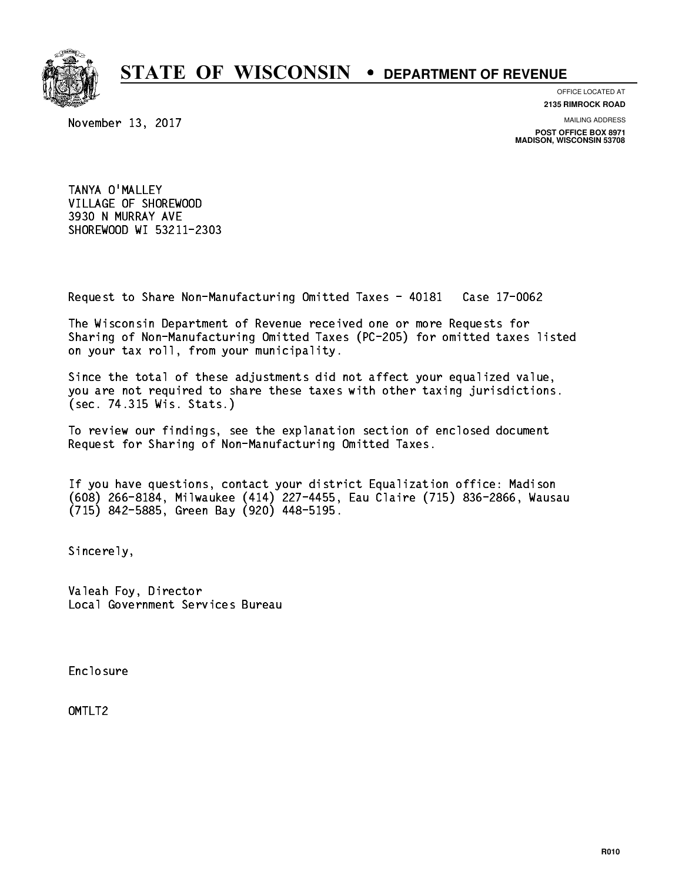

**OFFICE LOCATED AT**

November 13, 2017

**2135 RIMROCK ROAD**

**MAILING ADDRESS**

**POST OFFICE BOX 8971 MADISON, WISCONSIN 53708**

 TANYA O'MALLEY VILLAGE OF SHOREWOOD 3930 N MURRAY AVE SHOREWOOD WI 53211-2303

Request to Share Non-Manufacturing Omitted Taxes - 40181 Case 17-0062

 The Wisconsin Department of Revenue received one or more Requests for Sharing of Non-Manufacturing Omitted Taxes (PC-205) for omitted taxes listed on your tax roll, from your municipality.

 Since the total of these adjustments did not affect your equalized value, you are not required to share these taxes with other taxing jurisdictions. (sec. 74.315 Wis. Stats.)

 To review our findings, see the explanation section of enclosed document Request for Sharing of Non-Manufacturing Omitted Taxes.

 If you have questions, contact your district Equalization office: Madison (608) 266-8184, Milwaukee (414) 227-4455, Eau Claire (715) 836-2866, Wausau (715) 842-5885, Green Bay (920) 448-5195.

Sincerely,

 Valeah Foy, Director Local Government Services Bureau

Enclosure Enclosure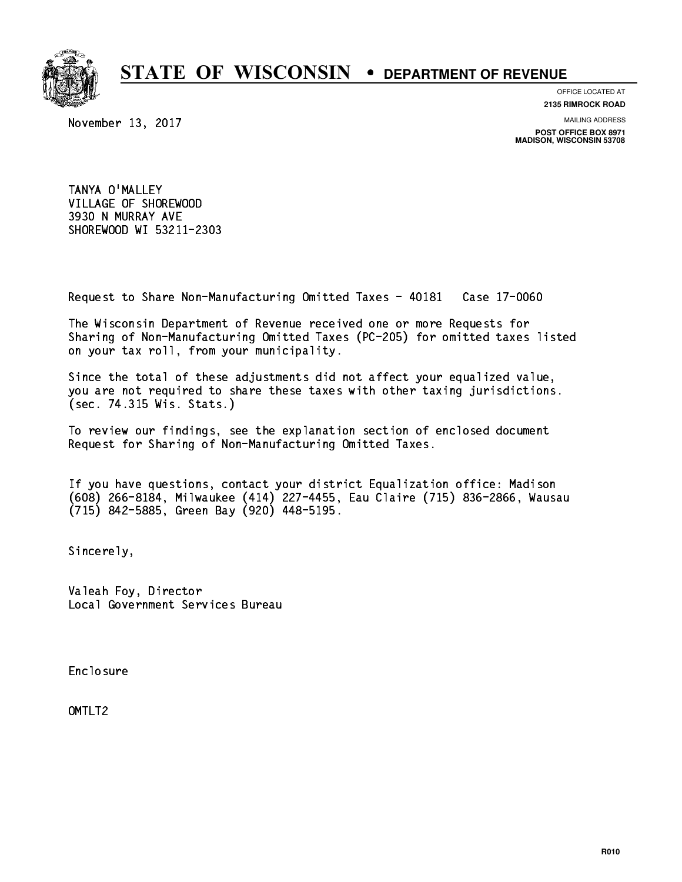

**OFFICE LOCATED AT**

**2135 RIMROCK ROAD**

November 13, 2017

**MAILING ADDRESS**

**POST OFFICE BOX 8971 MADISON, WISCONSIN 53708**

 TANYA O'MALLEY VILLAGE OF SHOREWOOD 3930 N MURRAY AVE SHOREWOOD WI 53211-2303

Request to Share Non-Manufacturing Omitted Taxes - 40181 Case 17-0060

 The Wisconsin Department of Revenue received one or more Requests for Sharing of Non-Manufacturing Omitted Taxes (PC-205) for omitted taxes listed on your tax roll, from your municipality.

 Since the total of these adjustments did not affect your equalized value, you are not required to share these taxes with other taxing jurisdictions. (sec. 74.315 Wis. Stats.)

 To review our findings, see the explanation section of enclosed document Request for Sharing of Non-Manufacturing Omitted Taxes.

 If you have questions, contact your district Equalization office: Madison (608) 266-8184, Milwaukee (414) 227-4455, Eau Claire (715) 836-2866, Wausau (715) 842-5885, Green Bay (920) 448-5195.

Sincerely,

 Valeah Foy, Director Local Government Services Bureau

Enclosure Enclosure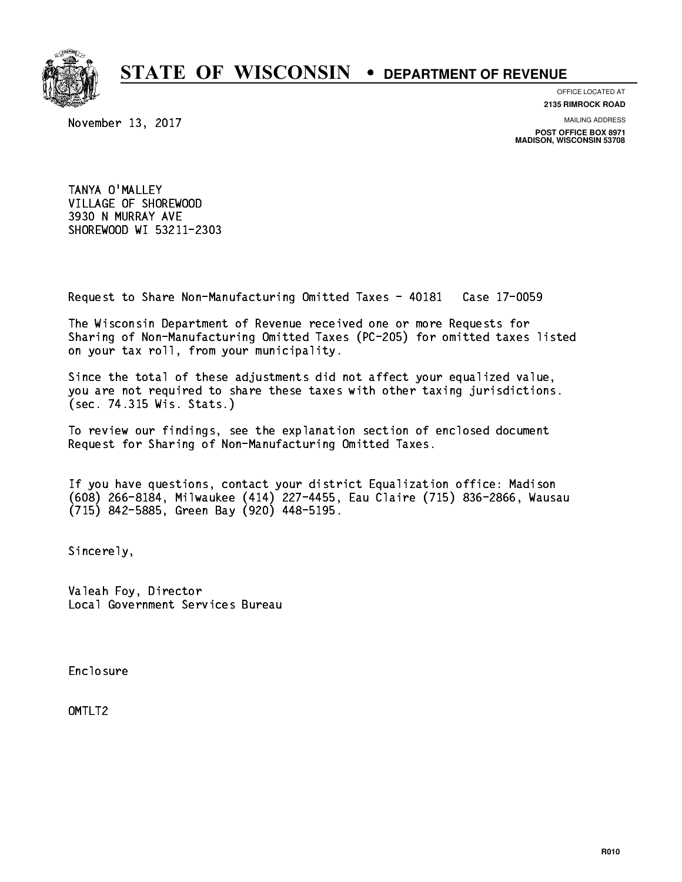

**OFFICE LOCATED AT**

**2135 RIMROCK ROAD**

November 13, 2017

**MAILING ADDRESS**

**POST OFFICE BOX 8971 MADISON, WISCONSIN 53708**

 TANYA O'MALLEY VILLAGE OF SHOREWOOD 3930 N MURRAY AVE SHOREWOOD WI 53211-2303

Request to Share Non-Manufacturing Omitted Taxes - 40181 Case 17-0059

 The Wisconsin Department of Revenue received one or more Requests for Sharing of Non-Manufacturing Omitted Taxes (PC-205) for omitted taxes listed on your tax roll, from your municipality.

 Since the total of these adjustments did not affect your equalized value, you are not required to share these taxes with other taxing jurisdictions. (sec. 74.315 Wis. Stats.)

 To review our findings, see the explanation section of enclosed document Request for Sharing of Non-Manufacturing Omitted Taxes.

 If you have questions, contact your district Equalization office: Madison (608) 266-8184, Milwaukee (414) 227-4455, Eau Claire (715) 836-2866, Wausau (715) 842-5885, Green Bay (920) 448-5195.

Sincerely,

 Valeah Foy, Director Local Government Services Bureau

Enclosure Enclosure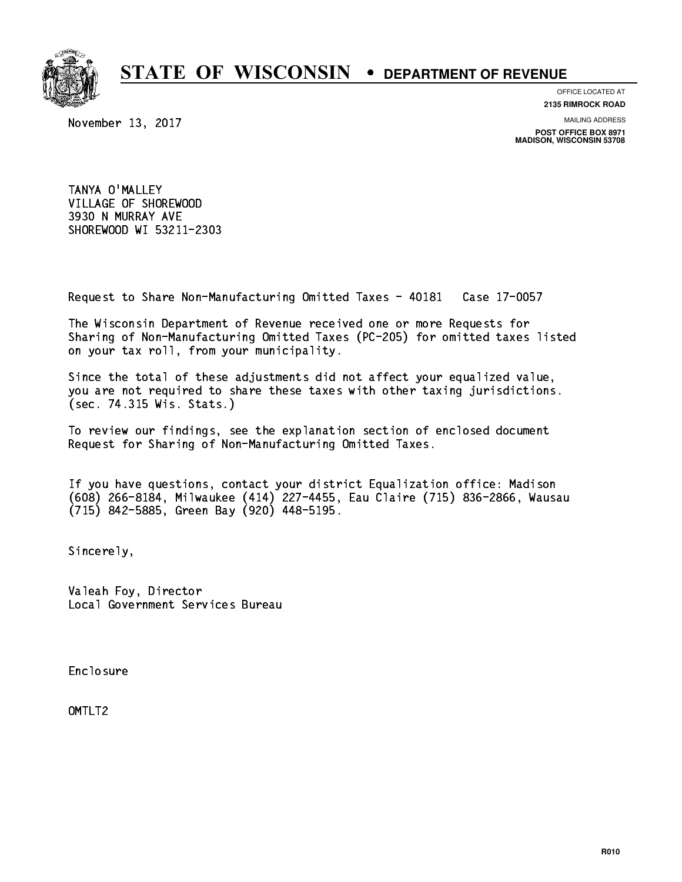

**OFFICE LOCATED AT**

November 13, 2017

**2135 RIMROCK ROAD**

**MAILING ADDRESS**

**POST OFFICE BOX 8971 MADISON, WISCONSIN 53708**

 TANYA O'MALLEY VILLAGE OF SHOREWOOD 3930 N MURRAY AVE SHOREWOOD WI 53211-2303

Request to Share Non-Manufacturing Omitted Taxes - 40181 Case 17-0057

 The Wisconsin Department of Revenue received one or more Requests for Sharing of Non-Manufacturing Omitted Taxes (PC-205) for omitted taxes listed on your tax roll, from your municipality.

 Since the total of these adjustments did not affect your equalized value, you are not required to share these taxes with other taxing jurisdictions. (sec. 74.315 Wis. Stats.)

 To review our findings, see the explanation section of enclosed document Request for Sharing of Non-Manufacturing Omitted Taxes.

 If you have questions, contact your district Equalization office: Madison (608) 266-8184, Milwaukee (414) 227-4455, Eau Claire (715) 836-2866, Wausau (715) 842-5885, Green Bay (920) 448-5195.

Sincerely,

 Valeah Foy, Director Local Government Services Bureau

Enclosure Enclosure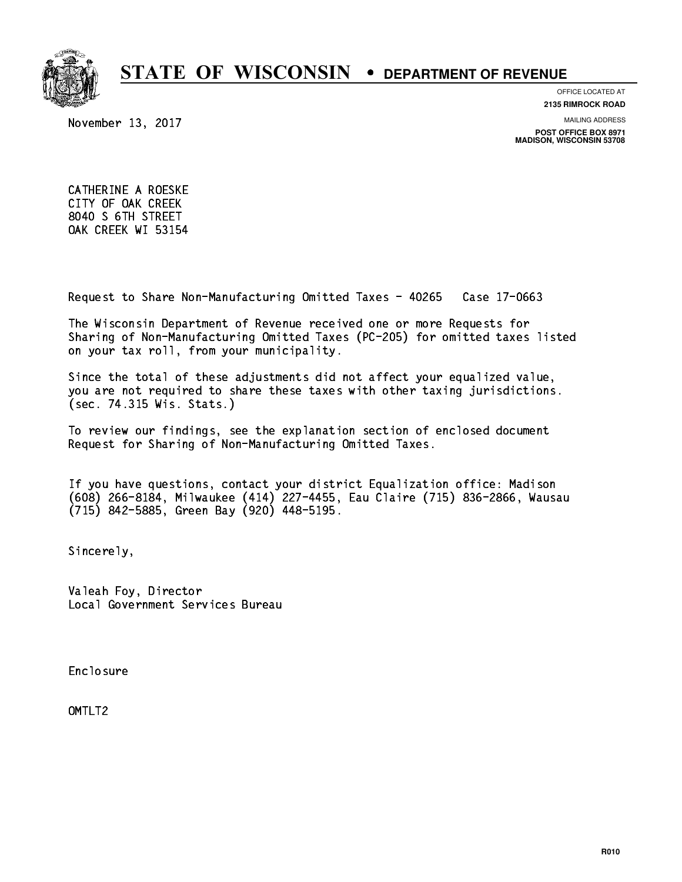

**OFFICE LOCATED AT**

**2135 RIMROCK ROAD**

November 13, 2017

**MAILING ADDRESS**

**POST OFFICE BOX 8971 MADISON, WISCONSIN 53708**

 CATHERINE A ROESKE CITY OF OAK CREEK 8040 S 6TH STREET OAK CREEK WI 53154

Request to Share Non-Manufacturing Omitted Taxes - 40265 Case 17-0663

 The Wisconsin Department of Revenue received one or more Requests for Sharing of Non-Manufacturing Omitted Taxes (PC-205) for omitted taxes listed on your tax roll, from your municipality.

 Since the total of these adjustments did not affect your equalized value, you are not required to share these taxes with other taxing jurisdictions. (sec. 74.315 Wis. Stats.)

 To review our findings, see the explanation section of enclosed document Request for Sharing of Non-Manufacturing Omitted Taxes.

 If you have questions, contact your district Equalization office: Madison (608) 266-8184, Milwaukee (414) 227-4455, Eau Claire (715) 836-2866, Wausau (715) 842-5885, Green Bay (920) 448-5195.

Sincerely,

 Valeah Foy, Director Local Government Services Bureau

Enclosure Enclosure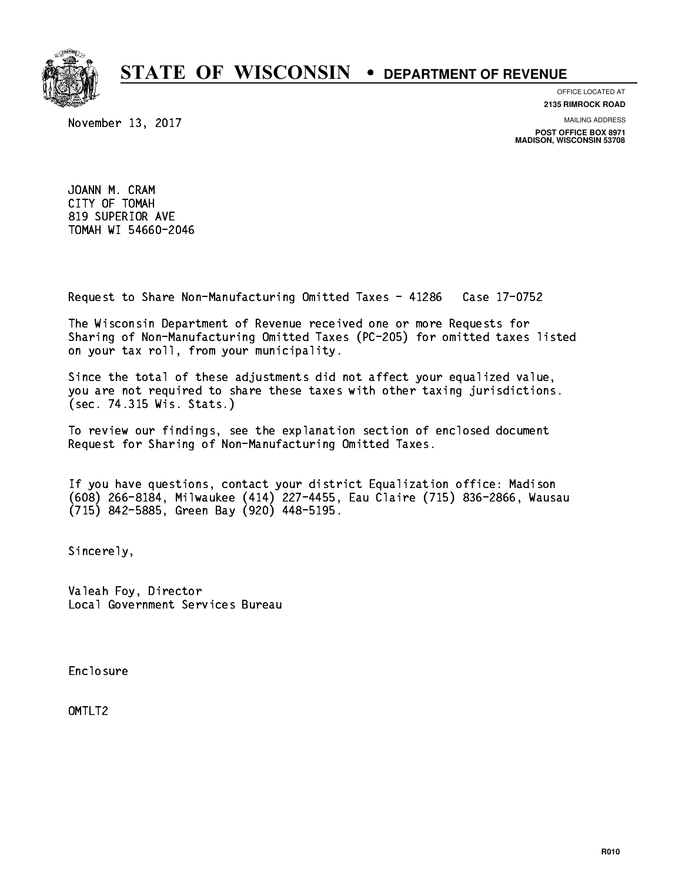

**OFFICE LOCATED AT**

November 13, 2017

**2135 RIMROCK ROAD**

**MAILING ADDRESS**

**POST OFFICE BOX 8971 MADISON, WISCONSIN 53708**

 JOANN M. CRAM CITY OF TOMAH 819 SUPERIOR AVE TOMAH WI 54660-2046

Request to Share Non-Manufacturing Omitted Taxes - 41286 Case 17-0752

 The Wisconsin Department of Revenue received one or more Requests for Sharing of Non-Manufacturing Omitted Taxes (PC-205) for omitted taxes listed on your tax roll, from your municipality.

 Since the total of these adjustments did not affect your equalized value, you are not required to share these taxes with other taxing jurisdictions. (sec. 74.315 Wis. Stats.)

 To review our findings, see the explanation section of enclosed document Request for Sharing of Non-Manufacturing Omitted Taxes.

 If you have questions, contact your district Equalization office: Madison (608) 266-8184, Milwaukee (414) 227-4455, Eau Claire (715) 836-2866, Wausau (715) 842-5885, Green Bay (920) 448-5195.

Sincerely,

 Valeah Foy, Director Local Government Services Bureau

Enclosure Enclosure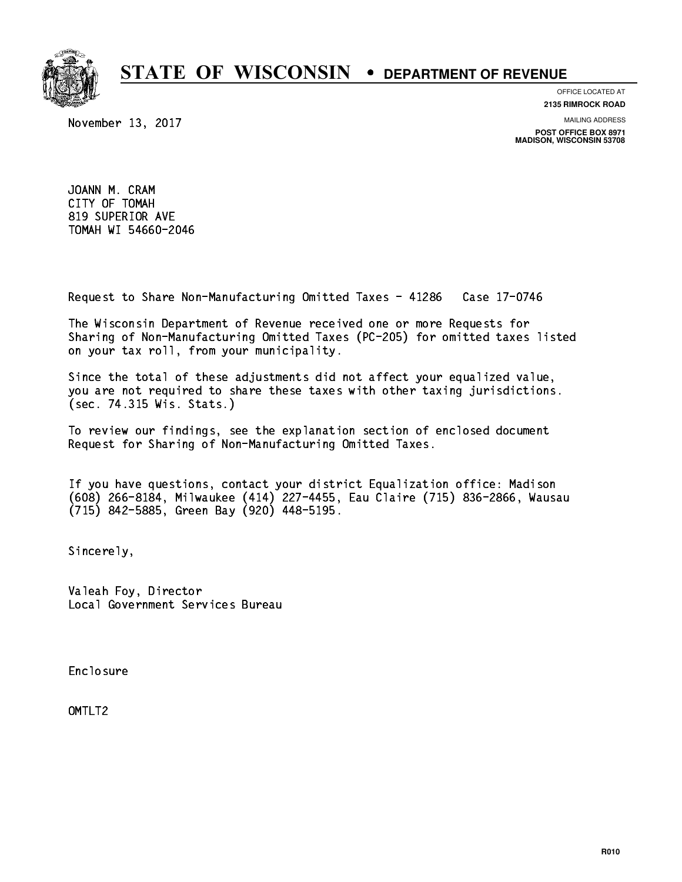

**OFFICE LOCATED AT**

November 13, 2017

**2135 RIMROCK ROAD**

**MAILING ADDRESS**

**POST OFFICE BOX 8971 MADISON, WISCONSIN 53708**

 JOANN M. CRAM CITY OF TOMAH 819 SUPERIOR AVE TOMAH WI 54660-2046

Request to Share Non-Manufacturing Omitted Taxes - 41286 Case 17-0746

 The Wisconsin Department of Revenue received one or more Requests for Sharing of Non-Manufacturing Omitted Taxes (PC-205) for omitted taxes listed on your tax roll, from your municipality.

 Since the total of these adjustments did not affect your equalized value, you are not required to share these taxes with other taxing jurisdictions. (sec. 74.315 Wis. Stats.)

 To review our findings, see the explanation section of enclosed document Request for Sharing of Non-Manufacturing Omitted Taxes.

 If you have questions, contact your district Equalization office: Madison (608) 266-8184, Milwaukee (414) 227-4455, Eau Claire (715) 836-2866, Wausau (715) 842-5885, Green Bay (920) 448-5195.

Sincerely,

 Valeah Foy, Director Local Government Services Bureau

Enclosure Enclosure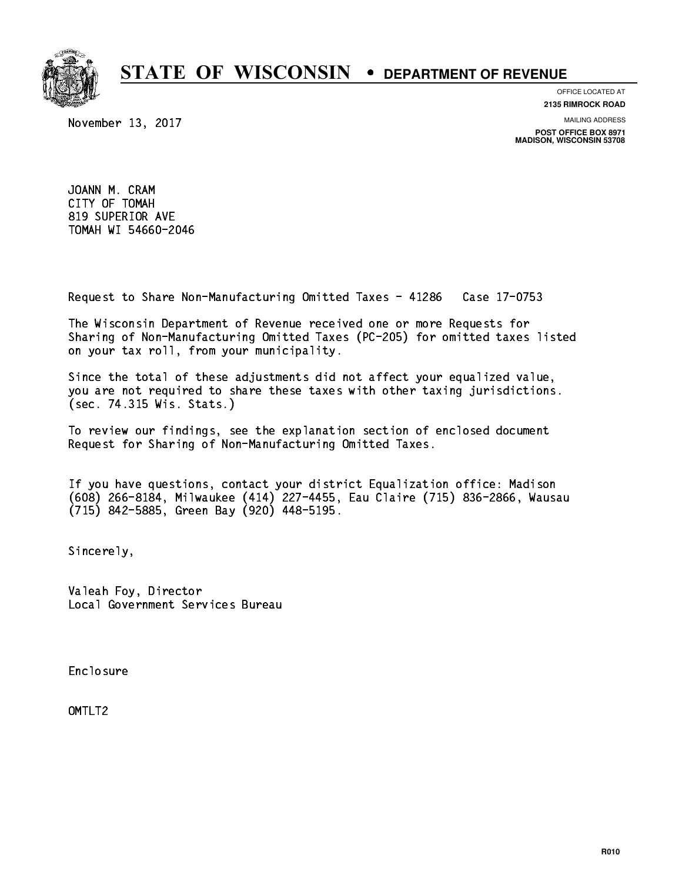

**OFFICE LOCATED AT**

November 13, 2017

**2135 RIMROCK ROAD**

**MAILING ADDRESS**

**POST OFFICE BOX 8971 MADISON, WISCONSIN 53708**

 JOANN M. CRAM CITY OF TOMAH 819 SUPERIOR AVE TOMAH WI 54660-2046

Request to Share Non-Manufacturing Omitted Taxes - 41286 Case 17-0753

 The Wisconsin Department of Revenue received one or more Requests for Sharing of Non-Manufacturing Omitted Taxes (PC-205) for omitted taxes listed on your tax roll, from your municipality.

 Since the total of these adjustments did not affect your equalized value, you are not required to share these taxes with other taxing jurisdictions. (sec. 74.315 Wis. Stats.)

 To review our findings, see the explanation section of enclosed document Request for Sharing of Non-Manufacturing Omitted Taxes.

 If you have questions, contact your district Equalization office: Madison (608) 266-8184, Milwaukee (414) 227-4455, Eau Claire (715) 836-2866, Wausau (715) 842-5885, Green Bay (920) 448-5195.

Sincerely,

 Valeah Foy, Director Local Government Services Bureau

Enclosure Enclosure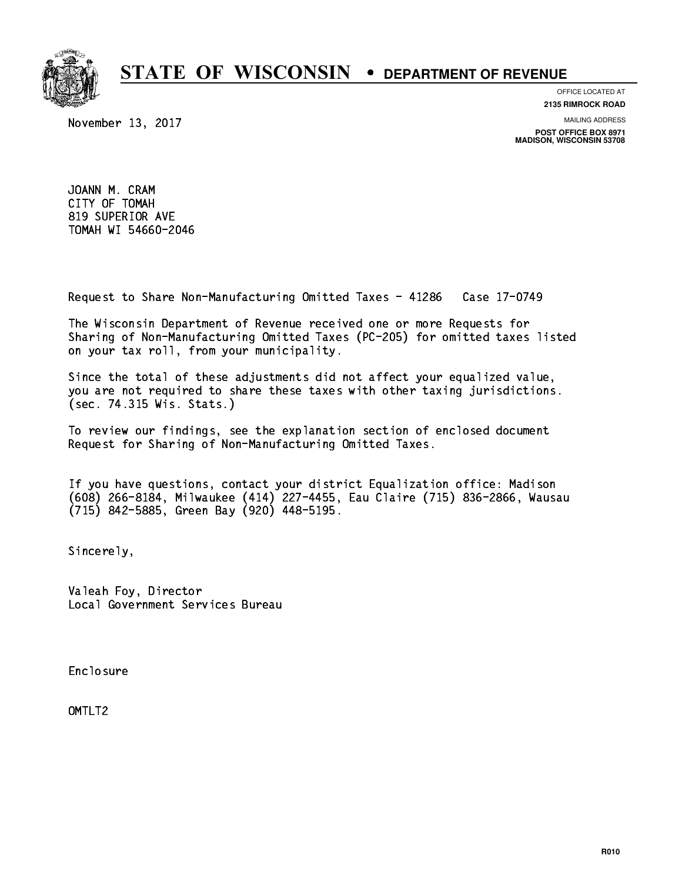

**OFFICE LOCATED AT**

November 13, 2017

**2135 RIMROCK ROAD**

**MAILING ADDRESS**

**POST OFFICE BOX 8971 MADISON, WISCONSIN 53708**

 JOANN M. CRAM CITY OF TOMAH 819 SUPERIOR AVE TOMAH WI 54660-2046

Request to Share Non-Manufacturing Omitted Taxes - 41286 Case 17-0749

 The Wisconsin Department of Revenue received one or more Requests for Sharing of Non-Manufacturing Omitted Taxes (PC-205) for omitted taxes listed on your tax roll, from your municipality.

 Since the total of these adjustments did not affect your equalized value, you are not required to share these taxes with other taxing jurisdictions. (sec. 74.315 Wis. Stats.)

 To review our findings, see the explanation section of enclosed document Request for Sharing of Non-Manufacturing Omitted Taxes.

 If you have questions, contact your district Equalization office: Madison (608) 266-8184, Milwaukee (414) 227-4455, Eau Claire (715) 836-2866, Wausau (715) 842-5885, Green Bay (920) 448-5195.

Sincerely,

 Valeah Foy, Director Local Government Services Bureau

Enclosure Enclosure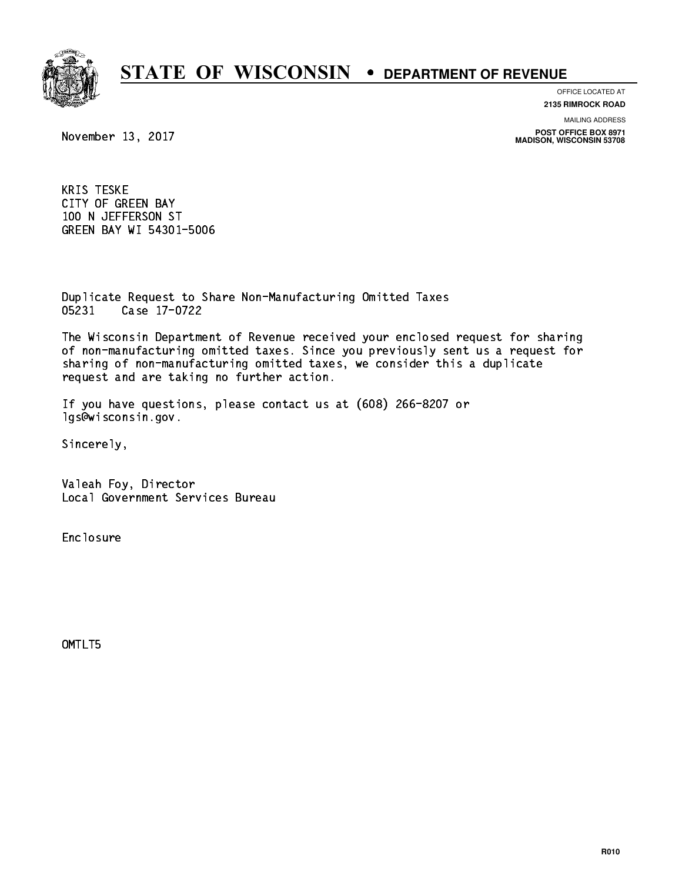

#### **OFFICE LOCATED AT**

**2135 RIMROCK ROAD**

**MAILING ADDRESS**

**POST OFFICE BOX 8971 MADISON, WISCONSIN 53708**

November 13, 2017

 KRIS TESKE CITY OF GREEN BAY 100 N JEFFERSON ST GREEN BAY WI 54301-5006

 Duplicate Request to Share Non-Manufacturing Omitted Taxes 05231 Case 17-0722

 The Wisconsin Department of Revenue received your enclosed request for sharing of non-manufacturing omitted taxes. Since you previously sent us a request for sharing of non-manufacturing omitted taxes, we consider this a duplicate request and are taking no further action.

 If you have questions, please contact us at (608) 266-8207 or lgs@wisconsin.gov.

Sincerely,

 Valeah Foy, Director Local Government Services Bureau

Enclosure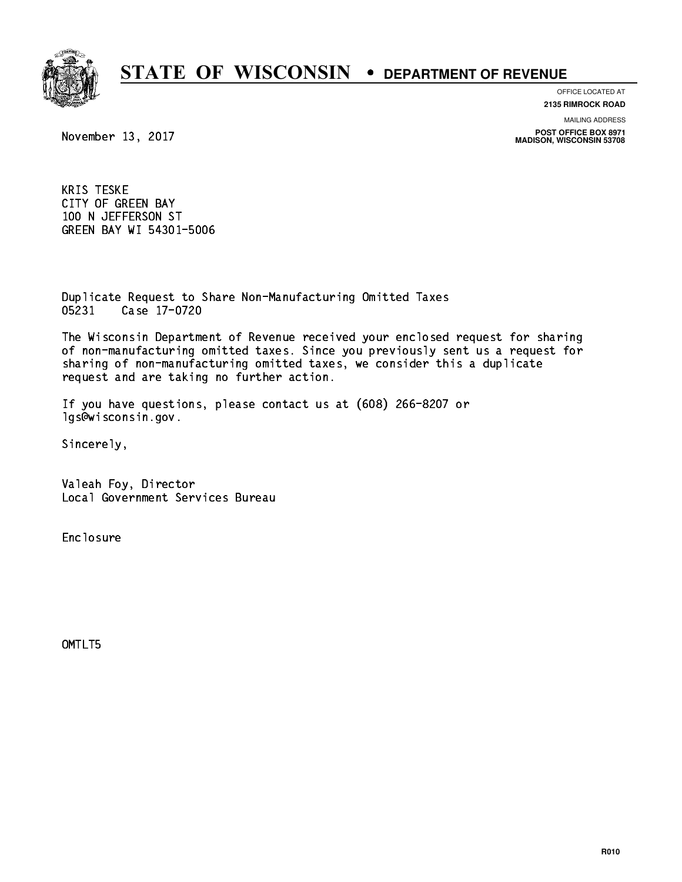

#### **OFFICE LOCATED AT**

**2135 RIMROCK ROAD**

**MAILING ADDRESS**

**POST OFFICE BOX 8971 MADISON, WISCONSIN 53708**

November 13, 2017

 KRIS TESKE CITY OF GREEN BAY 100 N JEFFERSON ST GREEN BAY WI 54301-5006

 Duplicate Request to Share Non-Manufacturing Omitted Taxes 05231 Case 17-0720

 The Wisconsin Department of Revenue received your enclosed request for sharing of non-manufacturing omitted taxes. Since you previously sent us a request for sharing of non-manufacturing omitted taxes, we consider this a duplicate request and are taking no further action.

 If you have questions, please contact us at (608) 266-8207 or lgs@wisconsin.gov.

Sincerely,

 Valeah Foy, Director Local Government Services Bureau

Enclosure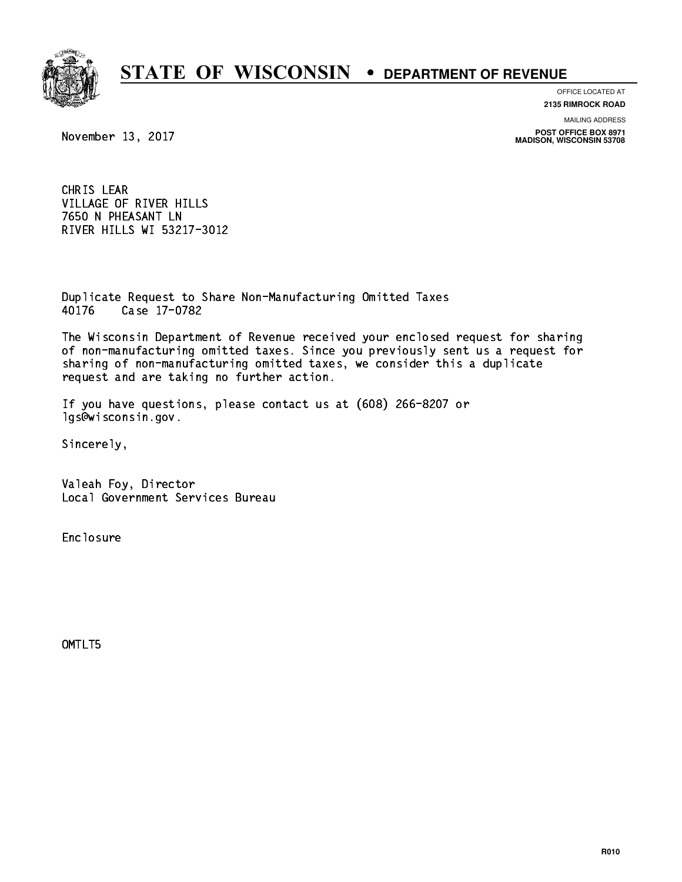

**OFFICE LOCATED AT**

**2135 RIMROCK ROAD**

**MAILING ADDRESS**

**POST OFFICE BOX 8971 MADISON, WISCONSIN 53708**

November 13, 2017

 CHRIS LEAR VILLAGE OF RIVER HILLS 7650 N PHEASANT LN RIVER HILLS WI 53217-3012

 Duplicate Request to Share Non-Manufacturing Omitted Taxes 40176 Case 17-0782

 The Wisconsin Department of Revenue received your enclosed request for sharing of non-manufacturing omitted taxes. Since you previously sent us a request for sharing of non-manufacturing omitted taxes, we consider this a duplicate request and are taking no further action.

 If you have questions, please contact us at (608) 266-8207 or lgs@wisconsin.gov.

Sincerely,

 Valeah Foy, Director Local Government Services Bureau

Enclosure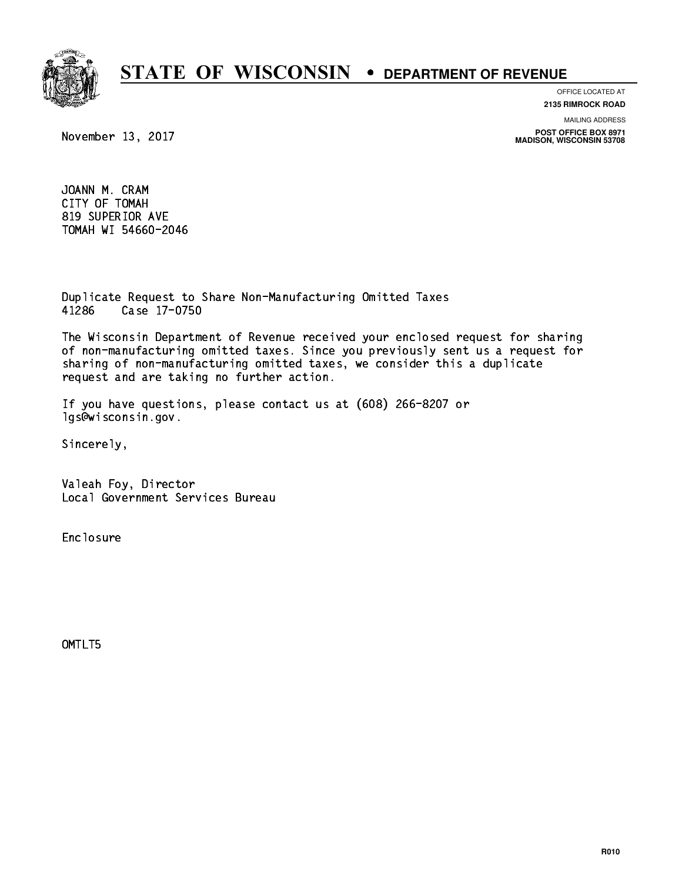

**OFFICE LOCATED AT**

**2135 RIMROCK ROAD**

**MAILING ADDRESS**

**POST OFFICE BOX 8971 MADISON, WISCONSIN 53708**

November 13, 2017

 JOANN M. CRAM CITY OF TOMAH 819 SUPERIOR AVE TOMAH WI 54660-2046

 Duplicate Request to Share Non-Manufacturing Omitted Taxes 41286 Case 17-0750

 The Wisconsin Department of Revenue received your enclosed request for sharing of non-manufacturing omitted taxes. Since you previously sent us a request for sharing of non-manufacturing omitted taxes, we consider this a duplicate request and are taking no further action.

 If you have questions, please contact us at (608) 266-8207 or lgs@wisconsin.gov.

Sincerely,

 Valeah Foy, Director Local Government Services Bureau

Enclosure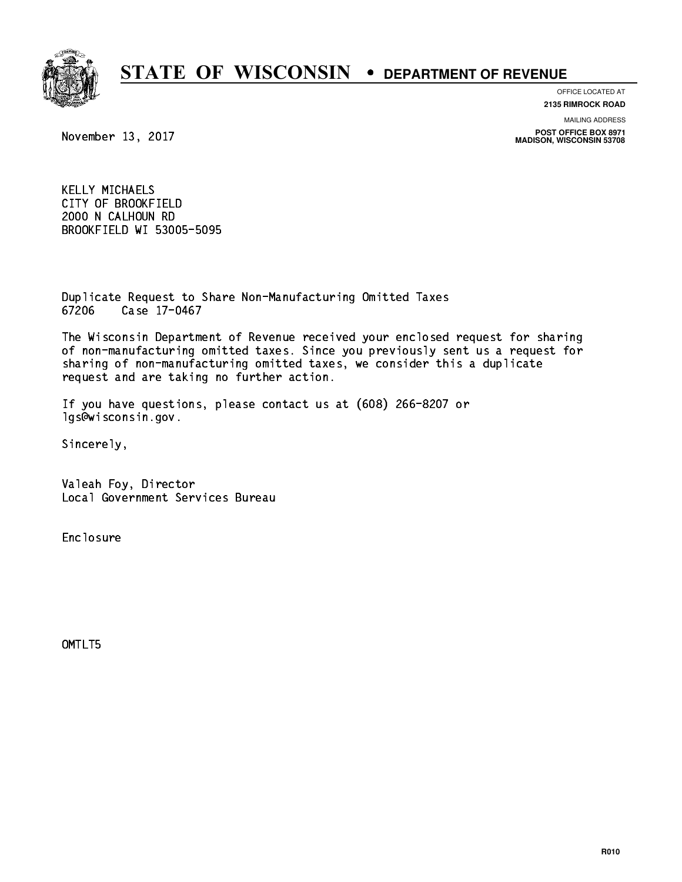

**OFFICE LOCATED AT**

**2135 RIMROCK ROAD**

**MAILING ADDRESS**

**POST OFFICE BOX 8971 MADISON, WISCONSIN 53708**

November 13, 2017

 KELLY MICHAELS CITY OF BROOKFIELD 2000 N CALHOUN RD BROOKFIELD WI 53005-5095

 Duplicate Request to Share Non-Manufacturing Omitted Taxes 67206 Case 17-0467

 The Wisconsin Department of Revenue received your enclosed request for sharing of non-manufacturing omitted taxes. Since you previously sent us a request for sharing of non-manufacturing omitted taxes, we consider this a duplicate request and are taking no further action.

 If you have questions, please contact us at (608) 266-8207 or lgs@wisconsin.gov.

Sincerely,

 Valeah Foy, Director Local Government Services Bureau

Enclosure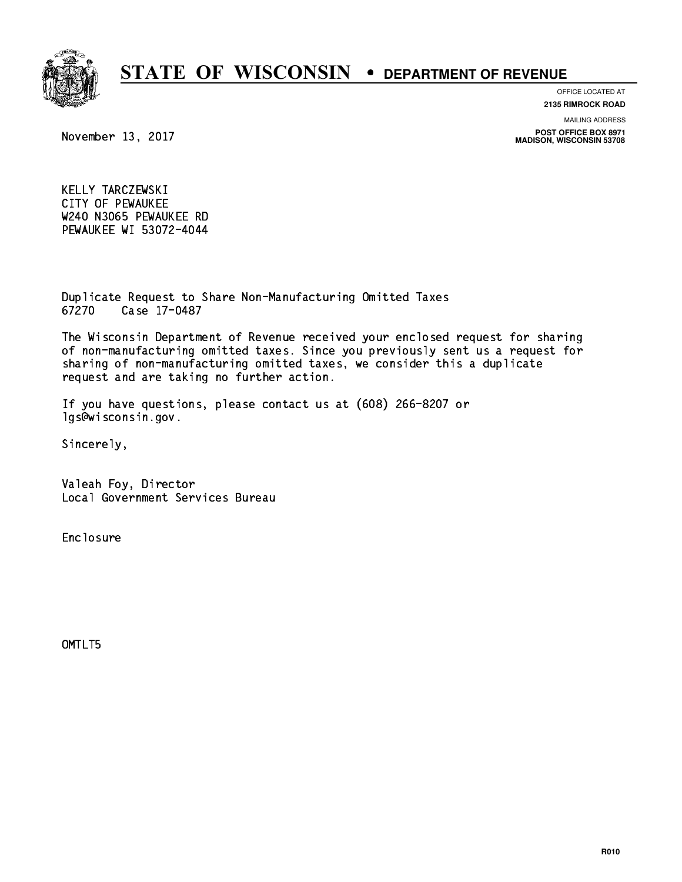

**OFFICE LOCATED AT**

**2135 RIMROCK ROAD**

**MAILING ADDRESS**

**POST OFFICE BOX 8971 MADISON, WISCONSIN 53708**

November 13, 2017

 KELLY TARCZEWSKI CITY OF PEWAUKEE W240 N3065 PEWAUKEE RD PEWAUKEE WI 53072-4044

 Duplicate Request to Share Non-Manufacturing Omitted Taxes 67270 Case 17-0487

 The Wisconsin Department of Revenue received your enclosed request for sharing of non-manufacturing omitted taxes. Since you previously sent us a request for sharing of non-manufacturing omitted taxes, we consider this a duplicate request and are taking no further action.

 If you have questions, please contact us at (608) 266-8207 or lgs@wisconsin.gov.

Sincerely,

 Valeah Foy, Director Local Government Services Bureau

Enclosure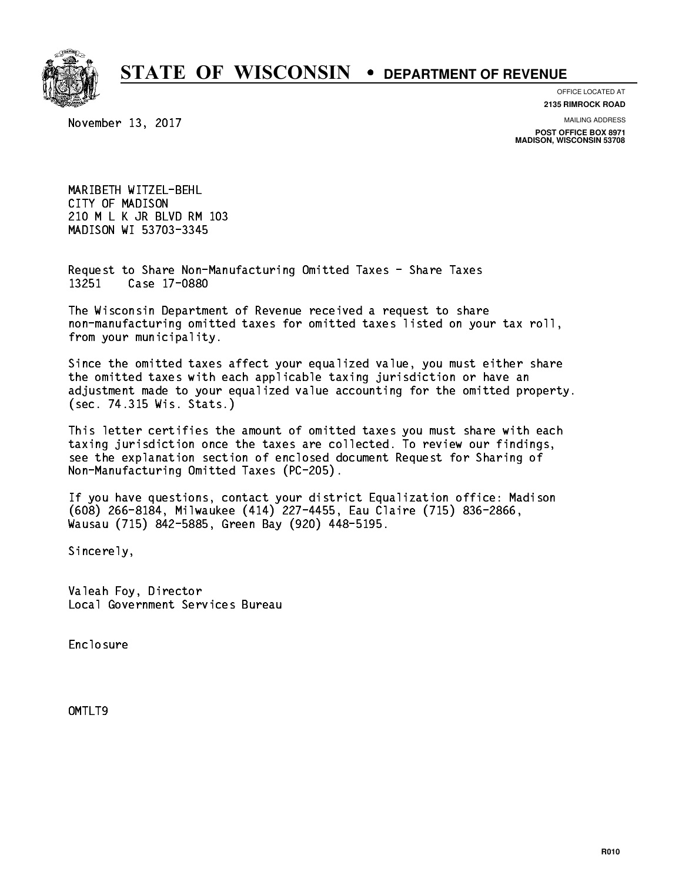

#### **OFFICE LOCATED AT**

November 13, 2017

**2135 RIMROCK ROAD**

**MAILING ADDRESS**

**POST OFFICE BOX 8971 MADISON, WISCONSIN 53708**

 MARIBETH WITZEL-BEHL CITY OF MADISON 210 M L K JR BLVD RM 103 MADISON WI 53703-3345

 Request to Share Non-Manufacturing Omitted Taxes - Share Taxes 13251 Case 17-0880

 The Wisconsin Department of Revenue received a request to share non-manufacturing omitted taxes for omitted taxes listed on your tax roll, from your municipality.

 Since the omitted taxes affect your equalized value, you must either share the omitted taxes with each applicable taxing jurisdiction or have an adjustment made to your equalized value accounting for the omitted property. (sec. 74.315 Wis. Stats.)

 This letter certifies the amount of omitted taxes you must share with each taxing jurisdiction once the taxes are collected. To review our findings, see the explanation section of enclosed document Request for Sharing of Non-Manufacturing Omitted Taxes (PC-205).

 If you have questions, contact your district Equalization office: Madison (608) 266-8184, Milwaukee (414) 227-4455, Eau Claire (715) 836-2866, Wausau (715) 842-5885, Green Bay (920) 448-5195.

Sincerely,

 Valeah Foy, Director Local Government Services Bureau

Enclosure Enclosure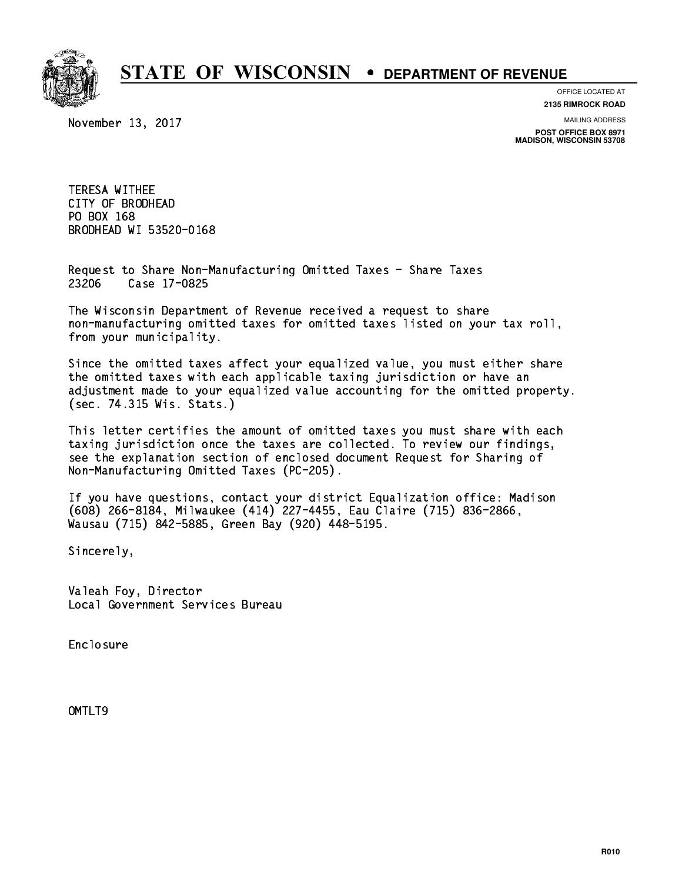

**OFFICE LOCATED AT**

November 13, 2017

**2135 RIMROCK ROAD**

**MAILING ADDRESS**

**POST OFFICE BOX 8971 MADISON, WISCONSIN 53708**

 TERESA WITHEE CITY OF BRODHEAD PO BOX 168 PO BOX 168 BRODHEAD WI 53520-0168

 Request to Share Non-Manufacturing Omitted Taxes - Share Taxes 23206 Case 17-0825

 The Wisconsin Department of Revenue received a request to share non-manufacturing omitted taxes for omitted taxes listed on your tax roll, from your municipality.

 Since the omitted taxes affect your equalized value, you must either share the omitted taxes with each applicable taxing jurisdiction or have an adjustment made to your equalized value accounting for the omitted property. (sec. 74.315 Wis. Stats.)

 This letter certifies the amount of omitted taxes you must share with each taxing jurisdiction once the taxes are collected. To review our findings, see the explanation section of enclosed document Request for Sharing of Non-Manufacturing Omitted Taxes (PC-205).

 If you have questions, contact your district Equalization office: Madison (608) 266-8184, Milwaukee (414) 227-4455, Eau Claire (715) 836-2866, Wausau (715) 842-5885, Green Bay (920) 448-5195.

Sincerely,

 Valeah Foy, Director Local Government Services Bureau

Enclosure Enclosure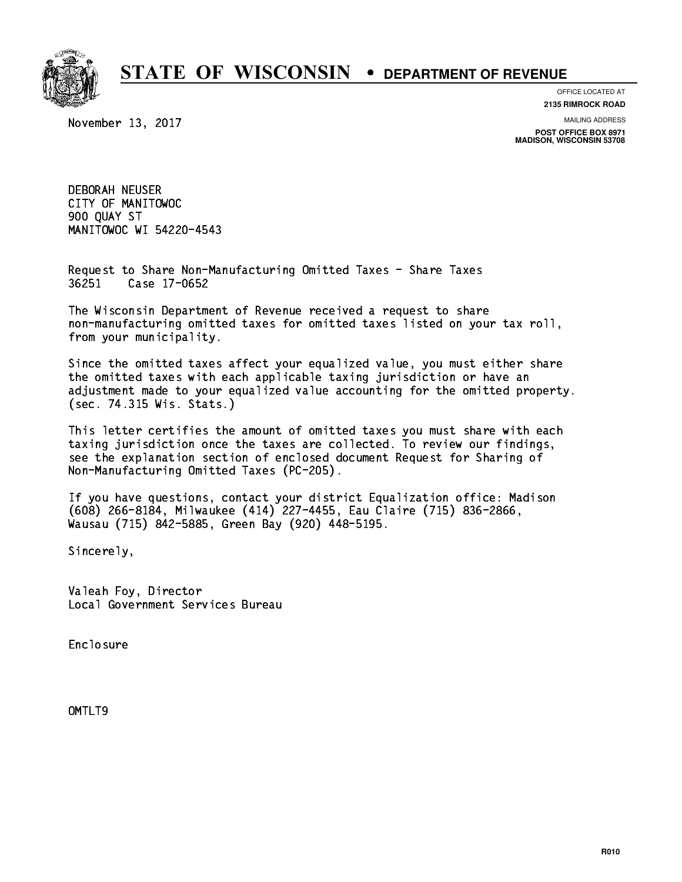

**OFFICE LOCATED AT**

November 13, 2017

**2135 RIMROCK ROAD**

**MAILING ADDRESS**

**POST OFFICE BOX 8971 MADISON, WISCONSIN 53708**

 DEBORAH NEUSER CITY OF MANITOWOC 900 QUAY ST MANITOWOC WI 54220-4543

 Request to Share Non-Manufacturing Omitted Taxes - Share Taxes 36251 Case 17-0652

 The Wisconsin Department of Revenue received a request to share non-manufacturing omitted taxes for omitted taxes listed on your tax roll, from your municipality.

 Since the omitted taxes affect your equalized value, you must either share the omitted taxes with each applicable taxing jurisdiction or have an adjustment made to your equalized value accounting for the omitted property. (sec. 74.315 Wis. Stats.)

 This letter certifies the amount of omitted taxes you must share with each taxing jurisdiction once the taxes are collected. To review our findings, see the explanation section of enclosed document Request for Sharing of Non-Manufacturing Omitted Taxes (PC-205).

 If you have questions, contact your district Equalization office: Madison (608) 266-8184, Milwaukee (414) 227-4455, Eau Claire (715) 836-2866, Wausau (715) 842-5885, Green Bay (920) 448-5195.

Sincerely,

 Valeah Foy, Director Local Government Services Bureau

Enclosure Enclosure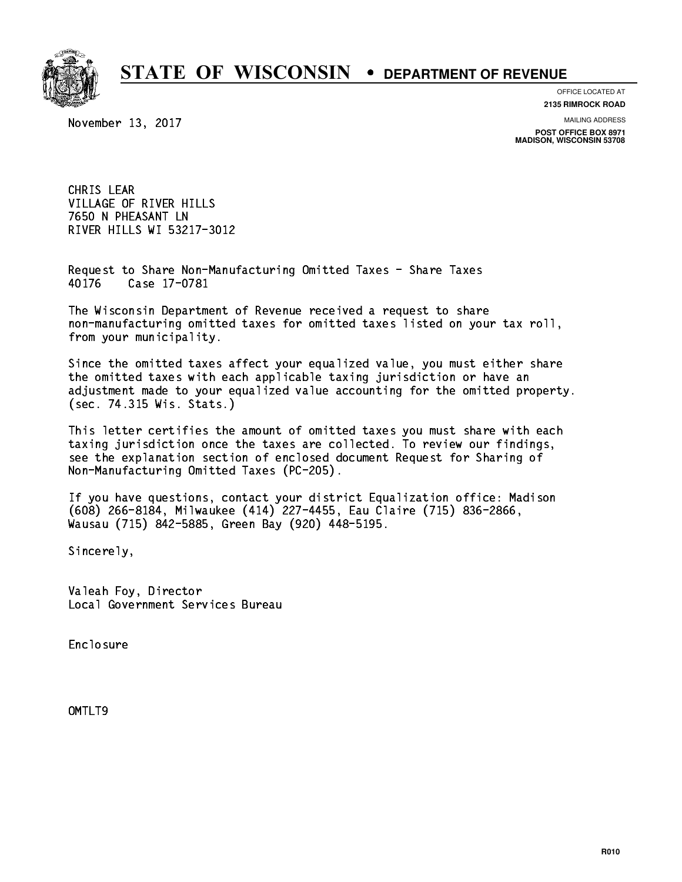

**OFFICE LOCATED AT**

**2135 RIMROCK ROAD**

November 13, 2017

**MAILING ADDRESS**

**POST OFFICE BOX 8971 MADISON, WISCONSIN 53708**

 CHRIS LEAR VILLAGE OF RIVER HILLS 7650 N PHEASANT LN RIVER HILLS WI 53217-3012

 Request to Share Non-Manufacturing Omitted Taxes - Share Taxes Case 17-0781 40176

 The Wisconsin Department of Revenue received a request to share non-manufacturing omitted taxes for omitted taxes listed on your tax roll, from your municipality.

 Since the omitted taxes affect your equalized value, you must either share the omitted taxes with each applicable taxing jurisdiction or have an adjustment made to your equalized value accounting for the omitted property. (sec. 74.315 Wis. Stats.)

 This letter certifies the amount of omitted taxes you must share with each taxing jurisdiction once the taxes are collected. To review our findings, see the explanation section of enclosed document Request for Sharing of Non-Manufacturing Omitted Taxes (PC-205).

 If you have questions, contact your district Equalization office: Madison (608) 266-8184, Milwaukee (414) 227-4455, Eau Claire (715) 836-2866, Wausau (715) 842-5885, Green Bay (920) 448-5195.

Sincerely,

 Valeah Foy, Director Local Government Services Bureau

Enclosure Enclosure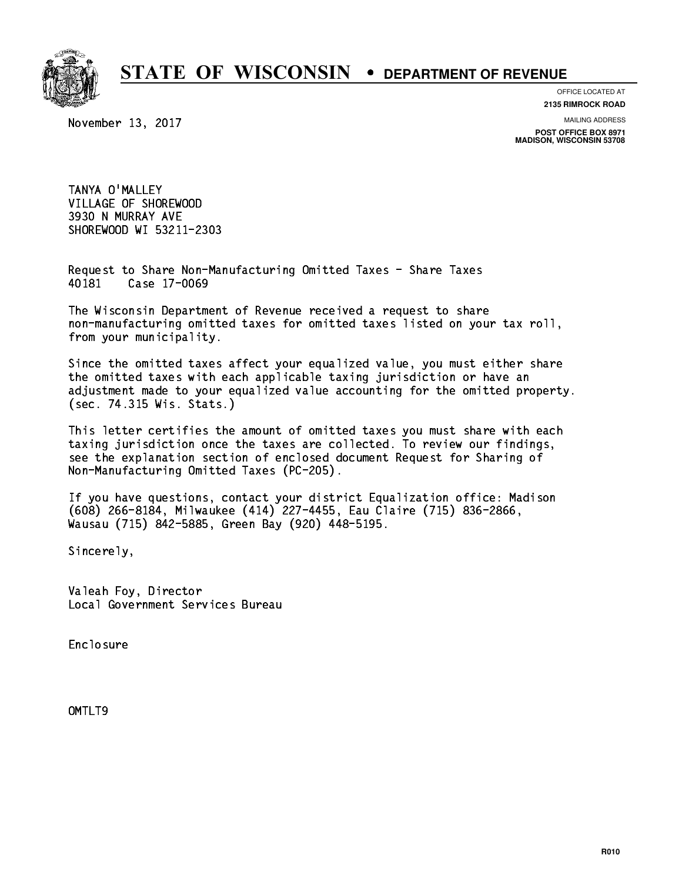

**OFFICE LOCATED AT**

**2135 RIMROCK ROAD**

November 13, 2017

**MAILING ADDRESS**

**POST OFFICE BOX 8971 MADISON, WISCONSIN 53708**

 TANYA O'MALLEY VILLAGE OF SHOREWOOD 3930 N MURRAY AVE SHOREWOOD WI 53211-2303

 Request to Share Non-Manufacturing Omitted Taxes - Share Taxes Case 17-0069 40181

 The Wisconsin Department of Revenue received a request to share non-manufacturing omitted taxes for omitted taxes listed on your tax roll, from your municipality.

 Since the omitted taxes affect your equalized value, you must either share the omitted taxes with each applicable taxing jurisdiction or have an adjustment made to your equalized value accounting for the omitted property. (sec. 74.315 Wis. Stats.)

 This letter certifies the amount of omitted taxes you must share with each taxing jurisdiction once the taxes are collected. To review our findings, see the explanation section of enclosed document Request for Sharing of Non-Manufacturing Omitted Taxes (PC-205).

 If you have questions, contact your district Equalization office: Madison (608) 266-8184, Milwaukee (414) 227-4455, Eau Claire (715) 836-2866, Wausau (715) 842-5885, Green Bay (920) 448-5195.

Sincerely,

 Valeah Foy, Director Local Government Services Bureau

Enclosure Enclosure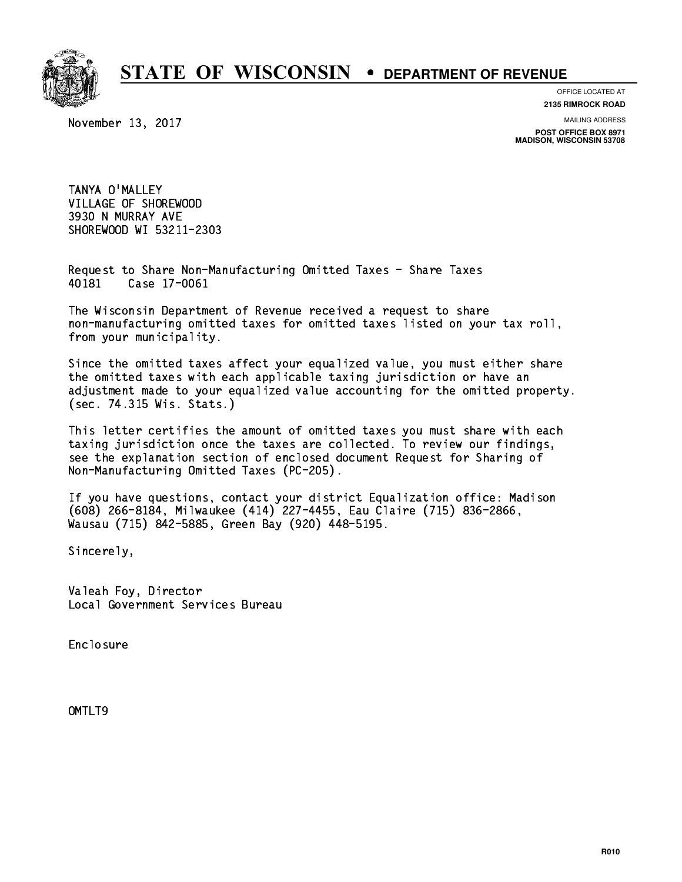

**OFFICE LOCATED AT**

**2135 RIMROCK ROAD**

November 13, 2017

**MAILING ADDRESS**

**POST OFFICE BOX 8971 MADISON, WISCONSIN 53708**

 TANYA O'MALLEY VILLAGE OF SHOREWOOD 3930 N MURRAY AVE SHOREWOOD WI 53211-2303

 Request to Share Non-Manufacturing Omitted Taxes - Share Taxes Case 17-0061 40181

 The Wisconsin Department of Revenue received a request to share non-manufacturing omitted taxes for omitted taxes listed on your tax roll, from your municipality.

 Since the omitted taxes affect your equalized value, you must either share the omitted taxes with each applicable taxing jurisdiction or have an adjustment made to your equalized value accounting for the omitted property. (sec. 74.315 Wis. Stats.)

 This letter certifies the amount of omitted taxes you must share with each taxing jurisdiction once the taxes are collected. To review our findings, see the explanation section of enclosed document Request for Sharing of Non-Manufacturing Omitted Taxes (PC-205).

 If you have questions, contact your district Equalization office: Madison (608) 266-8184, Milwaukee (414) 227-4455, Eau Claire (715) 836-2866, Wausau (715) 842-5885, Green Bay (920) 448-5195.

Sincerely,

 Valeah Foy, Director Local Government Services Bureau

Enclosure Enclosure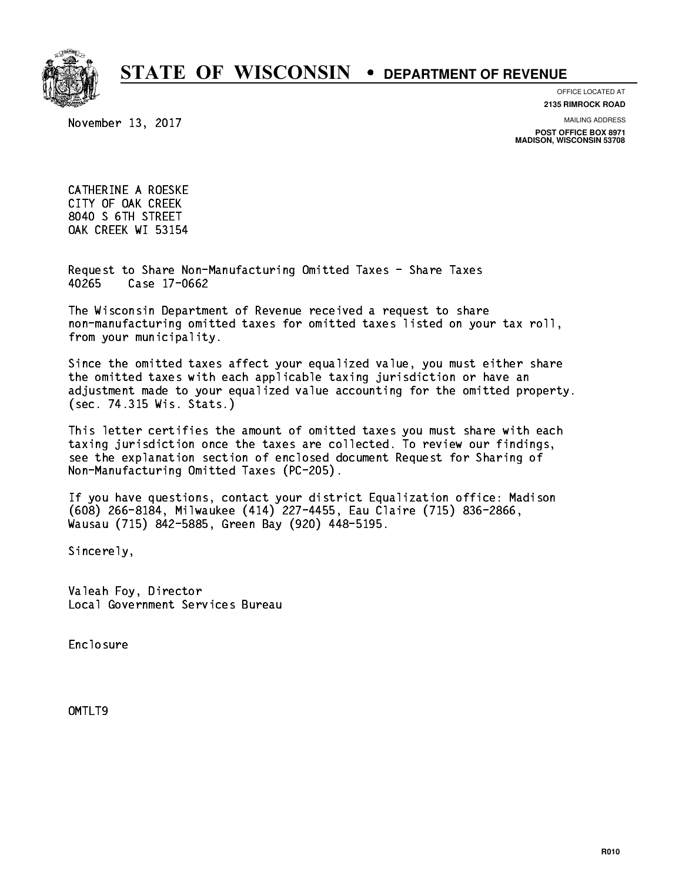

**OFFICE LOCATED AT**

**2135 RIMROCK ROAD**

November 13, 2017

**MAILING ADDRESS**

**POST OFFICE BOX 8971 MADISON, WISCONSIN 53708**

 CATHERINE A ROESKE CITY OF OAK CREEK 8040 S 6TH STREET OAK CREEK WI 53154

 Request to Share Non-Manufacturing Omitted Taxes - Share Taxes 40265 Case 17-0662

 The Wisconsin Department of Revenue received a request to share non-manufacturing omitted taxes for omitted taxes listed on your tax roll, from your municipality.

 Since the omitted taxes affect your equalized value, you must either share the omitted taxes with each applicable taxing jurisdiction or have an adjustment made to your equalized value accounting for the omitted property. (sec. 74.315 Wis. Stats.)

 This letter certifies the amount of omitted taxes you must share with each taxing jurisdiction once the taxes are collected. To review our findings, see the explanation section of enclosed document Request for Sharing of Non-Manufacturing Omitted Taxes (PC-205).

 If you have questions, contact your district Equalization office: Madison (608) 266-8184, Milwaukee (414) 227-4455, Eau Claire (715) 836-2866, Wausau (715) 842-5885, Green Bay (920) 448-5195.

Sincerely,

 Valeah Foy, Director Local Government Services Bureau

Enclosure Enclosure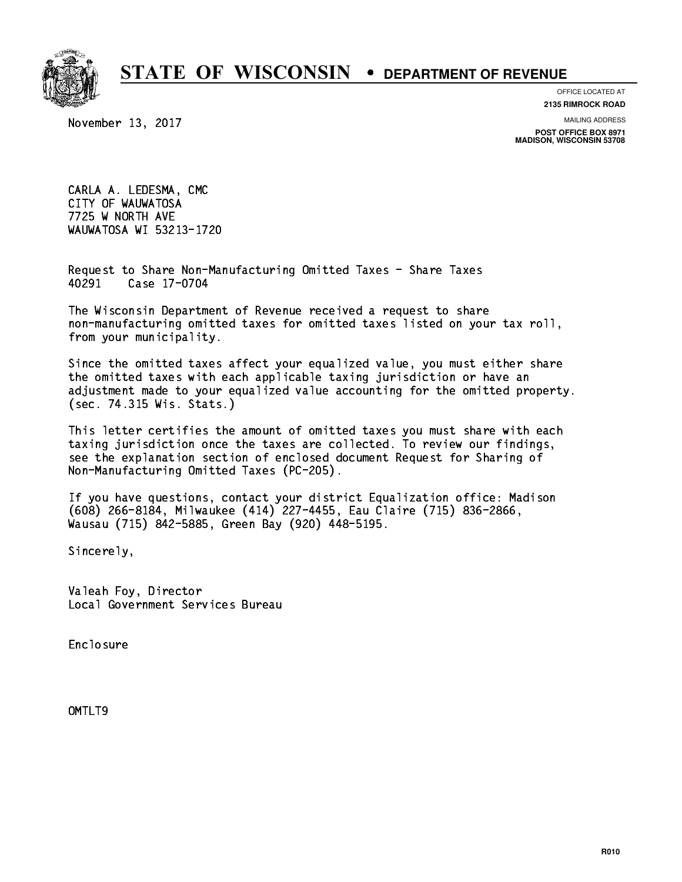

**OFFICE LOCATED AT**

November 13, 2017

**2135 RIMROCK ROAD**

**MAILING ADDRESS POST OFFICE BOX 8971 MADISON, WISCONSIN 53708**

 CARLA A. LEDESMA, CMC CITY OF WAUWATOSA 7725 W NORTH AVE WAUWATOSA WI 53213-1720

 Request to Share Non-Manufacturing Omitted Taxes - Share Taxes 40291 Case 17-0704

 The Wisconsin Department of Revenue received a request to share non-manufacturing omitted taxes for omitted taxes listed on your tax roll, from your municipality.

 Since the omitted taxes affect your equalized value, you must either share the omitted taxes with each applicable taxing jurisdiction or have an adjustment made to your equalized value accounting for the omitted property. (sec. 74.315 Wis. Stats.)

 This letter certifies the amount of omitted taxes you must share with each taxing jurisdiction once the taxes are collected. To review our findings, see the explanation section of enclosed document Request for Sharing of Non-Manufacturing Omitted Taxes (PC-205).

 If you have questions, contact your district Equalization office: Madison (608) 266-8184, Milwaukee (414) 227-4455, Eau Claire (715) 836-2866, Wausau (715) 842-5885, Green Bay (920) 448-5195.

Sincerely,

 Valeah Foy, Director Local Government Services Bureau

Enclosure Enclosure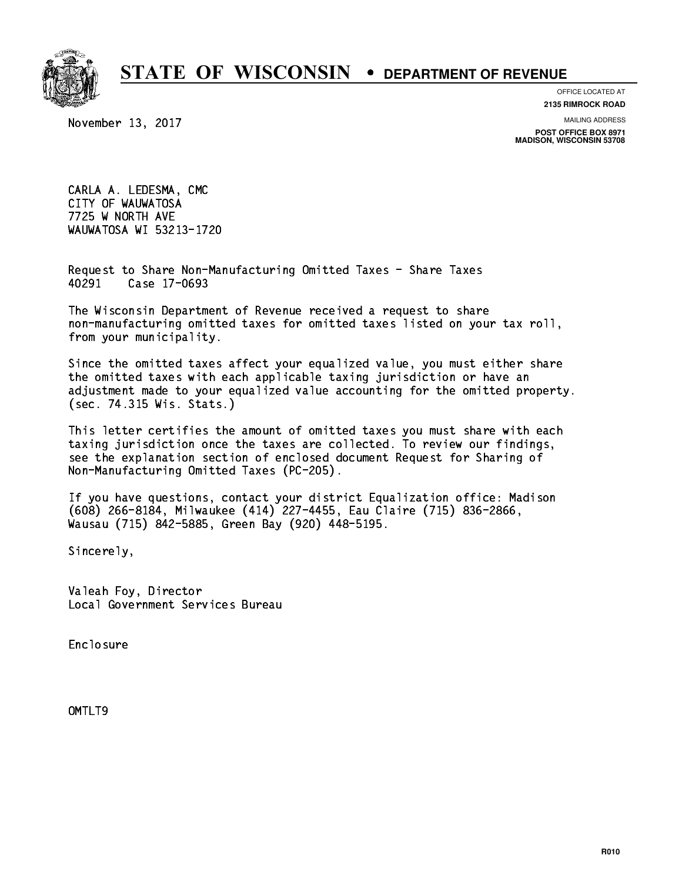

**OFFICE LOCATED AT**

November 13, 2017

**2135 RIMROCK ROAD**

**MAILING ADDRESS POST OFFICE BOX 8971**

**MADISON, WISCONSIN 53708**

 CARLA A. LEDESMA, CMC CITY OF WAUWATOSA 7725 W NORTH AVE WAUWATOSA WI 53213-1720

 Request to Share Non-Manufacturing Omitted Taxes - Share Taxes 40291 Case 17-0693

 The Wisconsin Department of Revenue received a request to share non-manufacturing omitted taxes for omitted taxes listed on your tax roll, from your municipality.

 Since the omitted taxes affect your equalized value, you must either share the omitted taxes with each applicable taxing jurisdiction or have an adjustment made to your equalized value accounting for the omitted property. (sec. 74.315 Wis. Stats.)

 This letter certifies the amount of omitted taxes you must share with each taxing jurisdiction once the taxes are collected. To review our findings, see the explanation section of enclosed document Request for Sharing of Non-Manufacturing Omitted Taxes (PC-205).

 If you have questions, contact your district Equalization office: Madison (608) 266-8184, Milwaukee (414) 227-4455, Eau Claire (715) 836-2866, Wausau (715) 842-5885, Green Bay (920) 448-5195.

Sincerely,

 Valeah Foy, Director Local Government Services Bureau

Enclosure Enclosure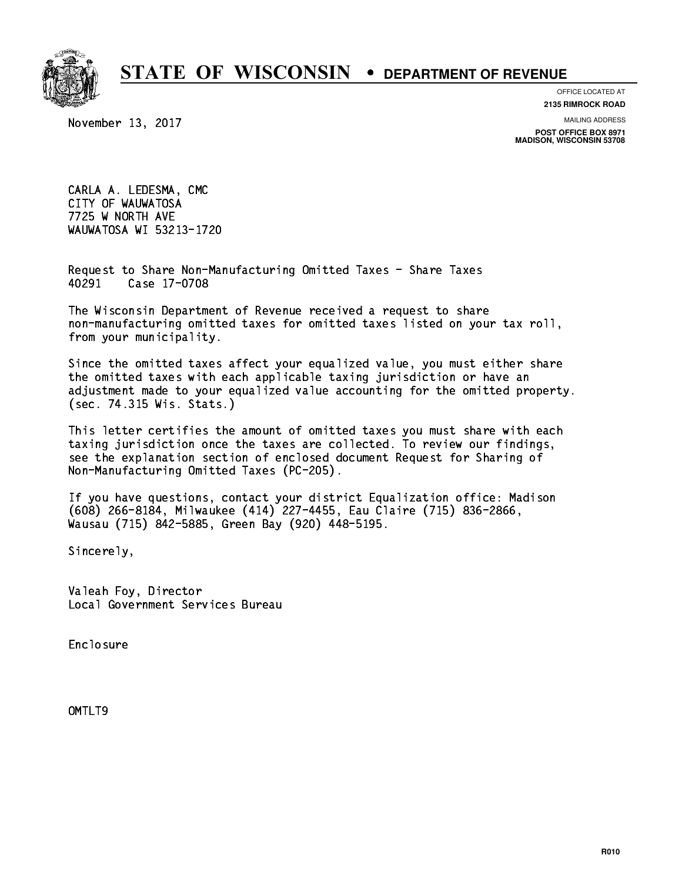

**OFFICE LOCATED AT**

November 13, 2017

**2135 RIMROCK ROAD**

**MAILING ADDRESS POST OFFICE BOX 8971 MADISON, WISCONSIN 53708**

 CARLA A. LEDESMA, CMC CITY OF WAUWATOSA 7725 W NORTH AVE WAUWATOSA WI 53213-1720

 Request to Share Non-Manufacturing Omitted Taxes - Share Taxes 40291 Case 17-0708

 The Wisconsin Department of Revenue received a request to share non-manufacturing omitted taxes for omitted taxes listed on your tax roll, from your municipality.

 Since the omitted taxes affect your equalized value, you must either share the omitted taxes with each applicable taxing jurisdiction or have an adjustment made to your equalized value accounting for the omitted property. (sec. 74.315 Wis. Stats.)

 This letter certifies the amount of omitted taxes you must share with each taxing jurisdiction once the taxes are collected. To review our findings, see the explanation section of enclosed document Request for Sharing of Non-Manufacturing Omitted Taxes (PC-205).

 If you have questions, contact your district Equalization office: Madison (608) 266-8184, Milwaukee (414) 227-4455, Eau Claire (715) 836-2866, Wausau (715) 842-5885, Green Bay (920) 448-5195.

Sincerely,

 Valeah Foy, Director Local Government Services Bureau

Enclosure Enclosure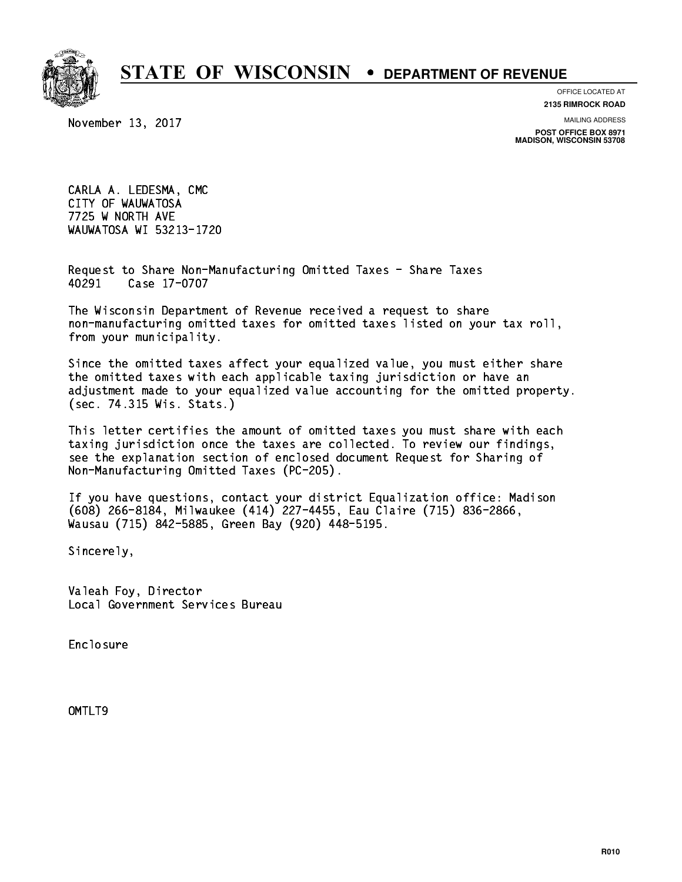

**OFFICE LOCATED AT**

November 13, 2017

**2135 RIMROCK ROAD**

**MAILING ADDRESS POST OFFICE BOX 8971 MADISON, WISCONSIN 53708**

 CARLA A. LEDESMA, CMC CITY OF WAUWATOSA 7725 W NORTH AVE WAUWATOSA WI 53213-1720

 Request to Share Non-Manufacturing Omitted Taxes - Share Taxes 40291 Case 17-0707

 The Wisconsin Department of Revenue received a request to share non-manufacturing omitted taxes for omitted taxes listed on your tax roll, from your municipality.

 Since the omitted taxes affect your equalized value, you must either share the omitted taxes with each applicable taxing jurisdiction or have an adjustment made to your equalized value accounting for the omitted property. (sec. 74.315 Wis. Stats.)

 This letter certifies the amount of omitted taxes you must share with each taxing jurisdiction once the taxes are collected. To review our findings, see the explanation section of enclosed document Request for Sharing of Non-Manufacturing Omitted Taxes (PC-205).

 If you have questions, contact your district Equalization office: Madison (608) 266-8184, Milwaukee (414) 227-4455, Eau Claire (715) 836-2866, Wausau (715) 842-5885, Green Bay (920) 448-5195.

Sincerely,

 Valeah Foy, Director Local Government Services Bureau

Enclosure Enclosure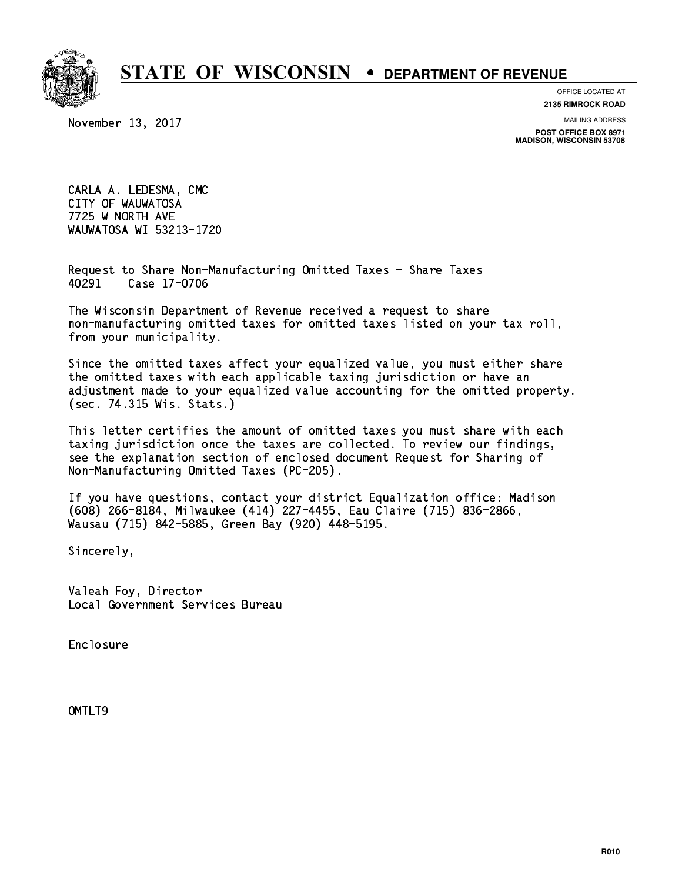

**OFFICE LOCATED AT**

November 13, 2017

**2135 RIMROCK ROAD**

**MAILING ADDRESS POST OFFICE BOX 8971 MADISON, WISCONSIN 53708**

 CARLA A. LEDESMA, CMC CITY OF WAUWATOSA 7725 W NORTH AVE WAUWATOSA WI 53213-1720

 Request to Share Non-Manufacturing Omitted Taxes - Share Taxes 40291 Case 17-0706

 The Wisconsin Department of Revenue received a request to share non-manufacturing omitted taxes for omitted taxes listed on your tax roll, from your municipality.

 Since the omitted taxes affect your equalized value, you must either share the omitted taxes with each applicable taxing jurisdiction or have an adjustment made to your equalized value accounting for the omitted property. (sec. 74.315 Wis. Stats.)

 This letter certifies the amount of omitted taxes you must share with each taxing jurisdiction once the taxes are collected. To review our findings, see the explanation section of enclosed document Request for Sharing of Non-Manufacturing Omitted Taxes (PC-205).

 If you have questions, contact your district Equalization office: Madison (608) 266-8184, Milwaukee (414) 227-4455, Eau Claire (715) 836-2866, Wausau (715) 842-5885, Green Bay (920) 448-5195.

Sincerely,

 Valeah Foy, Director Local Government Services Bureau

Enclosure Enclosure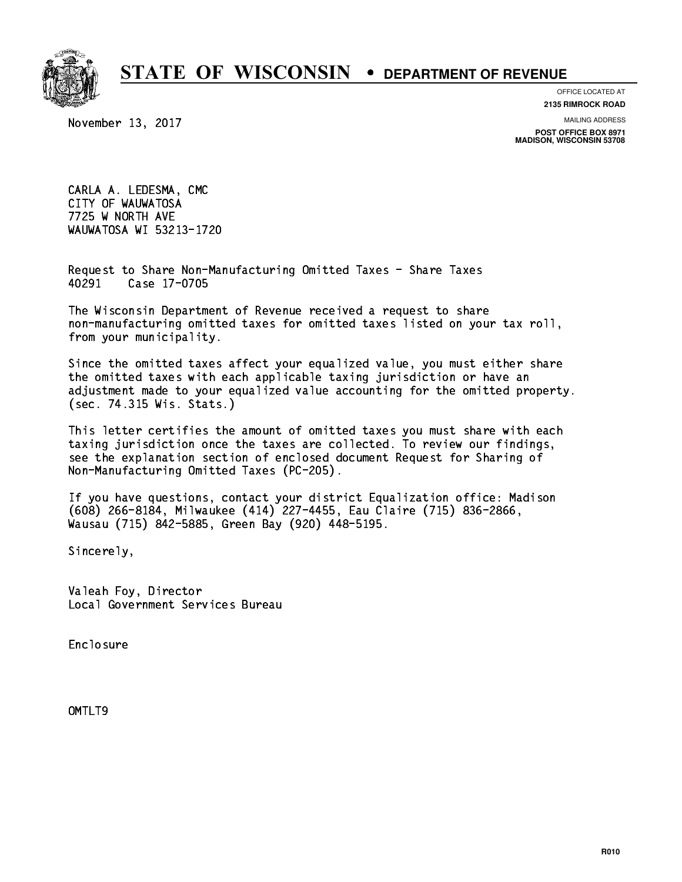

**OFFICE LOCATED AT**

November 13, 2017

**2135 RIMROCK ROAD**

**MAILING ADDRESS**

**POST OFFICE BOX 8971 MADISON, WISCONSIN 53708**

 CARLA A. LEDESMA, CMC CITY OF WAUWATOSA 7725 W NORTH AVE WAUWATOSA WI 53213-1720

 Request to Share Non-Manufacturing Omitted Taxes - Share Taxes 40291 Case 17-0705

 The Wisconsin Department of Revenue received a request to share non-manufacturing omitted taxes for omitted taxes listed on your tax roll, from your municipality.

 Since the omitted taxes affect your equalized value, you must either share the omitted taxes with each applicable taxing jurisdiction or have an adjustment made to your equalized value accounting for the omitted property. (sec. 74.315 Wis. Stats.)

 This letter certifies the amount of omitted taxes you must share with each taxing jurisdiction once the taxes are collected. To review our findings, see the explanation section of enclosed document Request for Sharing of Non-Manufacturing Omitted Taxes (PC-205).

 If you have questions, contact your district Equalization office: Madison (608) 266-8184, Milwaukee (414) 227-4455, Eau Claire (715) 836-2866, Wausau (715) 842-5885, Green Bay (920) 448-5195.

Sincerely,

 Valeah Foy, Director Local Government Services Bureau

Enclosure Enclosure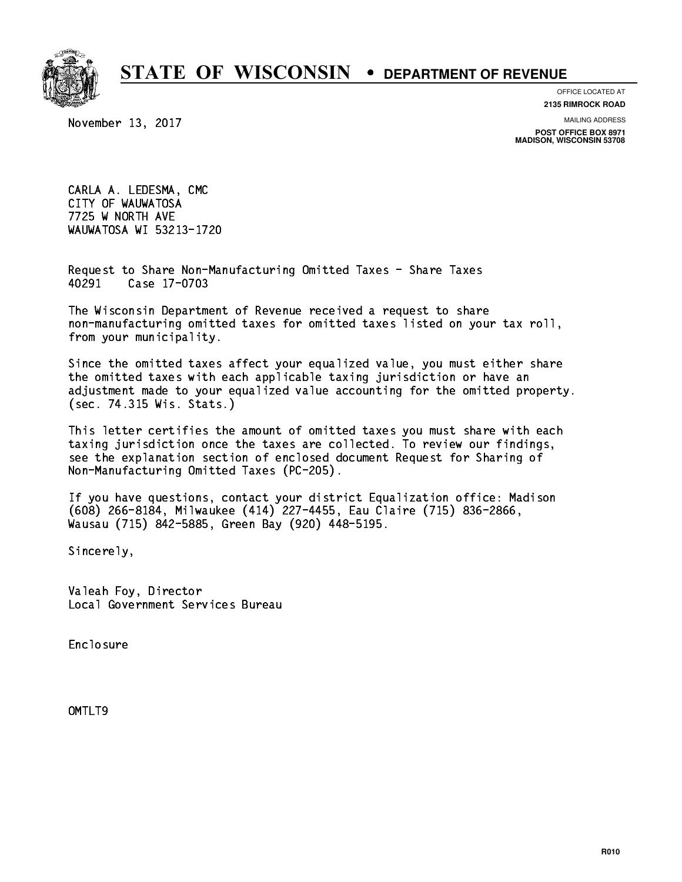

**OFFICE LOCATED AT**

November 13, 2017

**2135 RIMROCK ROAD**

**MAILING ADDRESS POST OFFICE BOX 8971 MADISON, WISCONSIN 53708**

 CARLA A. LEDESMA, CMC CITY OF WAUWATOSA 7725 W NORTH AVE WAUWATOSA WI 53213-1720

 Request to Share Non-Manufacturing Omitted Taxes - Share Taxes 40291 Case 17-0703

 The Wisconsin Department of Revenue received a request to share non-manufacturing omitted taxes for omitted taxes listed on your tax roll, from your municipality.

 Since the omitted taxes affect your equalized value, you must either share the omitted taxes with each applicable taxing jurisdiction or have an adjustment made to your equalized value accounting for the omitted property. (sec. 74.315 Wis. Stats.)

 This letter certifies the amount of omitted taxes you must share with each taxing jurisdiction once the taxes are collected. To review our findings, see the explanation section of enclosed document Request for Sharing of Non-Manufacturing Omitted Taxes (PC-205).

 If you have questions, contact your district Equalization office: Madison (608) 266-8184, Milwaukee (414) 227-4455, Eau Claire (715) 836-2866, Wausau (715) 842-5885, Green Bay (920) 448-5195.

Sincerely,

 Valeah Foy, Director Local Government Services Bureau

Enclosure Enclosure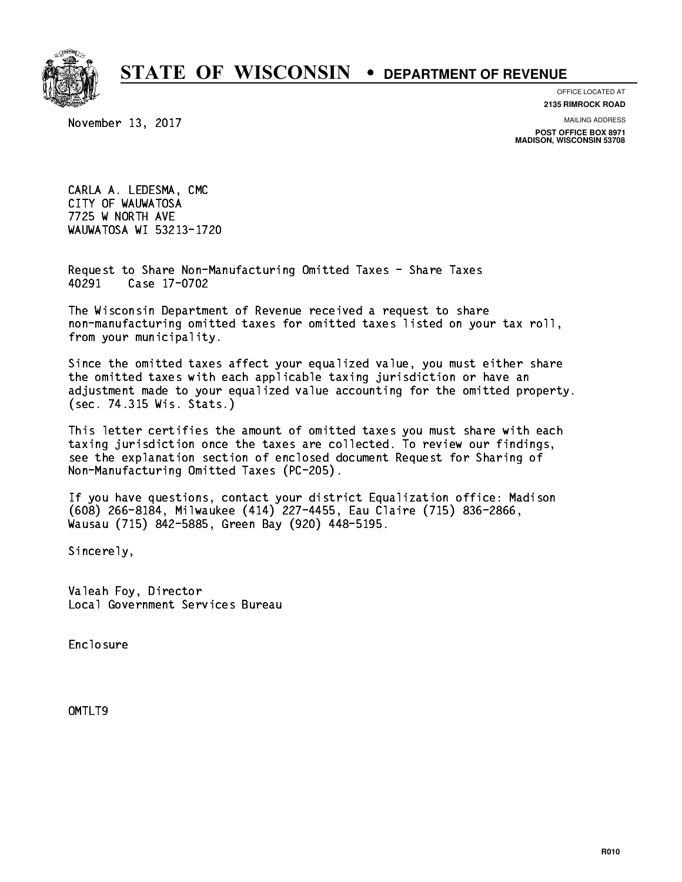

**OFFICE LOCATED AT**

November 13, 2017

**2135 RIMROCK ROAD**

**MAILING ADDRESS POST OFFICE BOX 8971 MADISON, WISCONSIN 53708**

 CARLA A. LEDESMA, CMC CITY OF WAUWATOSA 7725 W NORTH AVE WAUWATOSA WI 53213-1720

 Request to Share Non-Manufacturing Omitted Taxes - Share Taxes 40291 Case 17-0702

 The Wisconsin Department of Revenue received a request to share non-manufacturing omitted taxes for omitted taxes listed on your tax roll, from your municipality.

 Since the omitted taxes affect your equalized value, you must either share the omitted taxes with each applicable taxing jurisdiction or have an adjustment made to your equalized value accounting for the omitted property. (sec. 74.315 Wis. Stats.)

 This letter certifies the amount of omitted taxes you must share with each taxing jurisdiction once the taxes are collected. To review our findings, see the explanation section of enclosed document Request for Sharing of Non-Manufacturing Omitted Taxes (PC-205).

 If you have questions, contact your district Equalization office: Madison (608) 266-8184, Milwaukee (414) 227-4455, Eau Claire (715) 836-2866, Wausau (715) 842-5885, Green Bay (920) 448-5195.

Sincerely,

 Valeah Foy, Director Local Government Services Bureau

Enclosure Enclosure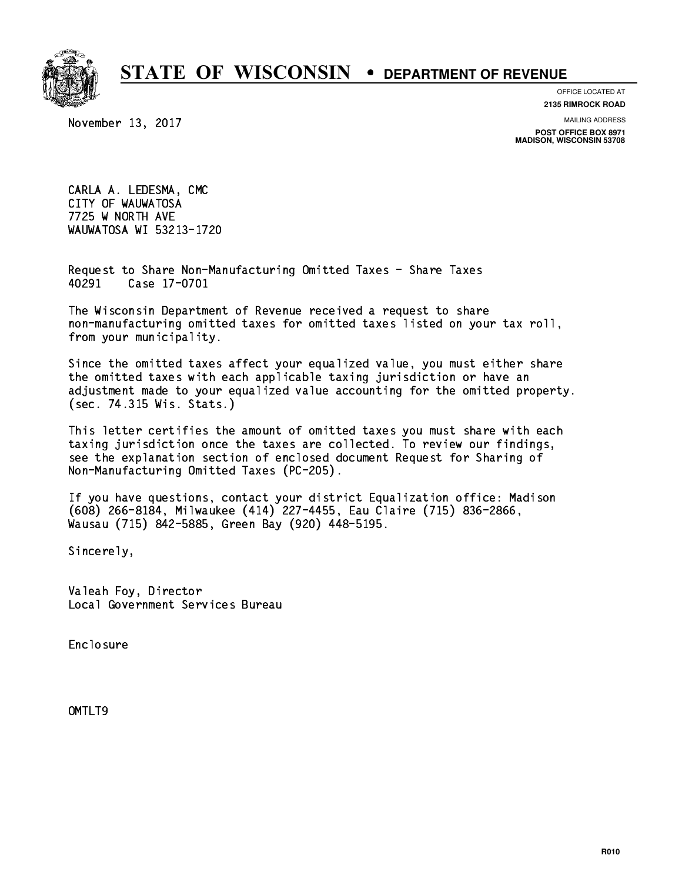

**OFFICE LOCATED AT**

November 13, 2017

**2135 RIMROCK ROAD**

**MAILING ADDRESS POST OFFICE BOX 8971 MADISON, WISCONSIN 53708**

 CARLA A. LEDESMA, CMC CITY OF WAUWATOSA 7725 W NORTH AVE WAUWATOSA WI 53213-1720

 Request to Share Non-Manufacturing Omitted Taxes - Share Taxes 40291 Case 17-0701

 The Wisconsin Department of Revenue received a request to share non-manufacturing omitted taxes for omitted taxes listed on your tax roll, from your municipality.

 Since the omitted taxes affect your equalized value, you must either share the omitted taxes with each applicable taxing jurisdiction or have an adjustment made to your equalized value accounting for the omitted property. (sec. 74.315 Wis. Stats.)

 This letter certifies the amount of omitted taxes you must share with each taxing jurisdiction once the taxes are collected. To review our findings, see the explanation section of enclosed document Request for Sharing of Non-Manufacturing Omitted Taxes (PC-205).

 If you have questions, contact your district Equalization office: Madison (608) 266-8184, Milwaukee (414) 227-4455, Eau Claire (715) 836-2866, Wausau (715) 842-5885, Green Bay (920) 448-5195.

Sincerely,

 Valeah Foy, Director Local Government Services Bureau

Enclosure Enclosure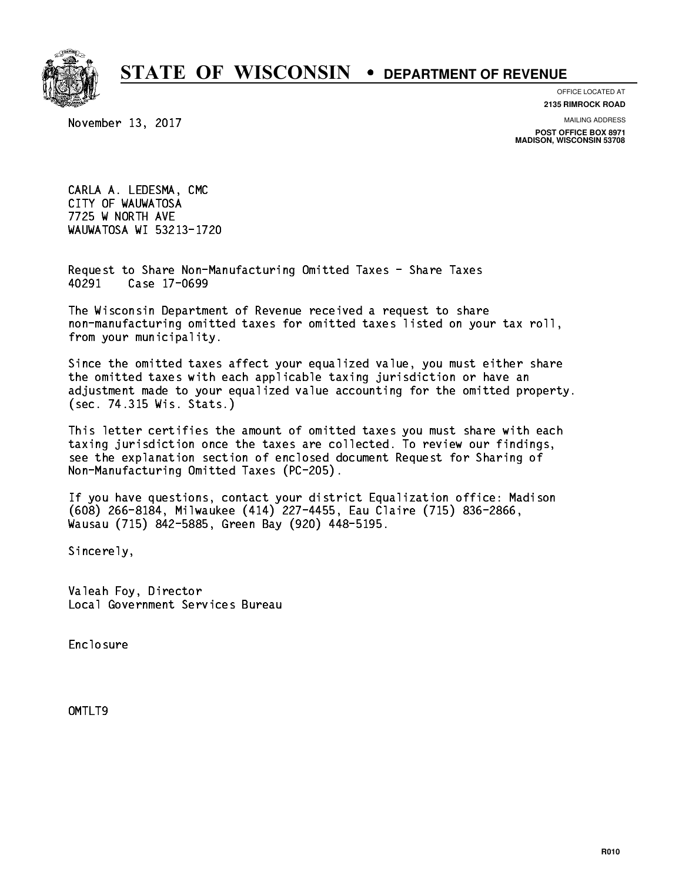

**OFFICE LOCATED AT**

November 13, 2017

**2135 RIMROCK ROAD**

**MAILING ADDRESS POST OFFICE BOX 8971 MADISON, WISCONSIN 53708**

 CARLA A. LEDESMA, CMC CITY OF WAUWATOSA 7725 W NORTH AVE WAUWATOSA WI 53213-1720

 Request to Share Non-Manufacturing Omitted Taxes - Share Taxes 40291 Case 17-0699

 The Wisconsin Department of Revenue received a request to share non-manufacturing omitted taxes for omitted taxes listed on your tax roll, from your municipality.

 Since the omitted taxes affect your equalized value, you must either share the omitted taxes with each applicable taxing jurisdiction or have an adjustment made to your equalized value accounting for the omitted property. (sec. 74.315 Wis. Stats.)

 This letter certifies the amount of omitted taxes you must share with each taxing jurisdiction once the taxes are collected. To review our findings, see the explanation section of enclosed document Request for Sharing of Non-Manufacturing Omitted Taxes (PC-205).

 If you have questions, contact your district Equalization office: Madison (608) 266-8184, Milwaukee (414) 227-4455, Eau Claire (715) 836-2866, Wausau (715) 842-5885, Green Bay (920) 448-5195.

Sincerely,

 Valeah Foy, Director Local Government Services Bureau

Enclosure Enclosure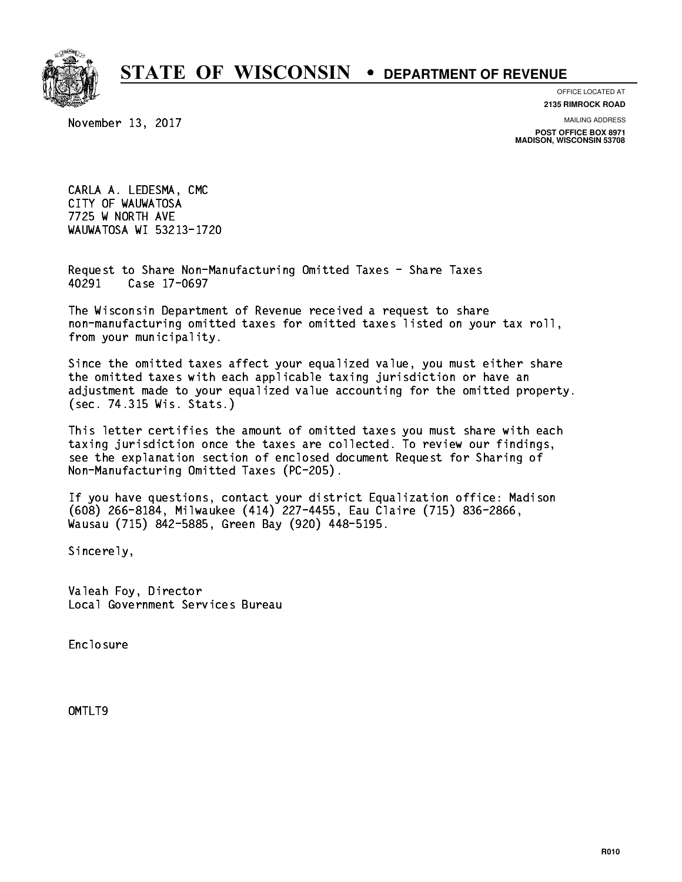

**OFFICE LOCATED AT**

November 13, 2017

**2135 RIMROCK ROAD**

**MAILING ADDRESS POST OFFICE BOX 8971 MADISON, WISCONSIN 53708**

 CARLA A. LEDESMA, CMC CITY OF WAUWATOSA 7725 W NORTH AVE WAUWATOSA WI 53213-1720

 Request to Share Non-Manufacturing Omitted Taxes - Share Taxes 40291 Case 17-0697

 The Wisconsin Department of Revenue received a request to share non-manufacturing omitted taxes for omitted taxes listed on your tax roll, from your municipality.

 Since the omitted taxes affect your equalized value, you must either share the omitted taxes with each applicable taxing jurisdiction or have an adjustment made to your equalized value accounting for the omitted property. (sec. 74.315 Wis. Stats.)

 This letter certifies the amount of omitted taxes you must share with each taxing jurisdiction once the taxes are collected. To review our findings, see the explanation section of enclosed document Request for Sharing of Non-Manufacturing Omitted Taxes (PC-205).

 If you have questions, contact your district Equalization office: Madison (608) 266-8184, Milwaukee (414) 227-4455, Eau Claire (715) 836-2866, Wausau (715) 842-5885, Green Bay (920) 448-5195.

Sincerely,

 Valeah Foy, Director Local Government Services Bureau

Enclosure Enclosure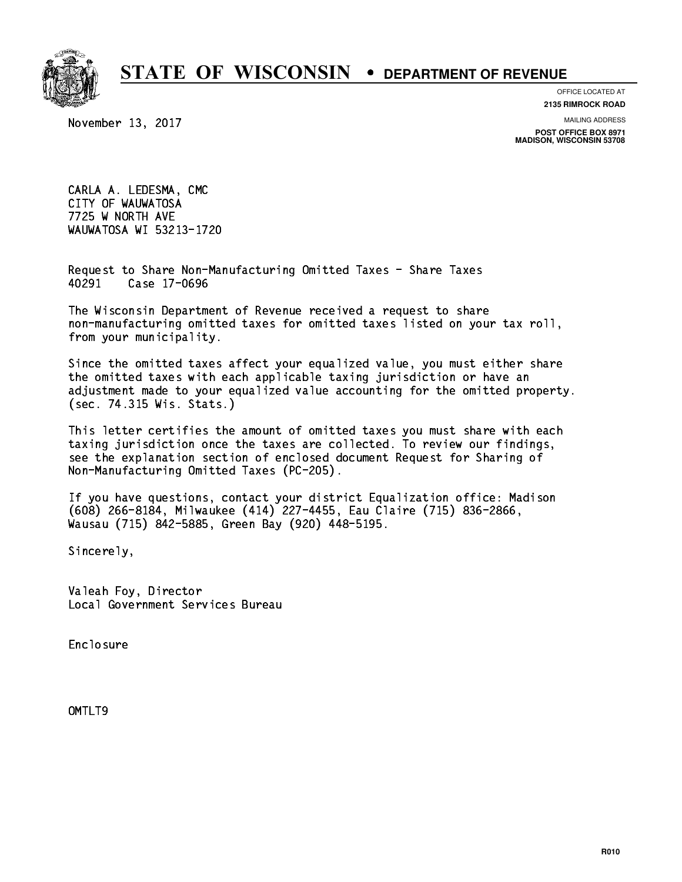

**OFFICE LOCATED AT**

November 13, 2017

**2135 RIMROCK ROAD**

**MAILING ADDRESS POST OFFICE BOX 8971 MADISON, WISCONSIN 53708**

 CARLA A. LEDESMA, CMC CITY OF WAUWATOSA 7725 W NORTH AVE WAUWATOSA WI 53213-1720

 Request to Share Non-Manufacturing Omitted Taxes - Share Taxes 40291 Case 17-0696

 The Wisconsin Department of Revenue received a request to share non-manufacturing omitted taxes for omitted taxes listed on your tax roll, from your municipality.

 Since the omitted taxes affect your equalized value, you must either share the omitted taxes with each applicable taxing jurisdiction or have an adjustment made to your equalized value accounting for the omitted property. (sec. 74.315 Wis. Stats.)

 This letter certifies the amount of omitted taxes you must share with each taxing jurisdiction once the taxes are collected. To review our findings, see the explanation section of enclosed document Request for Sharing of Non-Manufacturing Omitted Taxes (PC-205).

 If you have questions, contact your district Equalization office: Madison (608) 266-8184, Milwaukee (414) 227-4455, Eau Claire (715) 836-2866, Wausau (715) 842-5885, Green Bay (920) 448-5195.

Sincerely,

 Valeah Foy, Director Local Government Services Bureau

Enclosure Enclosure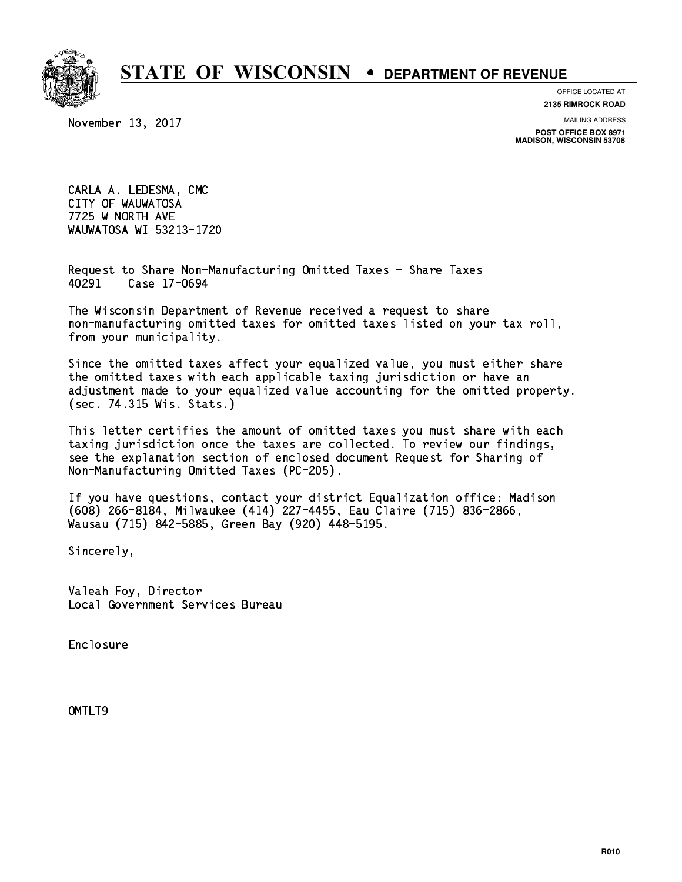

**OFFICE LOCATED AT**

November 13, 2017

**2135 RIMROCK ROAD**

**MAILING ADDRESS POST OFFICE BOX 8971 MADISON, WISCONSIN 53708**

 CARLA A. LEDESMA, CMC CITY OF WAUWATOSA 7725 W NORTH AVE WAUWATOSA WI 53213-1720

 Request to Share Non-Manufacturing Omitted Taxes - Share Taxes 40291 Case 17-0694

 The Wisconsin Department of Revenue received a request to share non-manufacturing omitted taxes for omitted taxes listed on your tax roll, from your municipality.

 Since the omitted taxes affect your equalized value, you must either share the omitted taxes with each applicable taxing jurisdiction or have an adjustment made to your equalized value accounting for the omitted property. (sec. 74.315 Wis. Stats.)

 This letter certifies the amount of omitted taxes you must share with each taxing jurisdiction once the taxes are collected. To review our findings, see the explanation section of enclosed document Request for Sharing of Non-Manufacturing Omitted Taxes (PC-205).

 If you have questions, contact your district Equalization office: Madison (608) 266-8184, Milwaukee (414) 227-4455, Eau Claire (715) 836-2866, Wausau (715) 842-5885, Green Bay (920) 448-5195.

Sincerely,

 Valeah Foy, Director Local Government Services Bureau

Enclosure Enclosure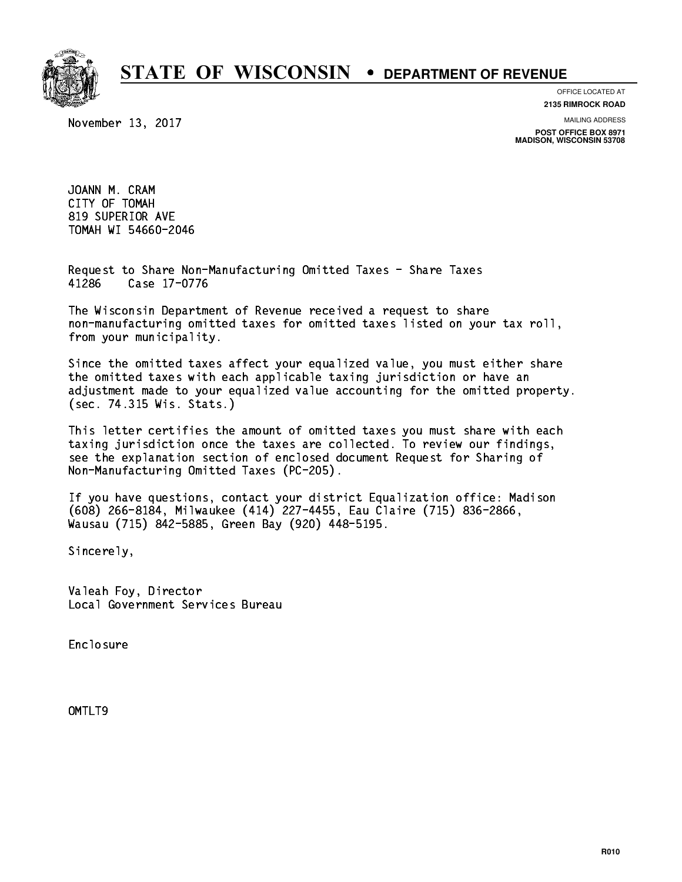

November 13, 2017

**OFFICE LOCATED AT**

**2135 RIMROCK ROAD**

**MAILING ADDRESS**

**POST OFFICE BOX 8971 MADISON, WISCONSIN 53708**

 JOANN M. CRAM CITY OF TOMAH 819 SUPERIOR AVE TOMAH WI 54660-2046 TOMAH WI 54660-2046

 Request to Share Non-Manufacturing Omitted Taxes - Share Taxes 41286 Case 17-0776

 The Wisconsin Department of Revenue received a request to share non-manufacturing omitted taxes for omitted taxes listed on your tax roll, from your municipality.

 Since the omitted taxes affect your equalized value, you must either share the omitted taxes with each applicable taxing jurisdiction or have an adjustment made to your equalized value accounting for the omitted property. (sec. 74.315 Wis. Stats.)

 This letter certifies the amount of omitted taxes you must share with each taxing jurisdiction once the taxes are collected. To review our findings, see the explanation section of enclosed document Request for Sharing of Non-Manufacturing Omitted Taxes (PC-205).

 If you have questions, contact your district Equalization office: Madison (608) 266-8184, Milwaukee (414) 227-4455, Eau Claire (715) 836-2866, Wausau (715) 842-5885, Green Bay (920) 448-5195.

Sincerely,

 Valeah Foy, Director Local Government Services Bureau

Enclosure Enclosure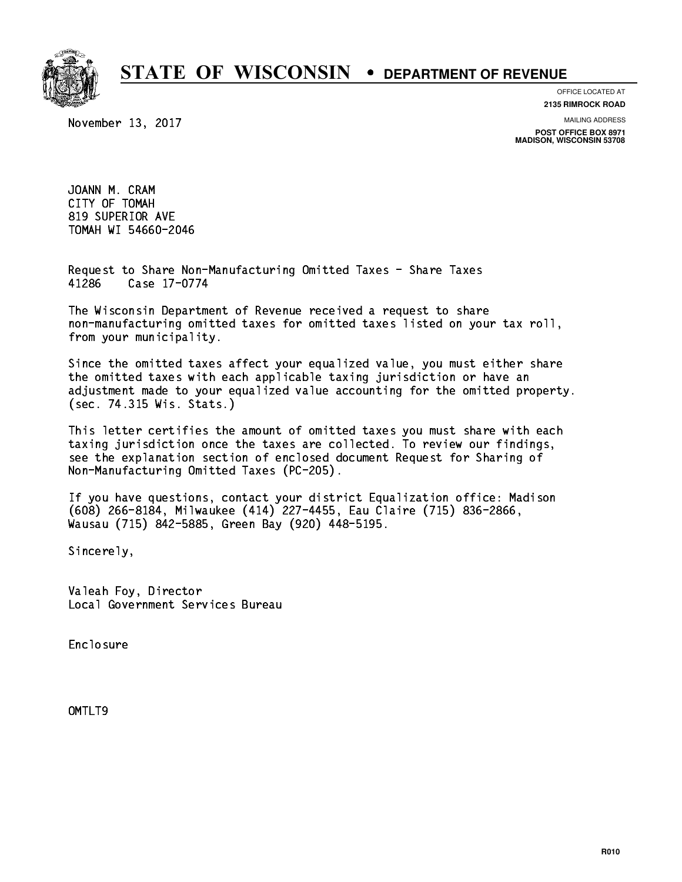

November 13, 2017

**OFFICE LOCATED AT**

**2135 RIMROCK ROAD**

**MAILING ADDRESS**

**POST OFFICE BOX 8971 MADISON, WISCONSIN 53708**

 JOANN M. CRAM CITY OF TOMAH 819 SUPERIOR AVE TOMAH WI 54660-2046 TOMAH WI 54660-2046

 Request to Share Non-Manufacturing Omitted Taxes - Share Taxes 41286 Case 17-0774

 The Wisconsin Department of Revenue received a request to share non-manufacturing omitted taxes for omitted taxes listed on your tax roll, from your municipality.

 Since the omitted taxes affect your equalized value, you must either share the omitted taxes with each applicable taxing jurisdiction or have an adjustment made to your equalized value accounting for the omitted property. (sec. 74.315 Wis. Stats.)

 This letter certifies the amount of omitted taxes you must share with each taxing jurisdiction once the taxes are collected. To review our findings, see the explanation section of enclosed document Request for Sharing of Non-Manufacturing Omitted Taxes (PC-205).

 If you have questions, contact your district Equalization office: Madison (608) 266-8184, Milwaukee (414) 227-4455, Eau Claire (715) 836-2866, Wausau (715) 842-5885, Green Bay (920) 448-5195.

Sincerely,

 Valeah Foy, Director Local Government Services Bureau

Enclosure Enclosure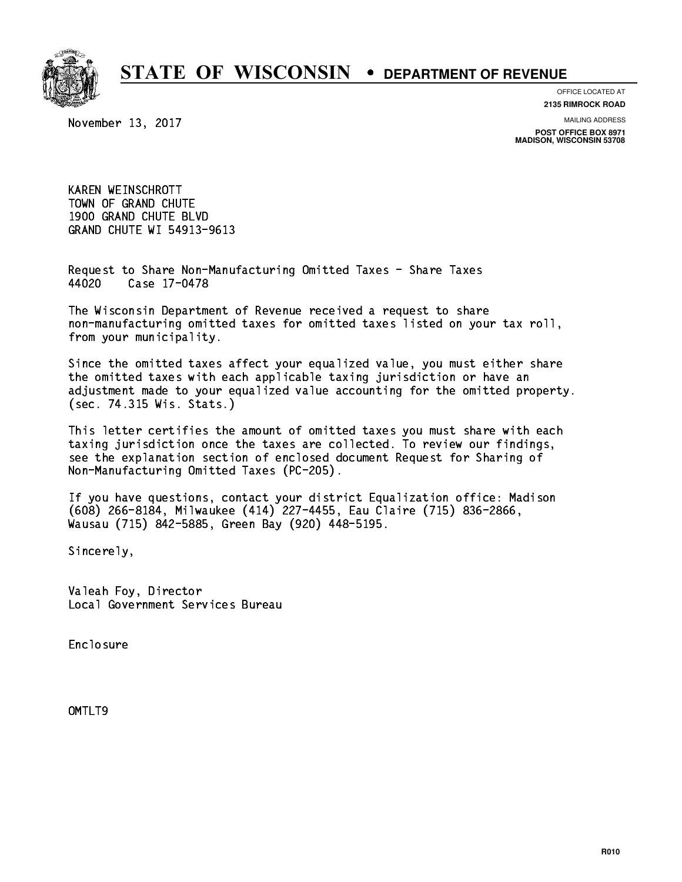

**OFFICE LOCATED AT**

November 13, 2017

**2135 RIMROCK ROAD**

**MAILING ADDRESS**

**POST OFFICE BOX 8971 MADISON, WISCONSIN 53708**

 KAREN WEINSCHROTT TOWN OF GRAND CHUTE 1900 GRAND CHUTE BLVD GRAND CHUTE WI 54913-9613

 Request to Share Non-Manufacturing Omitted Taxes - Share Taxes Case 17-0478 44020

 The Wisconsin Department of Revenue received a request to share non-manufacturing omitted taxes for omitted taxes listed on your tax roll, from your municipality.

 Since the omitted taxes affect your equalized value, you must either share the omitted taxes with each applicable taxing jurisdiction or have an adjustment made to your equalized value accounting for the omitted property. (sec. 74.315 Wis. Stats.)

 This letter certifies the amount of omitted taxes you must share with each taxing jurisdiction once the taxes are collected. To review our findings, see the explanation section of enclosed document Request for Sharing of Non-Manufacturing Omitted Taxes (PC-205).

 If you have questions, contact your district Equalization office: Madison (608) 266-8184, Milwaukee (414) 227-4455, Eau Claire (715) 836-2866, Wausau (715) 842-5885, Green Bay (920) 448-5195.

Sincerely,

 Valeah Foy, Director Local Government Services Bureau

Enclosure Enclosure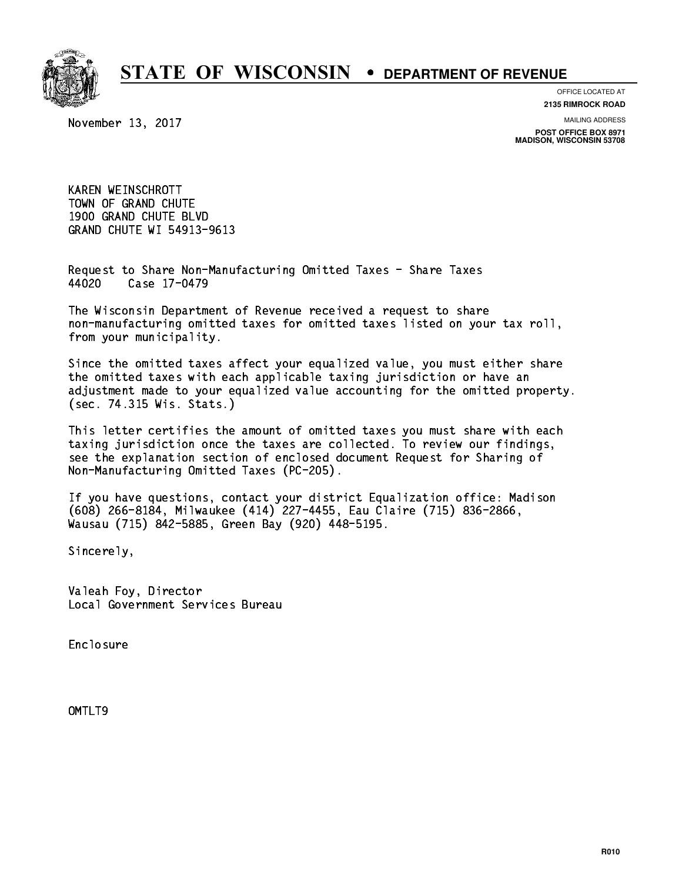

**OFFICE LOCATED AT**

November 13, 2017

**2135 RIMROCK ROAD**

**MAILING ADDRESS**

**POST OFFICE BOX 8971 MADISON, WISCONSIN 53708**

 KAREN WEINSCHROTT TOWN OF GRAND CHUTE 1900 GRAND CHUTE BLVD GRAND CHUTE WI 54913-9613

 Request to Share Non-Manufacturing Omitted Taxes - Share Taxes Case 17-0479 44020

 The Wisconsin Department of Revenue received a request to share non-manufacturing omitted taxes for omitted taxes listed on your tax roll, from your municipality.

 Since the omitted taxes affect your equalized value, you must either share the omitted taxes with each applicable taxing jurisdiction or have an adjustment made to your equalized value accounting for the omitted property. (sec. 74.315 Wis. Stats.)

 This letter certifies the amount of omitted taxes you must share with each taxing jurisdiction once the taxes are collected. To review our findings, see the explanation section of enclosed document Request for Sharing of Non-Manufacturing Omitted Taxes (PC-205).

 If you have questions, contact your district Equalization office: Madison (608) 266-8184, Milwaukee (414) 227-4455, Eau Claire (715) 836-2866, Wausau (715) 842-5885, Green Bay (920) 448-5195.

Sincerely,

 Valeah Foy, Director Local Government Services Bureau

Enclosure Enclosure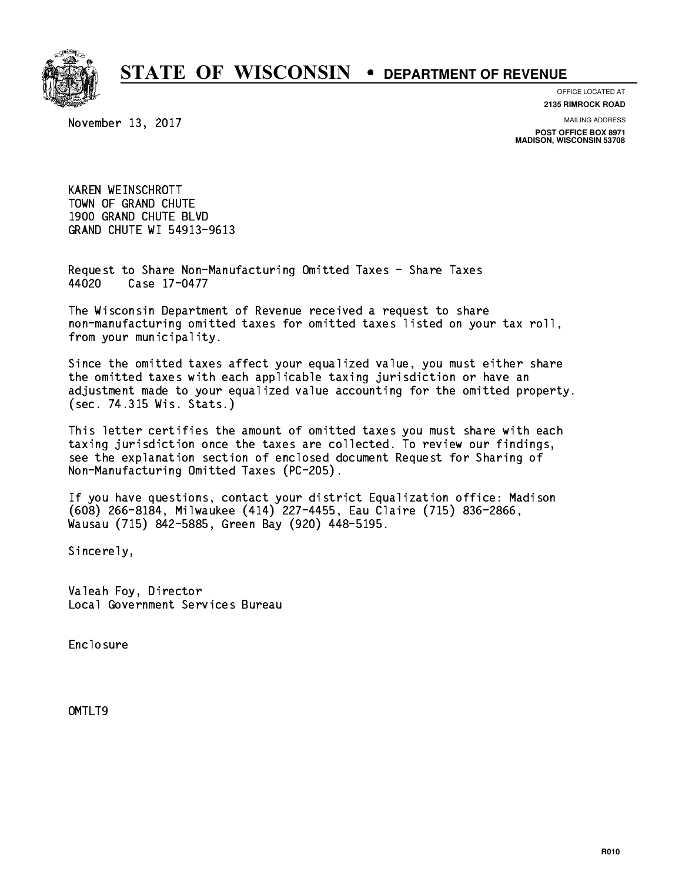

**OFFICE LOCATED AT**

November 13, 2017

**2135 RIMROCK ROAD**

**MAILING ADDRESS**

**POST OFFICE BOX 8971 MADISON, WISCONSIN 53708**

 KAREN WEINSCHROTT TOWN OF GRAND CHUTE 1900 GRAND CHUTE BLVD GRAND CHUTE WI 54913-9613

 Request to Share Non-Manufacturing Omitted Taxes - Share Taxes 44020 Case 17-0477

 The Wisconsin Department of Revenue received a request to share non-manufacturing omitted taxes for omitted taxes listed on your tax roll, from your municipality.

 Since the omitted taxes affect your equalized value, you must either share the omitted taxes with each applicable taxing jurisdiction or have an adjustment made to your equalized value accounting for the omitted property. (sec. 74.315 Wis. Stats.)

 This letter certifies the amount of omitted taxes you must share with each taxing jurisdiction once the taxes are collected. To review our findings, see the explanation section of enclosed document Request for Sharing of Non-Manufacturing Omitted Taxes (PC-205).

 If you have questions, contact your district Equalization office: Madison (608) 266-8184, Milwaukee (414) 227-4455, Eau Claire (715) 836-2866, Wausau (715) 842-5885, Green Bay (920) 448-5195.

Sincerely,

 Valeah Foy, Director Local Government Services Bureau

Enclosure Enclosure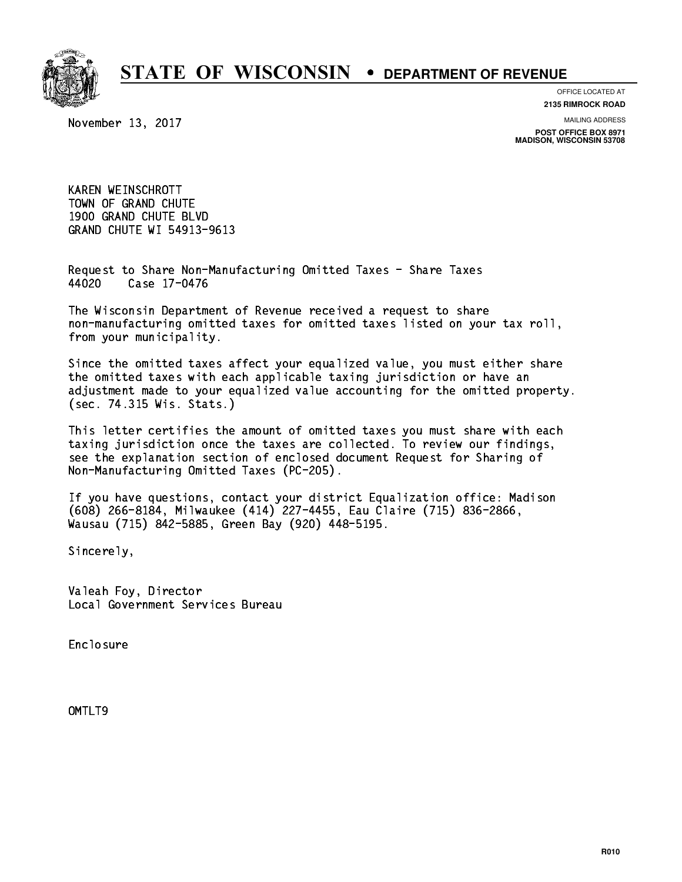

**OFFICE LOCATED AT**

November 13, 2017

**2135 RIMROCK ROAD**

**MAILING ADDRESS**

**POST OFFICE BOX 8971 MADISON, WISCONSIN 53708**

 KAREN WEINSCHROTT TOWN OF GRAND CHUTE 1900 GRAND CHUTE BLVD GRAND CHUTE WI 54913-9613

 Request to Share Non-Manufacturing Omitted Taxes - Share Taxes Case 17-0476 44020

 The Wisconsin Department of Revenue received a request to share non-manufacturing omitted taxes for omitted taxes listed on your tax roll, from your municipality.

 Since the omitted taxes affect your equalized value, you must either share the omitted taxes with each applicable taxing jurisdiction or have an adjustment made to your equalized value accounting for the omitted property. (sec. 74.315 Wis. Stats.)

 This letter certifies the amount of omitted taxes you must share with each taxing jurisdiction once the taxes are collected. To review our findings, see the explanation section of enclosed document Request for Sharing of Non-Manufacturing Omitted Taxes (PC-205).

 If you have questions, contact your district Equalization office: Madison (608) 266-8184, Milwaukee (414) 227-4455, Eau Claire (715) 836-2866, Wausau (715) 842-5885, Green Bay (920) 448-5195.

Sincerely,

 Valeah Foy, Director Local Government Services Bureau

Enclosure Enclosure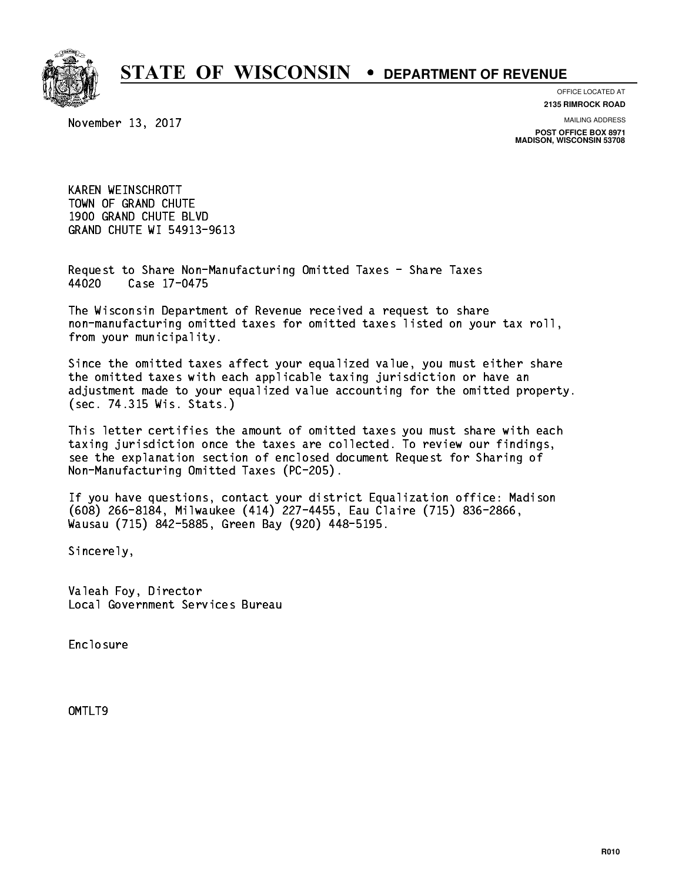

**OFFICE LOCATED AT**

November 13, 2017

**2135 RIMROCK ROAD**

**MAILING ADDRESS**

**POST OFFICE BOX 8971 MADISON, WISCONSIN 53708**

 KAREN WEINSCHROTT TOWN OF GRAND CHUTE 1900 GRAND CHUTE BLVD GRAND CHUTE WI 54913-9613

 Request to Share Non-Manufacturing Omitted Taxes - Share Taxes Case 17-0475 44020

 The Wisconsin Department of Revenue received a request to share non-manufacturing omitted taxes for omitted taxes listed on your tax roll, from your municipality.

 Since the omitted taxes affect your equalized value, you must either share the omitted taxes with each applicable taxing jurisdiction or have an adjustment made to your equalized value accounting for the omitted property. (sec. 74.315 Wis. Stats.)

 This letter certifies the amount of omitted taxes you must share with each taxing jurisdiction once the taxes are collected. To review our findings, see the explanation section of enclosed document Request for Sharing of Non-Manufacturing Omitted Taxes (PC-205).

 If you have questions, contact your district Equalization office: Madison (608) 266-8184, Milwaukee (414) 227-4455, Eau Claire (715) 836-2866, Wausau (715) 842-5885, Green Bay (920) 448-5195.

Sincerely,

 Valeah Foy, Director Local Government Services Bureau

Enclosure Enclosure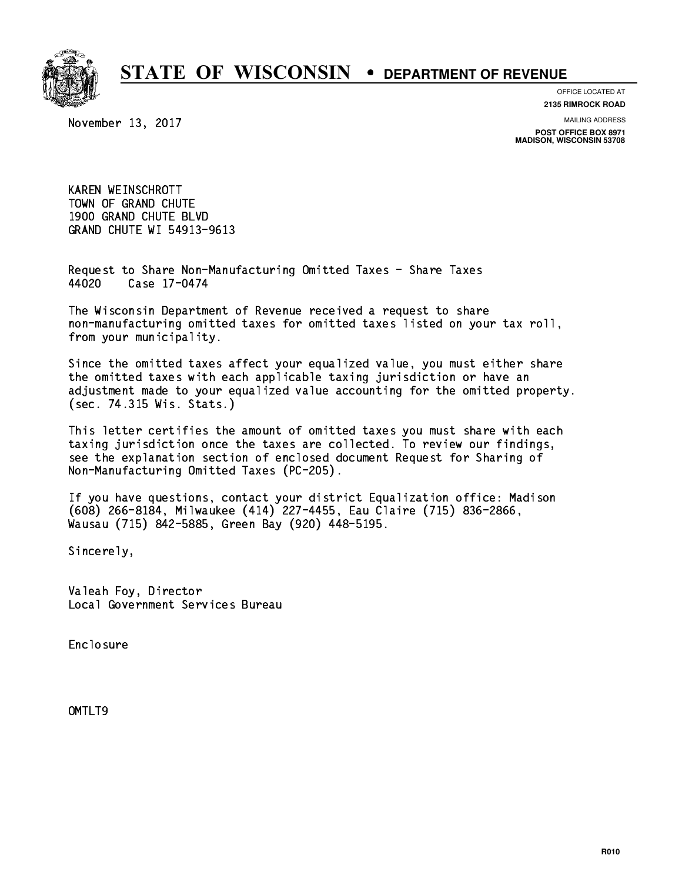

**OFFICE LOCATED AT**

November 13, 2017

**2135 RIMROCK ROAD**

**MAILING ADDRESS**

**POST OFFICE BOX 8971 MADISON, WISCONSIN 53708**

 KAREN WEINSCHROTT TOWN OF GRAND CHUTE 1900 GRAND CHUTE BLVD GRAND CHUTE WI 54913-9613

 Request to Share Non-Manufacturing Omitted Taxes - Share Taxes Case 17-0474 44020

 The Wisconsin Department of Revenue received a request to share non-manufacturing omitted taxes for omitted taxes listed on your tax roll, from your municipality.

 Since the omitted taxes affect your equalized value, you must either share the omitted taxes with each applicable taxing jurisdiction or have an adjustment made to your equalized value accounting for the omitted property. (sec. 74.315 Wis. Stats.)

 This letter certifies the amount of omitted taxes you must share with each taxing jurisdiction once the taxes are collected. To review our findings, see the explanation section of enclosed document Request for Sharing of Non-Manufacturing Omitted Taxes (PC-205).

 If you have questions, contact your district Equalization office: Madison (608) 266-8184, Milwaukee (414) 227-4455, Eau Claire (715) 836-2866, Wausau (715) 842-5885, Green Bay (920) 448-5195.

Sincerely,

 Valeah Foy, Director Local Government Services Bureau

Enclosure Enclosure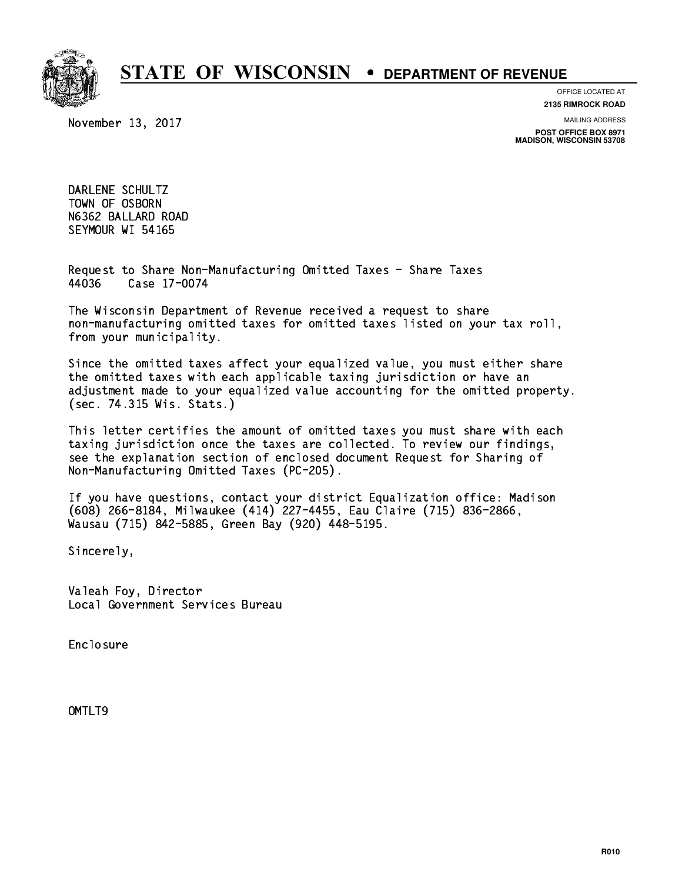

**OFFICE LOCATED AT**

November 13, 2017

**2135 RIMROCK ROAD**

**MAILING ADDRESS POST OFFICE BOX 8971 MADISON, WISCONSIN 53708**

 DARLENE SCHULTZ TOWN OF OSBORN N6362 BALLARD ROAD SEYMOUR WI 54165

 Request to Share Non-Manufacturing Omitted Taxes - Share Taxes 44036 Case 17-0074

 The Wisconsin Department of Revenue received a request to share non-manufacturing omitted taxes for omitted taxes listed on your tax roll, from your municipality.

 Since the omitted taxes affect your equalized value, you must either share the omitted taxes with each applicable taxing jurisdiction or have an adjustment made to your equalized value accounting for the omitted property. (sec. 74.315 Wis. Stats.)

 This letter certifies the amount of omitted taxes you must share with each taxing jurisdiction once the taxes are collected. To review our findings, see the explanation section of enclosed document Request for Sharing of Non-Manufacturing Omitted Taxes (PC-205).

 If you have questions, contact your district Equalization office: Madison (608) 266-8184, Milwaukee (414) 227-4455, Eau Claire (715) 836-2866, Wausau (715) 842-5885, Green Bay (920) 448-5195.

Sincerely,

 Valeah Foy, Director Local Government Services Bureau

Enclosure Enclosure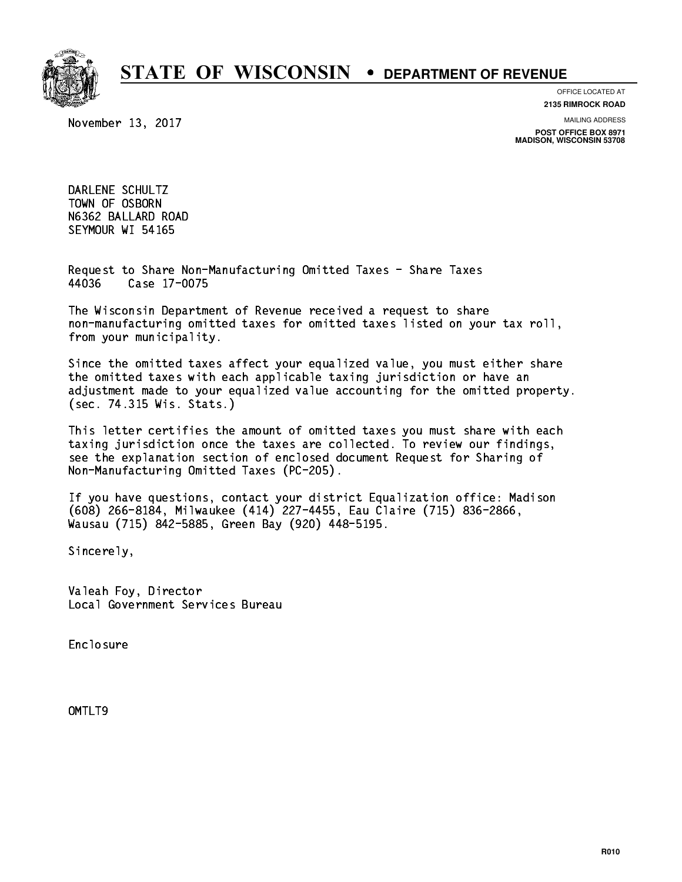

**OFFICE LOCATED AT**

November 13, 2017

**2135 RIMROCK ROAD**

**MAILING ADDRESS POST OFFICE BOX 8971 MADISON, WISCONSIN 53708**

 DARLENE SCHULTZ TOWN OF OSBORN N6362 BALLARD ROAD SEYMOUR WI 54165

 Request to Share Non-Manufacturing Omitted Taxes - Share Taxes 44036 Case 17-0075

 The Wisconsin Department of Revenue received a request to share non-manufacturing omitted taxes for omitted taxes listed on your tax roll, from your municipality.

 Since the omitted taxes affect your equalized value, you must either share the omitted taxes with each applicable taxing jurisdiction or have an adjustment made to your equalized value accounting for the omitted property. (sec. 74.315 Wis. Stats.)

 This letter certifies the amount of omitted taxes you must share with each taxing jurisdiction once the taxes are collected. To review our findings, see the explanation section of enclosed document Request for Sharing of Non-Manufacturing Omitted Taxes (PC-205).

 If you have questions, contact your district Equalization office: Madison (608) 266-8184, Milwaukee (414) 227-4455, Eau Claire (715) 836-2866, Wausau (715) 842-5885, Green Bay (920) 448-5195.

Sincerely,

 Valeah Foy, Director Local Government Services Bureau

Enclosure Enclosure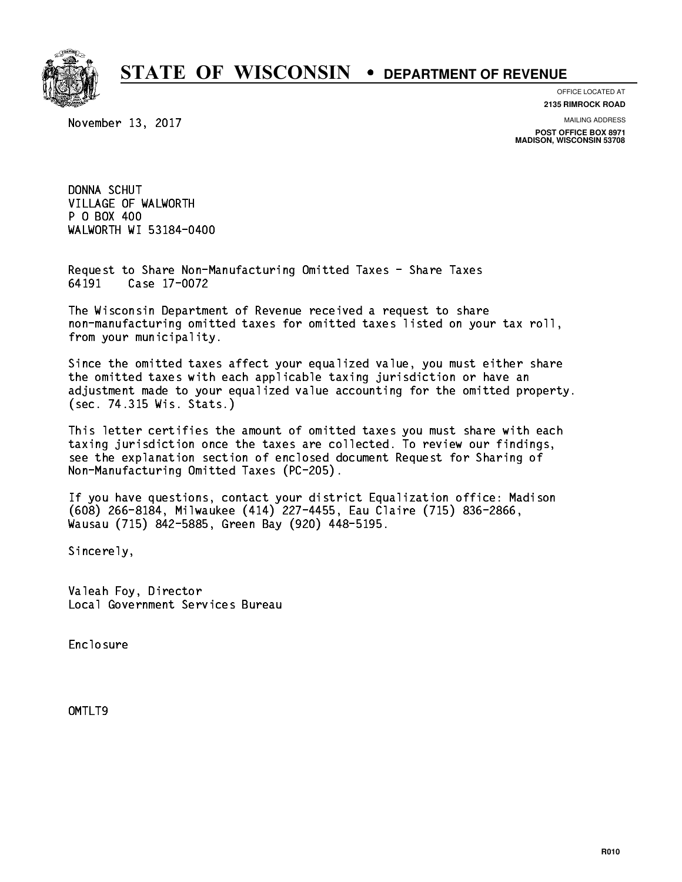

**OFFICE LOCATED AT**

**2135 RIMROCK ROAD**

November 13, 2017

**MAILING ADDRESS**

**POST OFFICE BOX 8971 MADISON, WISCONSIN 53708**

 DONNA SCHUT VILLAGE OF WALWORTH P 0 BOX 400 P O BOX 400 WALWORTH WI 53184-0400

 Request to Share Non-Manufacturing Omitted Taxes - Share Taxes 64191 Case 17-0072

 The Wisconsin Department of Revenue received a request to share non-manufacturing omitted taxes for omitted taxes listed on your tax roll, from your municipality.

 Since the omitted taxes affect your equalized value, you must either share the omitted taxes with each applicable taxing jurisdiction or have an adjustment made to your equalized value accounting for the omitted property. (sec. 74.315 Wis. Stats.)

 This letter certifies the amount of omitted taxes you must share with each taxing jurisdiction once the taxes are collected. To review our findings, see the explanation section of enclosed document Request for Sharing of Non-Manufacturing Omitted Taxes (PC-205).

 If you have questions, contact your district Equalization office: Madison (608) 266-8184, Milwaukee (414) 227-4455, Eau Claire (715) 836-2866, Wausau (715) 842-5885, Green Bay (920) 448-5195.

Sincerely,

 Valeah Foy, Director Local Government Services Bureau

Enclosure Enclosure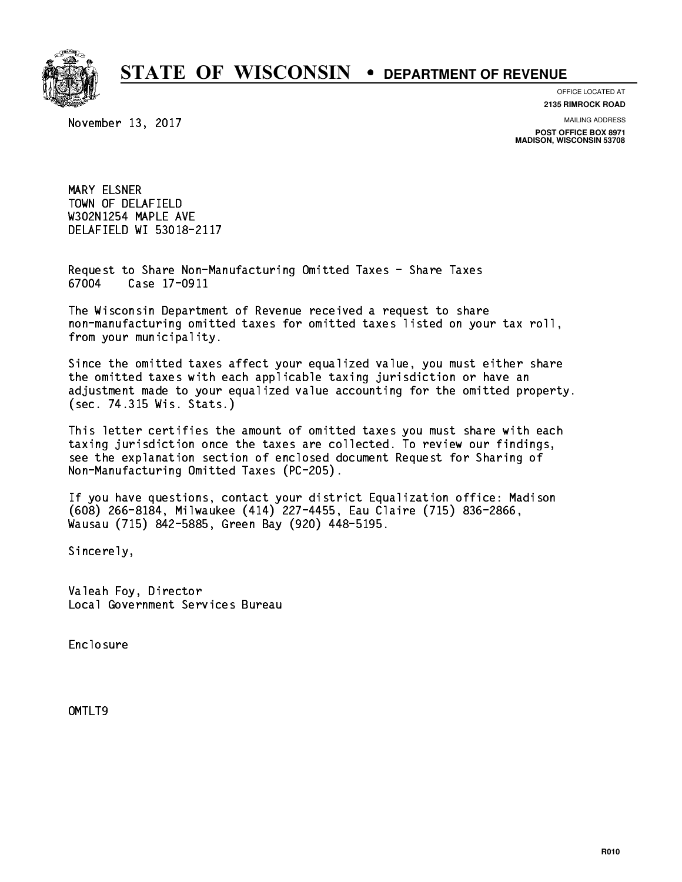

**OFFICE LOCATED AT**

**2135 RIMROCK ROAD**

November 13, 2017

**MAILING ADDRESS**

**POST OFFICE BOX 8971 MADISON, WISCONSIN 53708**

 MARY ELSNER TOWN OF DELAFIELD W302N1254 MAPLE AVE DELAFIELD WI 53018-2117

 Request to Share Non-Manufacturing Omitted Taxes - Share Taxes 67004 Case 17-0911

 The Wisconsin Department of Revenue received a request to share non-manufacturing omitted taxes for omitted taxes listed on your tax roll, from your municipality.

 Since the omitted taxes affect your equalized value, you must either share the omitted taxes with each applicable taxing jurisdiction or have an adjustment made to your equalized value accounting for the omitted property. (sec. 74.315 Wis. Stats.)

 This letter certifies the amount of omitted taxes you must share with each taxing jurisdiction once the taxes are collected. To review our findings, see the explanation section of enclosed document Request for Sharing of Non-Manufacturing Omitted Taxes (PC-205).

 If you have questions, contact your district Equalization office: Madison (608) 266-8184, Milwaukee (414) 227-4455, Eau Claire (715) 836-2866, Wausau (715) 842-5885, Green Bay (920) 448-5195.

Sincerely,

 Valeah Foy, Director Local Government Services Bureau

Enclosure Enclosure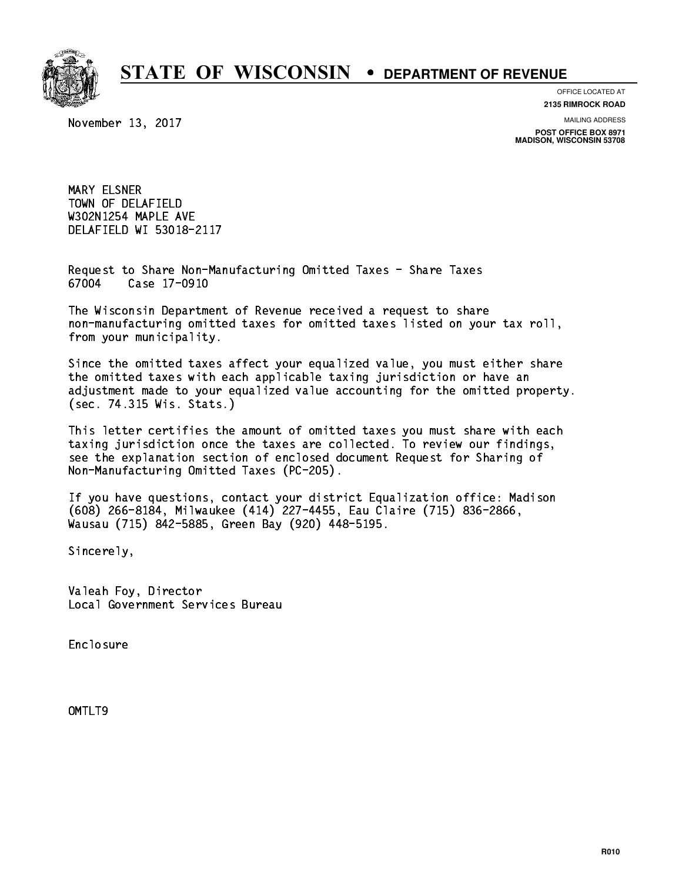

**OFFICE LOCATED AT**

**2135 RIMROCK ROAD**

November 13, 2017

**MAILING ADDRESS**

**POST OFFICE BOX 8971 MADISON, WISCONSIN 53708**

 MARY ELSNER TOWN OF DELAFIELD W302N1254 MAPLE AVE DELAFIELD WI 53018-2117

 Request to Share Non-Manufacturing Omitted Taxes - Share Taxes 67004 Case 17-0910

 The Wisconsin Department of Revenue received a request to share non-manufacturing omitted taxes for omitted taxes listed on your tax roll, from your municipality.

 Since the omitted taxes affect your equalized value, you must either share the omitted taxes with each applicable taxing jurisdiction or have an adjustment made to your equalized value accounting for the omitted property. (sec. 74.315 Wis. Stats.)

 This letter certifies the amount of omitted taxes you must share with each taxing jurisdiction once the taxes are collected. To review our findings, see the explanation section of enclosed document Request for Sharing of Non-Manufacturing Omitted Taxes (PC-205).

 If you have questions, contact your district Equalization office: Madison (608) 266-8184, Milwaukee (414) 227-4455, Eau Claire (715) 836-2866, Wausau (715) 842-5885, Green Bay (920) 448-5195.

Sincerely,

 Valeah Foy, Director Local Government Services Bureau

Enclosure Enclosure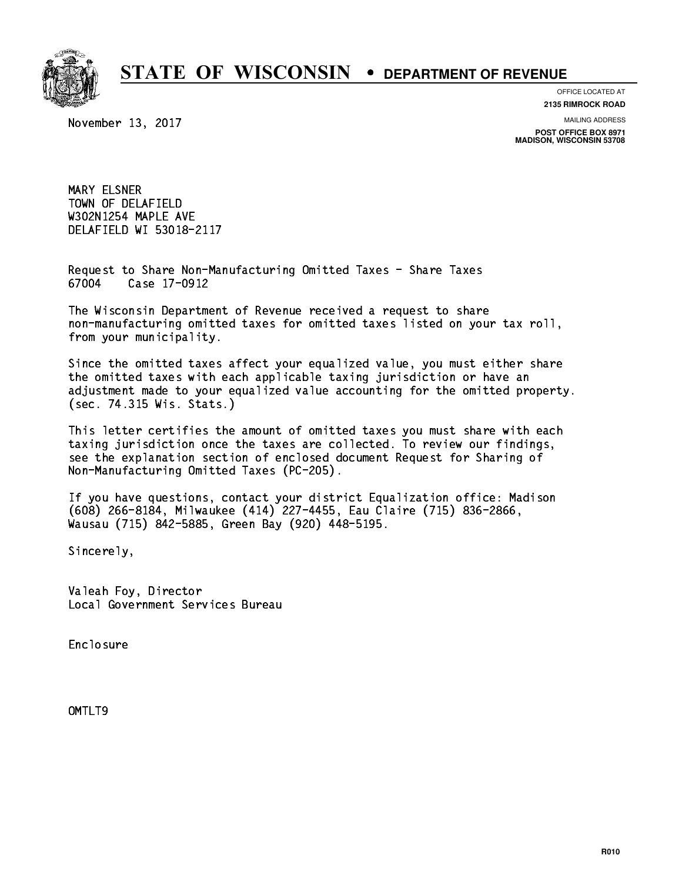

**OFFICE LOCATED AT**

**2135 RIMROCK ROAD**

November 13, 2017

**MAILING ADDRESS**

**POST OFFICE BOX 8971 MADISON, WISCONSIN 53708**

 MARY ELSNER TOWN OF DELAFIELD W302N1254 MAPLE AVE DELAFIELD WI 53018-2117

 Request to Share Non-Manufacturing Omitted Taxes - Share Taxes 67004 Case 17-0912

 The Wisconsin Department of Revenue received a request to share non-manufacturing omitted taxes for omitted taxes listed on your tax roll, from your municipality.

 Since the omitted taxes affect your equalized value, you must either share the omitted taxes with each applicable taxing jurisdiction or have an adjustment made to your equalized value accounting for the omitted property. (sec. 74.315 Wis. Stats.)

 This letter certifies the amount of omitted taxes you must share with each taxing jurisdiction once the taxes are collected. To review our findings, see the explanation section of enclosed document Request for Sharing of Non-Manufacturing Omitted Taxes (PC-205).

 If you have questions, contact your district Equalization office: Madison (608) 266-8184, Milwaukee (414) 227-4455, Eau Claire (715) 836-2866, Wausau (715) 842-5885, Green Bay (920) 448-5195.

Sincerely,

 Valeah Foy, Director Local Government Services Bureau

Enclosure Enclosure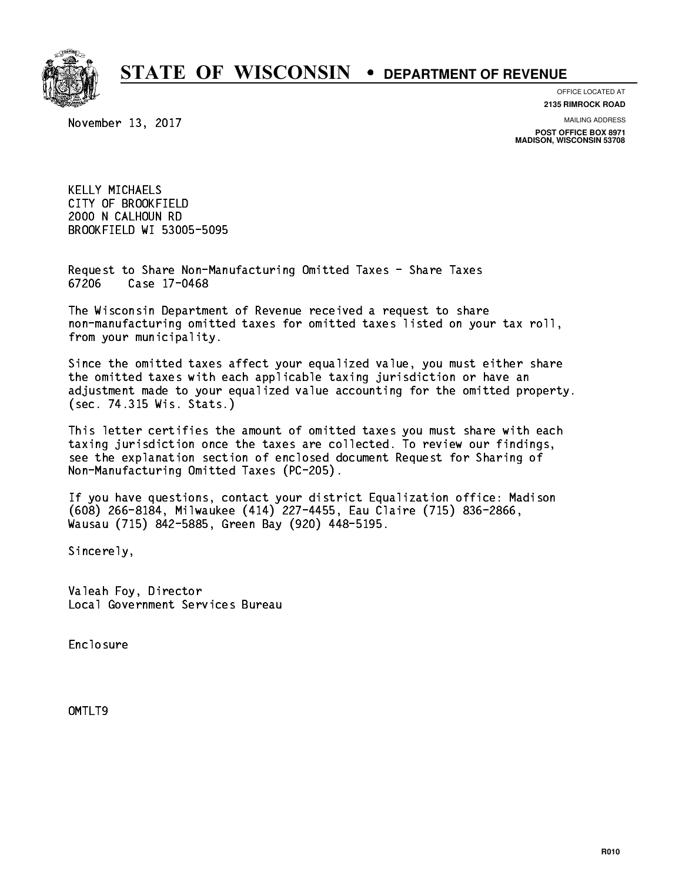

**OFFICE LOCATED AT**

**2135 RIMROCK ROAD**

November 13, 2017

**MAILING ADDRESS**

**POST OFFICE BOX 8971 MADISON, WISCONSIN 53708**

 KELLY MICHAELS CITY OF BROOKFIELD 2000 N CALHOUN RD BROOKFIELD WI 53005-5095

 Request to Share Non-Manufacturing Omitted Taxes - Share Taxes 67206 Case 17-0468

 The Wisconsin Department of Revenue received a request to share non-manufacturing omitted taxes for omitted taxes listed on your tax roll, from your municipality.

 Since the omitted taxes affect your equalized value, you must either share the omitted taxes with each applicable taxing jurisdiction or have an adjustment made to your equalized value accounting for the omitted property. (sec. 74.315 Wis. Stats.)

 This letter certifies the amount of omitted taxes you must share with each taxing jurisdiction once the taxes are collected. To review our findings, see the explanation section of enclosed document Request for Sharing of Non-Manufacturing Omitted Taxes (PC-205).

 If you have questions, contact your district Equalization office: Madison (608) 266-8184, Milwaukee (414) 227-4455, Eau Claire (715) 836-2866, Wausau (715) 842-5885, Green Bay (920) 448-5195.

Sincerely,

 Valeah Foy, Director Local Government Services Bureau

Enclosure Enclosure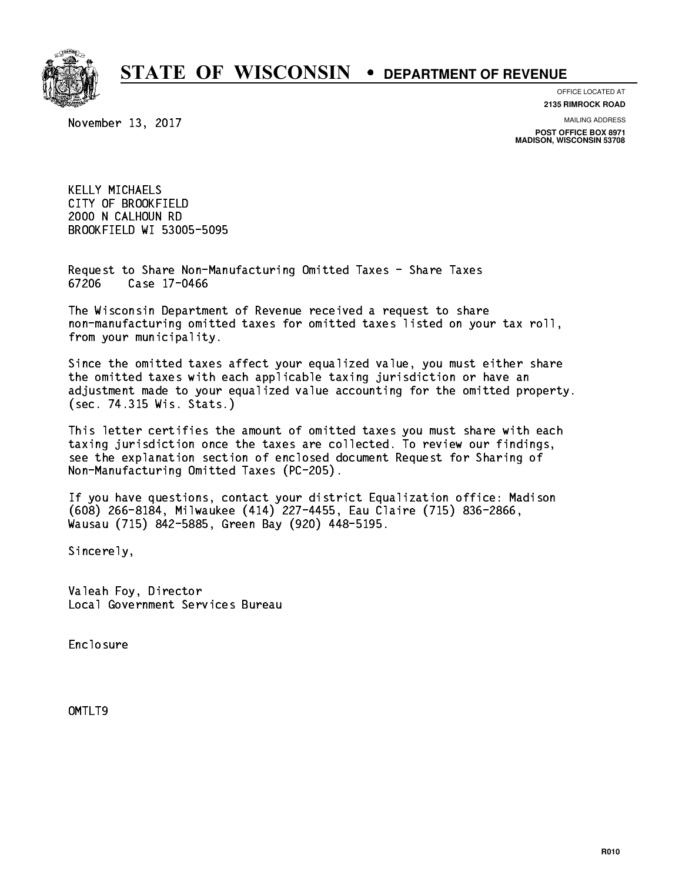

**OFFICE LOCATED AT**

November 13, 2017

**2135 RIMROCK ROAD**

**MAILING ADDRESS POST OFFICE BOX 8971 MADISON, WISCONSIN 53708**

 KELLY MICHAELS CITY OF BROOKFIELD 2000 N CALHOUN RD BROOKFIELD WI 53005-5095

 Request to Share Non-Manufacturing Omitted Taxes - Share Taxes Case 17-0466 67206

 The Wisconsin Department of Revenue received a request to share non-manufacturing omitted taxes for omitted taxes listed on your tax roll, from your municipality.

 Since the omitted taxes affect your equalized value, you must either share the omitted taxes with each applicable taxing jurisdiction or have an adjustment made to your equalized value accounting for the omitted property. (sec. 74.315 Wis. Stats.)

 This letter certifies the amount of omitted taxes you must share with each taxing jurisdiction once the taxes are collected. To review our findings, see the explanation section of enclosed document Request for Sharing of Non-Manufacturing Omitted Taxes (PC-205).

 If you have questions, contact your district Equalization office: Madison (608) 266-8184, Milwaukee (414) 227-4455, Eau Claire (715) 836-2866, Wausau (715) 842-5885, Green Bay (920) 448-5195.

Sincerely,

 Valeah Foy, Director Local Government Services Bureau

Enclosure Enclosure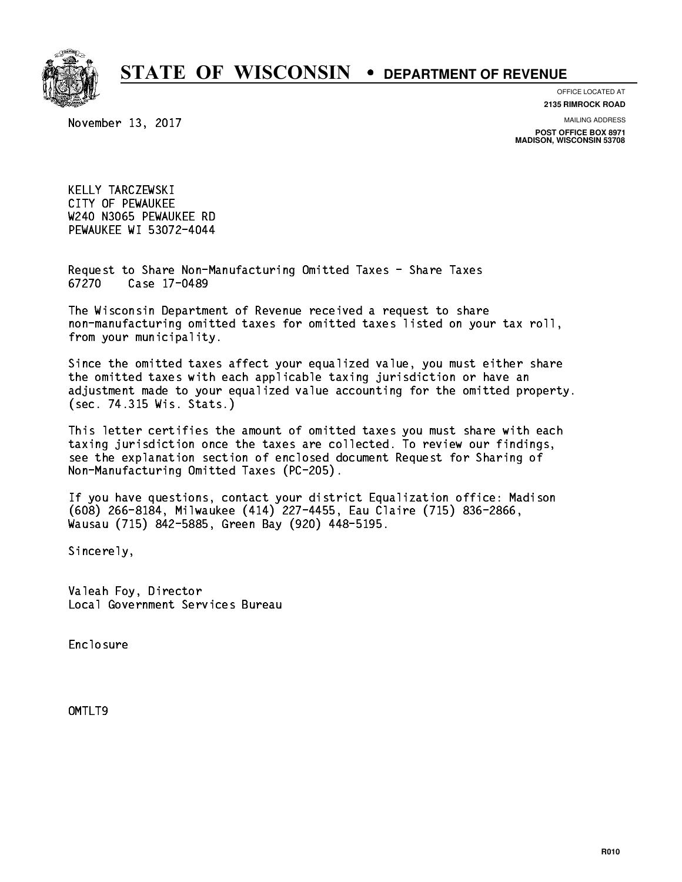

**OFFICE LOCATED AT**

November 13, 2017

**2135 RIMROCK ROAD**

**MAILING ADDRESS POST OFFICE BOX 8971 MADISON, WISCONSIN 53708**

 KELLY TARCZEWSKI CITY OF PEWAUKEE W240 N3065 PEWAUKEE RD PEWAUKEE WI 53072-4044

 Request to Share Non-Manufacturing Omitted Taxes - Share Taxes Case 17-0489 67270

 The Wisconsin Department of Revenue received a request to share non-manufacturing omitted taxes for omitted taxes listed on your tax roll, from your municipality.

 Since the omitted taxes affect your equalized value, you must either share the omitted taxes with each applicable taxing jurisdiction or have an adjustment made to your equalized value accounting for the omitted property. (sec. 74.315 Wis. Stats.)

 This letter certifies the amount of omitted taxes you must share with each taxing jurisdiction once the taxes are collected. To review our findings, see the explanation section of enclosed document Request for Sharing of Non-Manufacturing Omitted Taxes (PC-205).

 If you have questions, contact your district Equalization office: Madison (608) 266-8184, Milwaukee (414) 227-4455, Eau Claire (715) 836-2866, Wausau (715) 842-5885, Green Bay (920) 448-5195.

Sincerely,

 Valeah Foy, Director Local Government Services Bureau

Enclosure Enclosure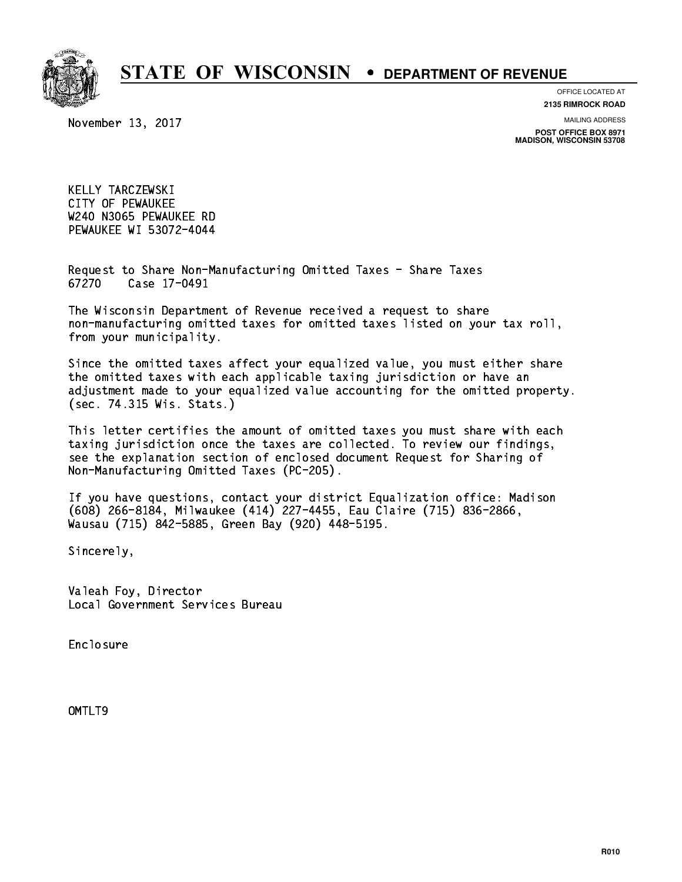

**OFFICE LOCATED AT**

November 13, 2017

**2135 RIMROCK ROAD**

**MAILING ADDRESS POST OFFICE BOX 8971 MADISON, WISCONSIN 53708**

 KELLY TARCZEWSKI CITY OF PEWAUKEE W240 N3065 PEWAUKEE RD PEWAUKEE WI 53072-4044

 Request to Share Non-Manufacturing Omitted Taxes - Share Taxes 67270 Case 17-0491

 The Wisconsin Department of Revenue received a request to share non-manufacturing omitted taxes for omitted taxes listed on your tax roll, from your municipality.

 Since the omitted taxes affect your equalized value, you must either share the omitted taxes with each applicable taxing jurisdiction or have an adjustment made to your equalized value accounting for the omitted property. (sec. 74.315 Wis. Stats.)

 This letter certifies the amount of omitted taxes you must share with each taxing jurisdiction once the taxes are collected. To review our findings, see the explanation section of enclosed document Request for Sharing of Non-Manufacturing Omitted Taxes (PC-205).

 If you have questions, contact your district Equalization office: Madison (608) 266-8184, Milwaukee (414) 227-4455, Eau Claire (715) 836-2866, Wausau (715) 842-5885, Green Bay (920) 448-5195.

Sincerely,

 Valeah Foy, Director Local Government Services Bureau

Enclosure Enclosure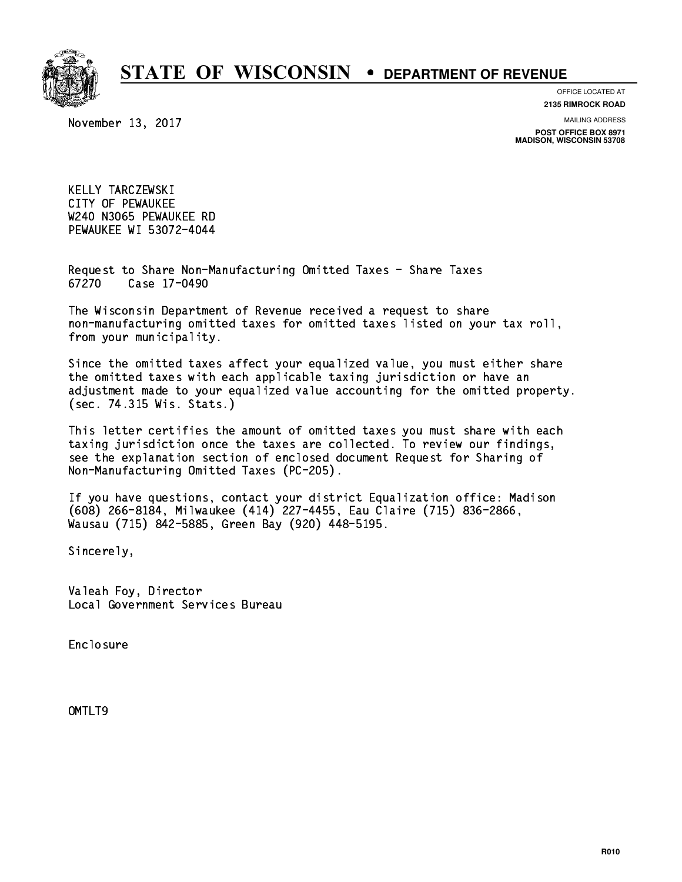

**OFFICE LOCATED AT**

November 13, 2017

**2135 RIMROCK ROAD**

**MAILING ADDRESS POST OFFICE BOX 8971 MADISON, WISCONSIN 53708**

 KELLY TARCZEWSKI CITY OF PEWAUKEE W240 N3065 PEWAUKEE RD PEWAUKEE WI 53072-4044

 Request to Share Non-Manufacturing Omitted Taxes - Share Taxes Case 17-0490 67270

 The Wisconsin Department of Revenue received a request to share non-manufacturing omitted taxes for omitted taxes listed on your tax roll, from your municipality.

 Since the omitted taxes affect your equalized value, you must either share the omitted taxes with each applicable taxing jurisdiction or have an adjustment made to your equalized value accounting for the omitted property. (sec. 74.315 Wis. Stats.)

 This letter certifies the amount of omitted taxes you must share with each taxing jurisdiction once the taxes are collected. To review our findings, see the explanation section of enclosed document Request for Sharing of Non-Manufacturing Omitted Taxes (PC-205).

 If you have questions, contact your district Equalization office: Madison (608) 266-8184, Milwaukee (414) 227-4455, Eau Claire (715) 836-2866, Wausau (715) 842-5885, Green Bay (920) 448-5195.

Sincerely,

 Valeah Foy, Director Local Government Services Bureau

Enclosure Enclosure